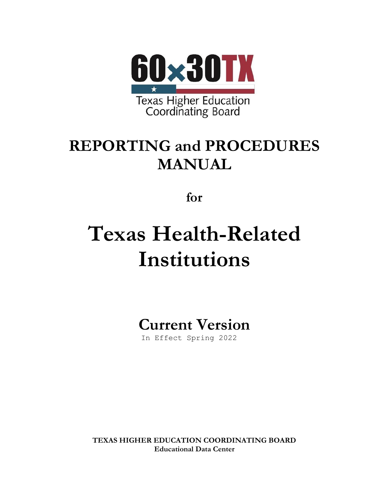

## **REPORTING and PROCEDURES MANUAL**

**for**

# **Texas Health-Related Institutions**

**Current Version**

In Effect Spring 2022

**TEXAS HIGHER EDUCATION COORDINATING BOARD Educational Data Center**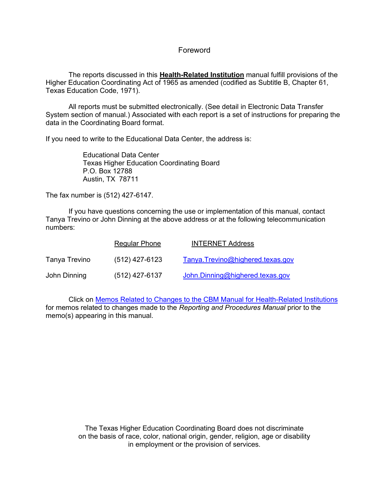#### Foreword

The reports discussed in this **Health-Related Institution** manual fulfill provisions of the Higher Education Coordinating Act of 1965 as amended (codified as Subtitle B, Chapter 61, Texas Education Code, 1971).

All reports must be submitted electronically. (See detail in Electronic Data Transfer System section of manual.) Associated with each report is a set of instructions for preparing the data in the Coordinating Board format.

If you need to write to the Educational Data Center, the address is:

Educational Data Center Texas Higher Education Coordinating Board P.O. Box 12788 Austin, TX 78711

The fax number is (512) 427-6147.

If you have questions concerning the use or implementation of this manual, contact Tanya Trevino or John Dinning at the above address or at the following telecommunication numbers:

|               | Regular Phone    | <b>INTERNET Address</b>          |
|---------------|------------------|----------------------------------|
| Tanya Trevino | $(512)$ 427-6123 | Tanya.Trevino@highered.texas.gov |
| John Dinning  | $(512)$ 427-6137 | John.Dinning@highered.texas.gov  |

Click on [Memos Related to Changes to the CBM Manual for Health-Related Institutions](http://www.txhighereddata.org/ReportingManuals.cfm#Memos) for memos related to changes made to the *Reporting and Procedures Manual* prior to the memo(s) appearing in this manual.

> The Texas Higher Education Coordinating Board does not discriminate on the basis of race, color, national origin, gender, religion, age or disability in employment or the provision of services.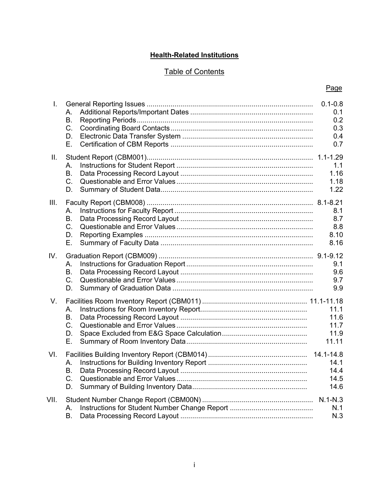#### **Health-Related Institutions**

#### Table of Contents

| L.   | А.<br><b>B.</b><br>C.<br>D.<br>Е.   | $0.1 - 0.8$<br>0.1<br>0.2<br>0.3<br>0.4<br>0.7 |
|------|-------------------------------------|------------------------------------------------|
| II.  | А.<br><b>B.</b><br>C.<br>D.         | 1.1<br>1.16<br>1.18<br>1.22                    |
| III. | А.<br><b>B.</b><br>C.<br>D.<br>Ε.   | 8.1<br>8.7<br>8.8<br>8.10<br>8.16              |
| IV.  | А.<br><b>B.</b><br>C.<br>D.         | 9.1<br>9.6<br>9.7<br>9.9                       |
| V.   | А.<br>В.<br>$C_{\cdot}$<br>D.<br>Е. | 11.1<br>11.6<br>11.7<br>11.9<br>11.11          |
| VI.  | А.<br>В.<br>$C_{\cdot}$<br>D.       | 14.1-14.8<br>14.1<br>14.4<br>14.5<br>14.6      |
| VII. | А.<br>В.                            | N.1<br>N.3                                     |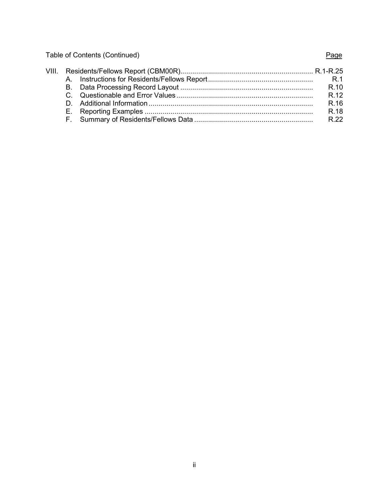Table of Contents (Continued) and Table of Contents (Page

|  | VIII. Residents/Fellows Report (CBM00R)……………………………………………………………… R.1-R.25 |      |
|--|--------------------------------------------------------------------------|------|
|  |                                                                          |      |
|  |                                                                          | R.10 |
|  |                                                                          | R.12 |
|  |                                                                          | R.16 |
|  |                                                                          | R.18 |
|  |                                                                          |      |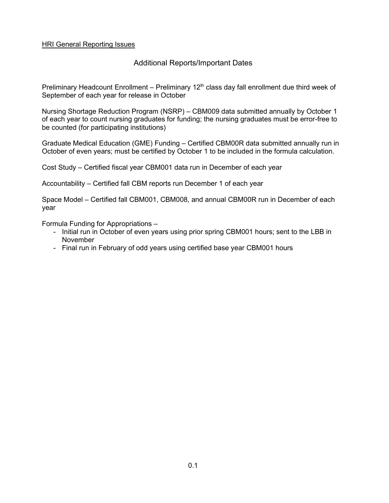#### Additional Reports/Important Dates

Preliminary Headcount Enrollment – Preliminary 12<sup>th</sup> class day fall enrollment due third week of September of each year for release in October

Nursing Shortage Reduction Program (NSRP) – CBM009 data submitted annually by October 1 of each year to count nursing graduates for funding; the nursing graduates must be error-free to be counted (for participating institutions)

Graduate Medical Education (GME) Funding – Certified CBM00R data submitted annually run in October of even years; must be certified by October 1 to be included in the formula calculation.

Cost Study – Certified fiscal year CBM001 data run in December of each year

Accountability – Certified fall CBM reports run December 1 of each year

Space Model – Certified fall CBM001, CBM008, and annual CBM00R run in December of each year

Formula Funding for Appropriations –

- Initial run in October of even years using prior spring CBM001 hours; sent to the LBB in November
- Final run in February of odd years using certified base year CBM001 hours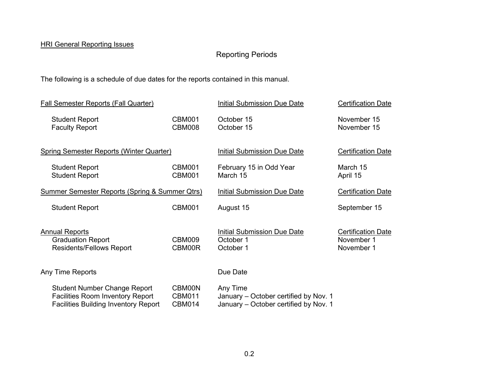### Reporting Periods

The following is a schedule of due dates for the reports contained in this manual.

| <b>Fall Semester Reports (Fall Quarter)</b>                                                                                   |                                          | <b>Initial Submission Due Date</b>                                                         | <b>Certification Date</b>                             |
|-------------------------------------------------------------------------------------------------------------------------------|------------------------------------------|--------------------------------------------------------------------------------------------|-------------------------------------------------------|
| <b>Student Report</b><br><b>Faculty Report</b>                                                                                | <b>CBM001</b><br><b>CBM008</b>           | October 15<br>October 15                                                                   | November 15<br>November 15                            |
| <b>Spring Semester Reports (Winter Quarter)</b>                                                                               |                                          | <b>Initial Submission Due Date</b>                                                         | <b>Certification Date</b>                             |
| <b>Student Report</b><br><b>Student Report</b>                                                                                | CBM001<br><b>CBM001</b>                  | February 15 in Odd Year<br>March 15                                                        | March 15<br>April 15                                  |
| <b>Summer Semester Reports (Spring &amp; Summer Qtrs)</b>                                                                     |                                          | Initial Submission Due Date                                                                | <b>Certification Date</b>                             |
| <b>Student Report</b>                                                                                                         | CBM001                                   | August 15                                                                                  | September 15                                          |
| <b>Annual Reports</b><br><b>Graduation Report</b><br><b>Residents/Fellows Report</b>                                          | CBM009<br>CBM00R                         | <b>Initial Submission Due Date</b><br>October 1<br>October 1                               | <b>Certification Date</b><br>November 1<br>November 1 |
| Any Time Reports                                                                                                              |                                          | Due Date                                                                                   |                                                       |
| <b>Student Number Change Report</b><br><b>Facilities Room Inventory Report</b><br><b>Facilities Building Inventory Report</b> | CBM00N<br><b>CBM011</b><br><b>CBM014</b> | Any Time<br>January - October certified by Nov. 1<br>January – October certified by Nov. 1 |                                                       |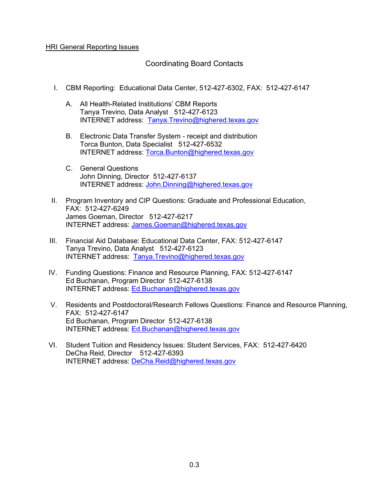#### Coordinating Board Contacts

- I. CBM Reporting: Educational Data Center, 512-427-6302, FAX: 512-427-6147
	- A. All Health-Related Institutions' CBM Reports Tanya Trevino, Data Analyst 512-427-6123 INTERNET address: [Tanya.Trevino@highered.texas.gov](mailto:Tanya.Trevino@thecb.state.tx.us)
	- B. Electronic Data Transfer System receipt and distribution Torca Bunton, Data Specialist 512-427-6532 INTERNET address: [Torca.Bunton@highered.texas.gov](mailto:Torca.Bunton@thecb.state.tx.us)
	- C. General Questions John Dinning, Director 512-427-6137 INTERNET address: [John.Dinning@highered.texas.gov](mailto:John.Dinning@highered.texas.gov)
- II. Program Inventory and CIP Questions: Graduate and Professional Education, FAX: 512-427-6249 James Goeman, Director 512-427-6217 INTERNET address: [James.Goeman@highered.texas.gov](mailto:James.Goeman@thecb.state.tx.us)
- III. Financial Aid Database: Educational Data Center, FAX: 512-427-6147 Tanya Trevino, Data Analyst 512-427-6123 INTERNET address: [Tanya.Trevino@highered.texas.gov](mailto:Tanya.Trevino@thecb.state.tx.us)
- IV. Funding Questions: Finance and Resource Planning, FAX: 512-427-6147 Ed Buchanan, Program Director 512-427-6138 INTERNET address: [Ed.Buchanan@highered.texas.gov](mailto:Ed.Buchanan@thecb.state.tx.us)
- V. Residents and Postdoctoral/Research Fellows Questions: Finance and Resource Planning, FAX: 512-427-6147 Ed Buchanan, Program Director 512-427-6138 INTERNET address: [Ed.Buchanan@highered.texas.gov](mailto:Ed.Buchanan@thecb.state.tx.us)
- VI. Student Tuition and Residency Issues: Student Services, FAX: 512-427-6420 DeCha Reid, Director 512-427-6393 INTERNET address: [DeCha.Reid@highered.texas.gov](mailto:Jane.Caldwell@thecb.state.tx.us)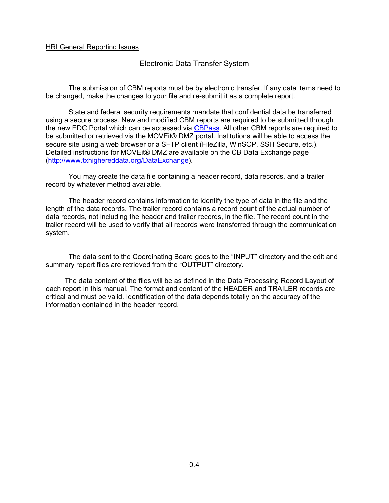Electronic Data Transfer System

The submission of CBM reports must be by electronic transfer. If any data items need to be changed, make the changes to your file and re-submit it as a complete report.

State and federal security requirements mandate that confidential data be transferred using a secure process. New and modified CBM reports are required to be submitted through the new EDC Portal which can be accessed via [CBPass.](https://www1.thecb.state.tx.us/CBPass/default.cfm) All other CBM reports are required to be submitted or retrieved via the MOVEit® DMZ portal. Institutions will be able to access the secure site using a web browser or a SFTP client (FileZilla, WinSCP, SSH Secure, etc.). Detailed instructions for MOVEit® DMZ are available on the CB Data Exchange page [\(http://www.txhighereddata.org/DataExchange\)](http://www.txhighereddata.org/DataExchange).

You may create the data file containing a header record, data records, and a trailer record by whatever method available.

The header record contains information to identify the type of data in the file and the length of the data records. The trailer record contains a record count of the actual number of data records, not including the header and trailer records, in the file. The record count in the trailer record will be used to verify that all records were transferred through the communication system.

The data sent to the Coordinating Board goes to the "INPUT" directory and the edit and summary report files are retrieved from the "OUTPUT" directory.

The data content of the files will be as defined in the Data Processing Record Layout of each report in this manual. The format and content of the HEADER and TRAILER records are critical and must be valid. Identification of the data depends totally on the accuracy of the information contained in the header record.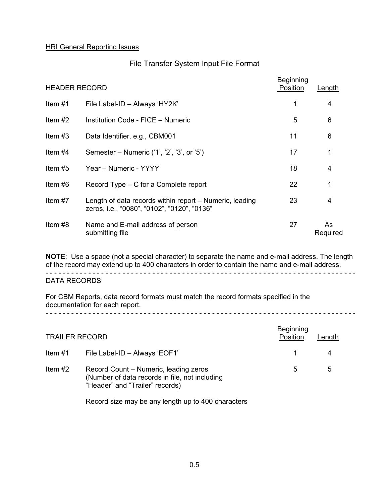#### File Transfer System Input File Format

| <b>HEADER RECORD</b> |                                                                                                        | <b>Beginning</b><br>Position | Length         |
|----------------------|--------------------------------------------------------------------------------------------------------|------------------------------|----------------|
| Item $#1$            | File Label-ID - Always 'HY2K'                                                                          | 1                            | 4              |
| Item $#2$            | Institution Code - FICE - Numeric                                                                      | 5                            | 6              |
| Item $#3$            | Data Identifier, e.g., CBM001                                                                          | 11                           | 6              |
| Item $#4$            | Semester – Numeric $(1, '2', '3', or '5')$                                                             | 17                           | 1              |
| Item $#5$            | Year - Numeric - YYYY                                                                                  | 18                           | $\overline{4}$ |
| Item $#6$            | Record Type – C for a Complete report                                                                  | 22                           | 1              |
| Item $#7$            | Length of data records within report – Numeric, leading<br>zeros, i.e., "0080", "0102", "0120", "0136" | 23                           | 4              |
| Item $#8$            | Name and E-mail address of person<br>submitting file                                                   | 27                           | As<br>Required |

**NOTE**: Use a space (not a special character) to separate the name and e-mail address. The length of the record may extend up to 400 characters in order to contain the name and e-mail address. - - - - - - - - - - - - - - - - - - - - - - - - - - - - - - - - - - - - - - - - - - - - - - - - - - - - - - - - - - - - - - - - - - - - - - - - -

DATA RECORDS

For CBM Reports, data record formats must match the record formats specified in the documentation for each report. - - - - - - - - - - - - - - - - - - - - - - - - - - - - - - - - - - - - - - - - - - - - - - - - - - - - - - - - - - - - - - - - - - - - - - - - -

| <b>TRAILER RECORD</b> |                                                                                                                            | <b>Beginning</b><br>Position | Length |
|-----------------------|----------------------------------------------------------------------------------------------------------------------------|------------------------------|--------|
| Item #1               | File Label-ID - Always 'EOF1'                                                                                              |                              |        |
| Item $#2$             | Record Count – Numeric, leading zeros<br>(Number of data records in file, not including<br>"Header" and "Trailer" records) | 5                            | 5      |

Record size may be any length up to 400 characters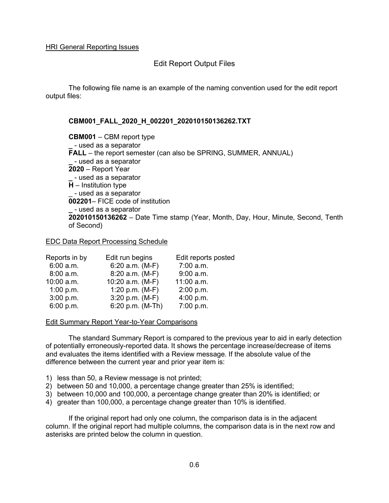#### Edit Report Output Files

The following file name is an example of the naming convention used for the edit report output files:

#### **CBM001\_FALL\_2020\_H\_002201\_202010150136262.TXT**

**CBM001** – CBM report type **\_** - used as a separator **FALL** – the report semester (can also be SPRING, SUMMER, ANNUAL) **\_** - used as a separator **2020** – Report Year **\_** - used as a separator  $\overline{H}$  – Institution type \_ - used as a separator **002201**– FICE code of institution **\_** - used as a separator **202010150136262** – Date Time stamp (Year, Month, Day, Hour, Minute, Second, Tenth of Second)

#### EDC Data Report Processing Schedule

| Reports in by | Edit run begins   | Edit reports posted |
|---------------|-------------------|---------------------|
| 6:00 a.m.     | $6:20$ a.m. (M-F) | $7:00$ a.m.         |
| 8:00 a.m.     | 8:20 a.m. (M-F)   | $9:00$ a.m.         |
| $10:00$ a.m.  | 10:20 a.m. (M-F)  | 11:00 a.m.          |
| 1:00 p.m.     | 1:20 p.m. $(M-F)$ | 2:00 p.m.           |
| 3:00 p.m.     | $3:20$ p.m. (M-F) | 4:00 p.m.           |
| 6:00 p.m.     | 6:20 p.m. (M-Th)  | 7:00 p.m.           |

#### Edit Summary Report Year-to-Year Comparisons

The standard Summary Report is compared to the previous year to aid in early detection of potentially erroneously-reported data. It shows the percentage increase/decrease of items and evaluates the items identified with a Review message. If the absolute value of the difference between the current year and prior year item is:

- 1) less than 50, a Review message is not printed;
- 2) between 50 and 10,000, a percentage change greater than 25% is identified;
- 3) between 10,000 and 100,000, a percentage change greater than 20% is identified; or
- 4) greater than 100,000, a percentage change greater than 10% is identified.

If the original report had only one column, the comparison data is in the adjacent column. If the original report had multiple columns, the comparison data is in the next row and asterisks are printed below the column in question.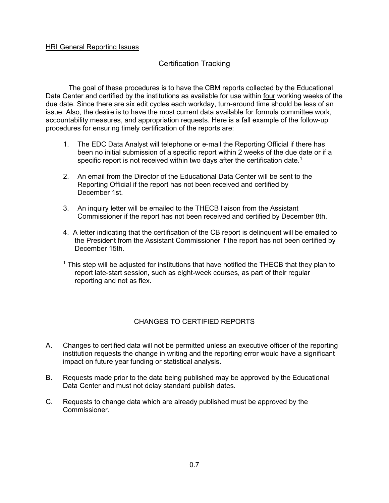#### Certification Tracking

The goal of these procedures is to have the CBM reports collected by the Educational Data Center and certified by the institutions as available for use within four working weeks of the due date. Since there are six edit cycles each workday, turn-around time should be less of an issue. Also, the desire is to have the most current data available for formula committee work, accountability measures, and appropriation requests. Here is a fall example of the follow-up procedures for ensuring timely certification of the reports are:

- 1. The EDC Data Analyst will telephone or e-mail the Reporting Official if there has been no initial submission of a specific report within 2 weeks of the due date or if a specific report is not received within two days after the certification date.<sup>1</sup>
- 2. An email from the Director of the Educational Data Center will be sent to the Reporting Official if the report has not been received and certified by December 1st.
- 3. An inquiry letter will be emailed to the THECB liaison from the Assistant Commissioner if the report has not been received and certified by December 8th.
- 4. A letter indicating that the certification of the CB report is delinquent will be emailed to the President from the Assistant Commissioner if the report has not been certified by December 15th.
- $1$  This step will be adjusted for institutions that have notified the THECB that they plan to report late-start session, such as eight-week courses, as part of their regular reporting and not as flex.

#### CHANGES TO CERTIFIED REPORTS

- A. Changes to certified data will not be permitted unless an executive officer of the reporting institution requests the change in writing and the reporting error would have a significant impact on future year funding or statistical analysis.
- B. Requests made prior to the data being published may be approved by the Educational Data Center and must not delay standard publish dates.
- C. Requests to change data which are already published must be approved by the Commissioner.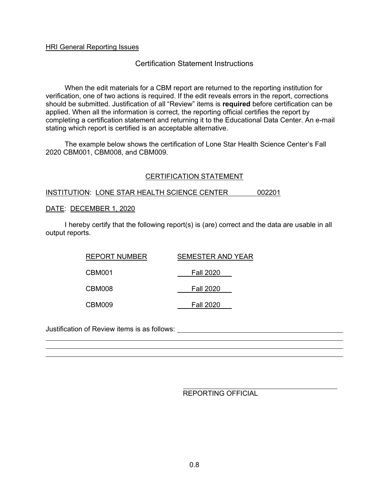#### Certification Statement Instructions

When the edit materials for a CBM report are returned to the reporting institution for verification, one of two actions is required. If the edit reveals errors in the report, corrections should be submitted. Justification of all "Review" items is **required** before certification can be applied. When all the information is correct, the reporting official certifies the report by completing a certification statement and returning it to the Educational Data Center. An e-mail stating which report is certified is an acceptable alternative.

The example below shows the certification of Lone Star Health Science Center's Fall 2020 CBM001, CBM008, and CBM009.

#### CERTIFICATION STATEMENT

#### INSTITUTION: LONE STAR HEALTH SCIENCE CENTER 002201

#### DATE: DECEMBER 1, 2020

I hereby certify that the following report(s) is (are) correct and the data are usable in all output reports.

| REPORT NUMBER | <b>SEMESTER AND YEAR</b> |
|---------------|--------------------------|
| CBM001        | <b>Fall 2020</b>         |
| CBM008        | <b>Fall 2020</b>         |
| CBM009        | <b>Fall 2020</b>         |

Justification of Review items is as follows:

REPORTING OFFICIAL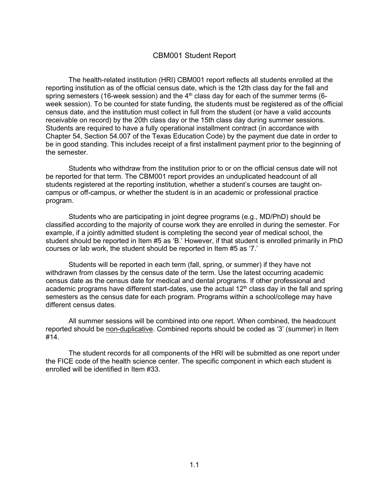#### CBM001 Student Report

The health-related institution (HRI) CBM001 report reflects all students enrolled at the reporting institution as of the official census date, which is the 12th class day for the fall and spring semesters (16-week session) and the  $4<sup>th</sup>$  class day for each of the summer terms (6week session). To be counted for state funding, the students must be registered as of the official census date, and the institution must collect in full from the student (or have a valid accounts receivable on record) by the 20th class day or the 15th class day during summer sessions. Students are required to have a fully operational installment contract (in accordance with Chapter 54, Section 54.007 of the Texas Education Code) by the payment due date in order to be in good standing. This includes receipt of a first installment payment prior to the beginning of the semester.

Students who withdraw from the institution prior to or on the official census date will not be reported for that term. The CBM001 report provides an unduplicated headcount of all students registered at the reporting institution, whether a student's courses are taught oncampus or off-campus, or whether the student is in an academic or professional practice program.

Students who are participating in joint degree programs (e.g., MD/PhD) should be classified according to the majority of course work they are enrolled in during the semester. For example, if a jointly admitted student is completing the second year of medical school, the student should be reported in Item #5 as 'B.' However, if that student is enrolled primarily in PhD courses or lab work, the student should be reported in Item #5 as '7.'

Students will be reported in each term (fall, spring, or summer) if they have not withdrawn from classes by the census date of the term. Use the latest occurring academic census date as the census date for medical and dental programs. If other professional and academic programs have different start-dates, use the actual  $12<sup>th</sup>$  class day in the fall and spring semesters as the census date for each program. Programs within a school/college may have different census dates.

All summer sessions will be combined into one report. When combined, the headcount reported should be non-duplicative. Combined reports should be coded as '3' (summer) in Item #14.

The student records for all components of the HRI will be submitted as one report under the FICE code of the health science center. The specific component in which each student is enrolled will be identified in Item #33.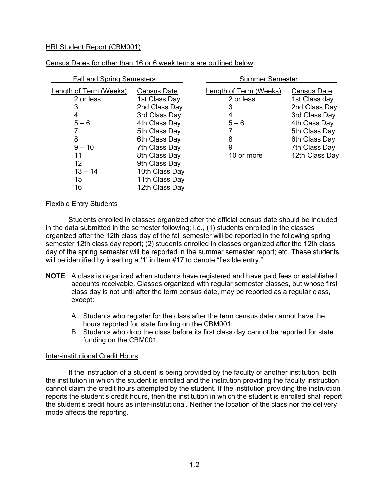| <b>Fall and Spring Semesters</b> |                | <b>Summer Semester</b> |                    |  |
|----------------------------------|----------------|------------------------|--------------------|--|
| Length of Term (Weeks)           | Census Date    | Length of Term (Weeks) | <b>Census Date</b> |  |
| 2 or less                        | 1st Class Day  | 2 or less              | 1st Class day      |  |
| 3                                | 2nd Class Day  | 3                      | 2nd Class Day      |  |
| 4                                | 3rd Class Day  | 4                      | 3rd Class Day      |  |
| $5 - 6$                          | 4th Class Day  | $5 - 6$                | 4th Cass Day       |  |
|                                  | 5th Class Day  |                        | 5th Class Day      |  |
| 8                                | 6th Class Day  | 8                      | 6th Class Day      |  |
| $9 - 10$                         | 7th Class Day  | 9                      | 7th Class Day      |  |
| 11                               | 8th Class Day  | 10 or more             | 12th Class Day     |  |
| 12                               | 9th Class Day  |                        |                    |  |
| $13 - 14$                        | 10th Class Day |                        |                    |  |
| 15                               | 11th Class Day |                        |                    |  |
| 16                               | 12th Class Day |                        |                    |  |

Census Dates for other than 16 or 6 week terms are outlined below:

#### Flexible Entry Students

Students enrolled in classes organized after the official census date should be included in the data submitted in the semester following; i.e., (1) students enrolled in the classes organized after the 12th class day of the fall semester will be reported in the following spring semester 12th class day report; (2) students enrolled in classes organized after the 12th class day of the spring semester will be reported in the summer semester report; etc. These students will be identified by inserting a '1' in Item #17 to denote "flexible entry."

- **NOTE**: A class is organized when students have registered and have paid fees or established accounts receivable. Classes organized with regular semester classes, but whose first class day is not until after the term census date, may be reported as a regular class, except:
	- A. Students who register for the class after the term census date cannot have the hours reported for state funding on the CBM001;
	- B. Students who drop the class before its first class day cannot be reported for state funding on the CBM001.

#### Inter-institutional Credit Hours

If the instruction of a student is being provided by the faculty of another institution, both the institution in which the student is enrolled and the institution providing the faculty instruction cannot claim the credit hours attempted by the student. If the institution providing the instruction reports the student's credit hours, then the institution in which the student is enrolled shall report the student's credit hours as inter-institutional. Neither the location of the class nor the delivery mode affects the reporting.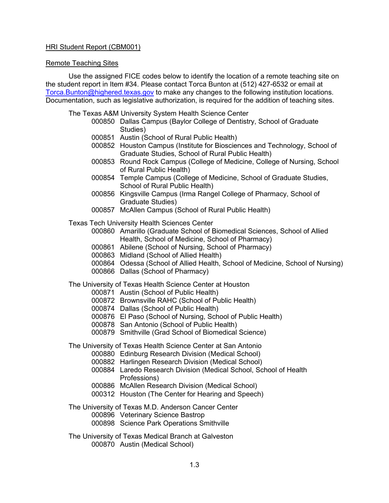#### Remote Teaching Sites

Use the assigned FICE codes below to identify the location of a remote teaching site on the student report in Item #34. Please contact Torca Bunton at (512) 427-6532 or email at [Torca.Bunton@h](mailto:Torca.Bunton@)ighered.texas.gov to make any changes to the following institution locations. Documentation, such as legislative authorization, is required for the addition of teaching sites.

The Texas A&M University System Health Science Center

- 000850 Dallas Campus (Baylor College of Dentistry, School of Graduate Studies)
- 000851 Austin (School of Rural Public Health)
- 000852 Houston Campus (Institute for Biosciences and Technology, School of Graduate Studies, School of Rural Public Health)
- 000853 Round Rock Campus (College of Medicine, College of Nursing, School of Rural Public Health)
- 000854 Temple Campus (College of Medicine, School of Graduate Studies, School of Rural Public Health)
- 000856 Kingsville Campus (Irma Rangel College of Pharmacy, School of Graduate Studies)
- 000857 McAllen Campus (School of Rural Public Health)
- Texas Tech University Health Sciences Center
	- 000860 Amarillo (Graduate School of Biomedical Sciences, School of Allied Health, School of Medicine, School of Pharmacy)
	- 000861 Abilene (School of Nursing, School of Pharmacy)
	- 000863 Midland (School of Allied Health)
	- 000864 Odessa (School of Allied Health, School of Medicine, School of Nursing)
	- 000866 Dallas (School of Pharmacy)

The University of Texas Health Science Center at Houston

- 000871 Austin (School of Public Health)
- 000872 Brownsville RAHC (School of Public Health)
- 000874 Dallas (School of Public Health)
- 000876 El Paso (School of Nursing, School of Public Health)
- 000878 San Antonio (School of Public Health)
- 000879 Smithville (Grad School of Biomedical Science)

The University of Texas Health Science Center at San Antonio

- 000880 Edinburg Research Division (Medical School)
- 000882 Harlingen Research Division (Medical School)
- 000884 Laredo Research Division (Medical School, School of Health Professions)
- 000886 McAllen Research Division (Medical School)
- 000312 Houston (The Center for Hearing and Speech)
- The University of Texas M.D. Anderson Cancer Center
	- 000896 Veterinary Science Bastrop
	- 000898 Science Park Operations Smithville
- The University of Texas Medical Branch at Galveston 000870 Austin (Medical School)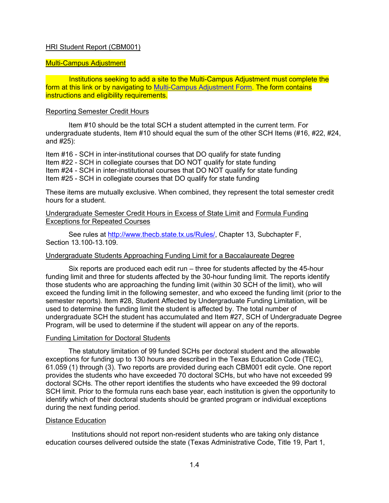#### Multi-Campus Adjustment

 Institutions seeking to add a site to the Multi-Campus Adjustment must complete the form at this link or by navigating to [Multi-Campus Adjustment Form.](https://www.highered.texas.gov/institutional-resources-programs/funding-facilities/standards/space-projection-model/) The form contains instructions and eligibility requirements.

#### Reporting Semester Credit Hours

Item #10 should be the total SCH a student attempted in the current term. For undergraduate students, Item #10 should equal the sum of the other SCH Items (#16, #22, #24, and #25):

Item #16 - SCH in inter-institutional courses that DO qualify for state funding Item #22 - SCH in collegiate courses that DO NOT qualify for state funding Item #24 - SCH in inter-institutional courses that DO NOT qualify for state funding Item #25 - SCH in collegiate courses that DO qualify for state funding

These items are mutually exclusive. When combined, they represent the total semester credit hours for a student.

#### Undergraduate Semester Credit Hours in Excess of State Limit and Formula Funding Exceptions for Repeated Courses

See rules at [http://www.thecb.state.tx.us/Rules/,](http://www.thecb.state.tx.us/Rules/) Chapter 13, Subchapter F, Section 13 100-13 109

#### Undergraduate Students Approaching Funding Limit for a Baccalaureate Degree

Six reports are produced each edit run – three for students affected by the 45-hour funding limit and three for students affected by the 30-hour funding limit. The reports identify those students who are approaching the funding limit (within 30 SCH of the limit), who will exceed the funding limit in the following semester, and who exceed the funding limit (prior to the semester reports). Item #28, Student Affected by Undergraduate Funding Limitation, will be used to determine the funding limit the student is affected by. The total number of undergraduate SCH the student has accumulated and Item #27, SCH of Undergraduate Degree Program, will be used to determine if the student will appear on any of the reports.

#### Funding Limitation for Doctoral Students

The statutory limitation of 99 funded SCHs per doctoral student and the allowable exceptions for funding up to 130 hours are described in the Texas Education Code (TEC), 61.059 (1) through (3). Two reports are provided during each CBM001 edit cycle. One report provides the students who have exceeded 70 doctoral SCHs, but who have not exceeded 99 doctoral SCHs. The other report identifies the students who have exceeded the 99 doctoral SCH limit. Prior to the formula runs each base year, each institution is given the opportunity to identify which of their doctoral students should be granted program or individual exceptions during the next funding period.

#### Distance Education

Institutions should not report non-resident students who are taking only distance education courses delivered outside the state (Texas Administrative Code, Title 19, Part 1,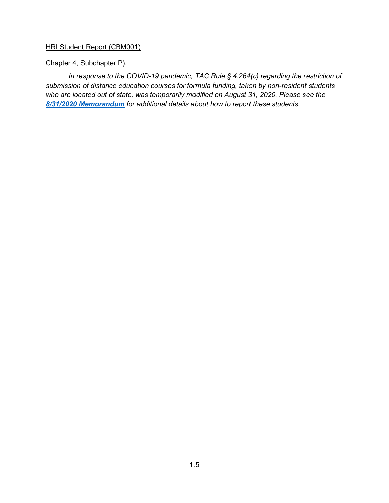Chapter 4, Subchapter P).

*In response to the COVID-19 pandemic, TAC Rule § 4.264(c) regarding the restriction of submission of distance education courses for formula funding, taken by non-resident students who are located out of state, was temporarily modified on August 31, 2020. Please see th[e](http://reportcenter.highered.texas.gov/cbm-memo-nonresident-distance-ed-august-2020) [8/31/2020 Memorandum](http://reportcenter.highered.texas.gov/cbm-memo-nonresident-distance-ed-august-2020) for additional details about how to report these students.*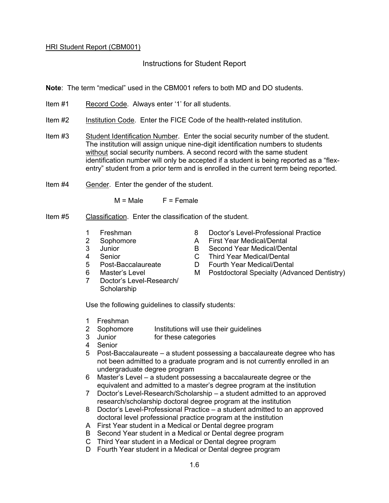#### Instructions for Student Report

**Note**: The term "medical" used in the CBM001 refers to both MD and DO students.

- Item #1 Record Code. Always enter '1' for all students.
- Item #2 Institution Code. Enter the FICE Code of the health-related institution.
- Item #3 Student Identification Number. Enter the social security number of the student. The institution will assign unique nine-digit identification numbers to students without social security numbers. A second record with the same student identification number will only be accepted if a student is being reported as a "flexentry" student from a prior term and is enrolled in the current term being reported.
- Item #4 Gender. Enter the gender of the student.

 $M = Male$   $F = Female$ 

- Item #5 Classification. Enter the classification of the student.
	-
	-
	-
	-
	-
	-
	- 7 Doctor's Level-Research/ **Scholarship**
	- 1 Freshman 8 Doctor's Level-Professional Practice
	- 2 Sophomore **A** First Year Medical/Dental
	- 3 Junior B Second Year Medical/Dental
	- 4 Senior C Third Year Medical/Dental
	- 5 Post-Baccalaureate D Fourth Year Medical/Dental
	- 6 Master's Level M Postdoctoral Specialty (Advanced Dentistry)

Use the following guidelines to classify students:

- 1 Freshman
- 2 Sophomore Institutions will use their guidelines
- 3 Junior for these categories
- 4 Senior
- 5 Post-Baccalaureate a student possessing a baccalaureate degree who has not been admitted to a graduate program and is not currently enrolled in an undergraduate degree program
- 6 Master's Level a student possessing a baccalaureate degree or the equivalent and admitted to a master's degree program at the institution
- 7 Doctor's Level-Research/Scholarship a student admitted to an approved research/scholarship doctoral degree program at the institution
- 8 Doctor's Level-Professional Practice a student admitted to an approved doctoral level professional practice program at the institution
- A First Year student in a Medical or Dental degree program
- B Second Year student in a Medical or Dental degree program
- C Third Year student in a Medical or Dental degree program
- D Fourth Year student in a Medical or Dental degree program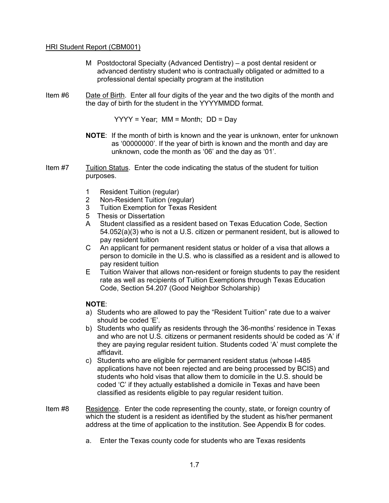- M Postdoctoral Specialty (Advanced Dentistry) a post dental resident or advanced dentistry student who is contractually obligated or admitted to a professional dental specialty program at the institution
- Item #6 Date of Birth. Enter all four digits of the year and the two digits of the month and the day of birth for the student in the YYYYMMDD format.

YYYY = Year; MM = Month; DD = Day

- **NOTE**: If the month of birth is known and the year is unknown, enter for unknown as '00000000'. If the year of birth is known and the month and day are unknown, code the month as '06' and the day as '01'.
- Item #7 Tuition Status. Enter the code indicating the status of the student for tuition purposes.
	- 1 Resident Tuition (regular)
	- 2 Non-Resident Tuition (regular)
	- 3 Tuition Exemption for Texas Resident
	- 5 Thesis or Dissertation
	- A Student classified as a resident based on Texas Education Code, Section 54.052(a)(3) who is not a U.S. citizen or permanent resident, but is allowed to pay resident tuition
	- C An applicant for permanent resident status or holder of a visa that allows a person to domicile in the U.S. who is classified as a resident and is allowed to pay resident tuition
	- E Tuition Waiver that allows non-resident or foreign students to pay the resident rate as well as recipients of Tuition Exemptions through Texas Education Code, Section 54.207 (Good Neighbor Scholarship)

#### **NOTE**:

- a) Students who are allowed to pay the "Resident Tuition" rate due to a waiver should be coded 'E'.
- b) Students who qualify as residents through the 36-months' residence in Texas and who are not U.S. citizens or permanent residents should be coded as 'A' if they are paying regular resident tuition. Students coded 'A' must complete the affidavit.
- c) Students who are eligible for permanent resident status (whose I-485 applications have not been rejected and are being processed by BCIS) and students who hold visas that allow them to domicile in the U.S. should be coded 'C' if they actually established a domicile in Texas and have been classified as residents eligible to pay regular resident tuition.
- Item #8 Residence. Enter the code representing the county, state, or foreign country of which the student is a resident as identified by the student as his/her permanent address at the time of application to the institution. See Appendix B for codes.
	- a. Enter the Texas county code for students who are Texas residents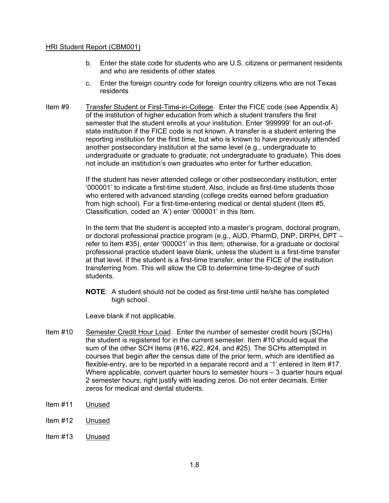- b. Enter the state code for students who are U.S. citizens or permanent residents and who are residents of other states
- c. Enter the foreign country code for foreign country citizens who are not Texas residents
- Item #9 Transfer Student or First-Time-in-College. Enter the FICE code (see Appendix A) of the institution of higher education from which a student transfers the first semester that the student enrolls at your institution. Enter '999999' for an out-ofstate institution if the FICE code is not known. A transfer is a student entering the reporting institution for the first time, but who is known to have previously attended another postsecondary institution at the same level (e.g., undergraduate to undergraduate or graduate to graduate; not undergraduate to graduate). This does not include an institution's own graduates who enter for further education.

If the student has never attended college or other postsecondary institution, enter '000001' to indicate a first-time student. Also, include as first-time students those who entered with advanced standing (college credits earned before graduation from high school). For a first-time-entering medical or dental student (Item #5, Classification, coded an 'A') enter '000001' in this Item.

In the term that the student is accepted into a master's program, doctoral program, or doctoral professional practice program (e.g., AUD, PharmD, DNP, DRPH, DPT – refer to Item #35), enter '000001' in this item; otherwise, for a graduate or doctoral professional practice student leave blank, unless the student is a first-time transfer at that level. If the student is a first-time transfer, enter the FICE of the institution transferring from. This will allow the CB to determine time-to-degree of such students.

**NOTE**: A student should not be coded as first-time until he/she has completed high school.

Leave blank if not applicable.

- Item #10 Semester Credit Hour Load. Enter the number of semester credit hours (SCHs) the student is registered for in the current semester. Item #10 should equal the sum of the other SCH items (#16, #22, #24, and #25). The SCHs attempted in courses that begin after the census date of the prior term, which are identified as flexible-entry, are to be reported in a separate record and a '1' entered in Item #17. Where applicable, convert quarter hours to semester hours – 3 quarter hours equal 2 semester hours; right justify with leading zeros. Do not enter decimals. Enter zeros for medical and dental students.
- Item #11 Unused
- Item #12 Unused
- Item #13 Unused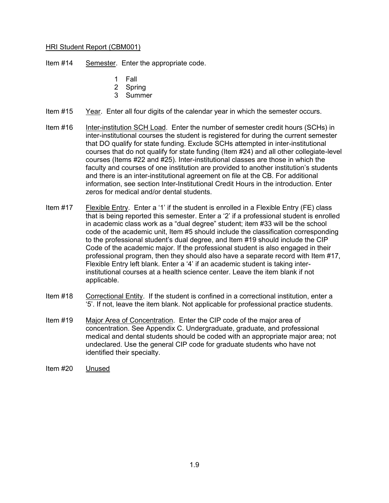Item #14 Semester. Enter the appropriate code.

- 1 Fall
- 2 Spring
- 3 Summer
- Item #15 Year. Enter all four digits of the calendar year in which the semester occurs.
- Item #16 Inter-institution SCH Load. Enter the number of semester credit hours (SCHs) in inter-institutional courses the student is registered for during the current semester that DO qualify for state funding. Exclude SCHs attempted in inter-institutional courses that do not qualify for state funding (Item #24) and all other collegiate-level courses (Items #22 and #25). Inter-institutional classes are those in which the faculty and courses of one institution are provided to another institution's students and there is an inter-institutional agreement on file at the CB. For additional information, see section Inter-Institutional Credit Hours in the introduction. Enter zeros for medical and/or dental students.
- Item #17 Flexible Entry. Enter a '1' if the student is enrolled in a Flexible Entry (FE) class that is being reported this semester. Enter a '2' if a professional student is enrolled in academic class work as a "dual degree" student; item #33 will be the school code of the academic unit, Item #5 should include the classification corresponding to the professional student's dual degree, and Item #19 should include the CIP Code of the academic major. If the professional student is also engaged in their professional program, then they should also have a separate record with Item #17, Flexible Entry left blank. Enter a '4' if an academic student is taking interinstitutional courses at a health science center. Leave the item blank if not applicable.
- Item #18 Correctional Entity. If the student is confined in a correctional institution, enter a '5'. If not, leave the item blank. Not applicable for professional practice students.
- Item #19 Major Area of Concentration. Enter the CIP code of the major area of concentration. See Appendix C. Undergraduate, graduate, and professional medical and dental students should be coded with an appropriate major area; not undeclared. Use the general CIP code for graduate students who have not identified their specialty.
- Item #20 Unused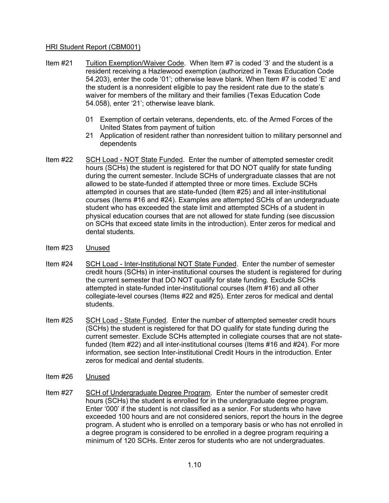- Item #21 Tuition Exemption/Waiver Code. When Item #7 is coded '3' and the student is a resident receiving a Hazlewood exemption (authorized in Texas Education Code 54.203), enter the code '01'; otherwise leave blank. When Item #7 is coded 'E' and the student is a nonresident eligible to pay the resident rate due to the state's waiver for members of the military and their families (Texas Education Code 54.058), enter '21'; otherwise leave blank.
	- 01 Exemption of certain veterans, dependents, etc. of the Armed Forces of the United States from payment of tuition
	- 21 Application of resident rather than nonresident tuition to military personnel and dependents
- Item #22 SCH Load NOT State Funded. Enter the number of attempted semester credit hours (SCHs) the student is registered for that DO NOT qualify for state funding during the current semester. Include SCHs of undergraduate classes that are not allowed to be state-funded if attempted three or more times. Exclude SCHs attempted in courses that are state-funded (Item #25) and all inter-institutional courses (Items #16 and #24). Examples are attempted SCHs of an undergraduate student who has exceeded the state limit and attempted SCHs of a student in physical education courses that are not allowed for state funding (see discussion on SCHs that exceed state limits in the introduction). Enter zeros for medical and dental students.
- Item #23 Unused
- Item #24 SCH Load Inter-Institutional NOT State Funded. Enter the number of semester credit hours (SCHs) in inter-institutional courses the student is registered for during the current semester that DO NOT qualify for state funding. Exclude SCHs attempted in state-funded inter-institutional courses (Item #16) and all other collegiate-level courses (Items #22 and #25). Enter zeros for medical and dental students.
- Item #25 SCH Load State Funded. Enter the number of attempted semester credit hours (SCHs) the student is registered for that DO qualify for state funding during the current semester. Exclude SCHs attempted in collegiate courses that are not statefunded (Item #22) and all inter-institutional courses (Items #16 and #24). For more information, see section Inter-institutional Credit Hours in the introduction. Enter zeros for medical and dental students.
- Item #26 Unused
- Item #27 SCH of Undergraduate Degree Program. Enter the number of semester credit hours (SCHs) the student is enrolled for in the undergraduate degree program. Enter '000' if the student is not classified as a senior. For students who have exceeded 100 hours and are not considered seniors, report the hours in the degree program. A student who is enrolled on a temporary basis or who has not enrolled in a degree program is considered to be enrolled in a degree program requiring a minimum of 120 SCHs. Enter zeros for students who are not undergraduates.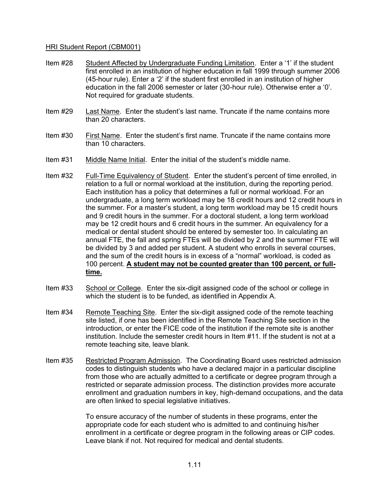- Item #28 Student Affected by Undergraduate Funding Limitation. Enter a '1' if the student first enrolled in an institution of higher education in fall 1999 through summer 2006 (45-hour rule). Enter a '2' if the student first enrolled in an institution of higher education in the fall 2006 semester or later (30-hour rule). Otherwise enter a '0'. Not required for graduate students.
- Item #29 Last Name. Enter the student's last name. Truncate if the name contains more than 20 characters.
- Item #30 First Name. Enter the student's first name. Truncate if the name contains more than 10 characters.
- Item #31 Middle Name Initial. Enter the initial of the student's middle name.
- Item #32 Full-Time Equivalency of Student. Enter the student's percent of time enrolled, in relation to a full or normal workload at the institution, during the reporting period. Each institution has a policy that determines a full or normal workload. For an undergraduate, a long term workload may be 18 credit hours and 12 credit hours in the summer. For a master's student, a long term workload may be 15 credit hours and 9 credit hours in the summer. For a doctoral student, a long term workload may be 12 credit hours and 6 credit hours in the summer. An equivalency for a medical or dental student should be entered by semester too. In calculating an annual FTE, the fall and spring FTEs will be divided by 2 and the summer FTE will be divided by 3 and added per student. A student who enrolls in several courses, and the sum of the credit hours is in excess of a "normal" workload, is coded as 100 percent. **A student may not be counted greater than 100 percent, or fulltime.**
- Item #33 School or College. Enter the six-digit assigned code of the school or college in which the student is to be funded, as identified in Appendix A.
- Item #34 Remote Teaching Site. Enter the six-digit assigned code of the remote teaching site listed, if one has been identified in the Remote Teaching Site section in the introduction, or enter the FICE code of the institution if the remote site is another institution. Include the semester credit hours in Item #11. If the student is not at a remote teaching site, leave blank.
- Item #35 Restricted Program Admission. The Coordinating Board uses restricted admission codes to distinguish students who have a declared major in a particular discipline from those who are actually admitted to a certificate or degree program through a restricted or separate admission process. The distinction provides more accurate enrollment and graduation numbers in key, high-demand occupations, and the data are often linked to special legislative initiatives.

To ensure accuracy of the number of students in these programs, enter the appropriate code for each student who is admitted to and continuing his/her enrollment in a certificate or degree program in the following areas or CIP codes. Leave blank if not. Not required for medical and dental students.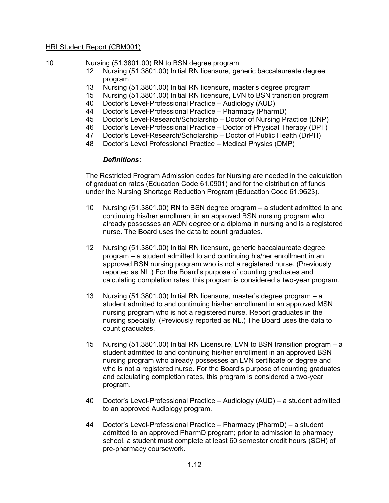10 Nursing (51.3801.00) RN to BSN degree program

- 12 Nursing (51.3801.00) Initial RN licensure, generic baccalaureate degree program
- 13 Nursing (51.3801.00) Initial RN licensure, master's degree program
- 15 Nursing (51.3801.00) Initial RN licensure, LVN to BSN transition program
- 40 Doctor's Level-Professional Practice Audiology (AUD)
- 44 Doctor's Level-Professional Practice Pharmacy (PharmD)
- 45 Doctor's Level-Research/Scholarship Doctor of Nursing Practice (DNP)
- 46 Doctor's Level-Professional Practice Doctor of Physical Therapy (DPT)
- 47 Doctor's Level-Research/Scholarship Doctor of Public Health (DrPH)
- 48 Doctor's Level Professional Practice Medical Physics (DMP)

#### *Definitions:*

The Restricted Program Admission codes for Nursing are needed in the calculation of graduation rates (Education Code 61.0901) and for the distribution of funds under the Nursing Shortage Reduction Program (Education Code 61.9623).

- 10 Nursing (51.3801.00) RN to BSN degree program a student admitted to and continuing his/her enrollment in an approved BSN nursing program who already possesses an ADN degree or a diploma in nursing and is a registered nurse. The Board uses the data to count graduates.
- 12 Nursing (51.3801.00) Initial RN licensure, generic baccalaureate degree program – a student admitted to and continuing his/her enrollment in an approved BSN nursing program who is not a registered nurse. (Previously reported as NL.) For the Board's purpose of counting graduates and calculating completion rates, this program is considered a two-year program.
- 13 Nursing (51.3801.00) Initial RN licensure, master's degree program a student admitted to and continuing his/her enrollment in an approved MSN nursing program who is not a registered nurse. Report graduates in the nursing specialty. (Previously reported as NL.) The Board uses the data to count graduates.
- 15 Nursing (51.3801.00) Initial RN Licensure, LVN to BSN transition program a student admitted to and continuing his/her enrollment in an approved BSN nursing program who already possesses an LVN certificate or degree and who is not a registered nurse. For the Board's purpose of counting graduates and calculating completion rates, this program is considered a two-year program.
- 40 Doctor's Level-Professional Practice Audiology (AUD) a student admitted to an approved Audiology program.
- 44 Doctor's Level-Professional Practice Pharmacy (PharmD) a student admitted to an approved PharmD program; prior to admission to pharmacy school, a student must complete at least 60 semester credit hours (SCH) of pre-pharmacy coursework.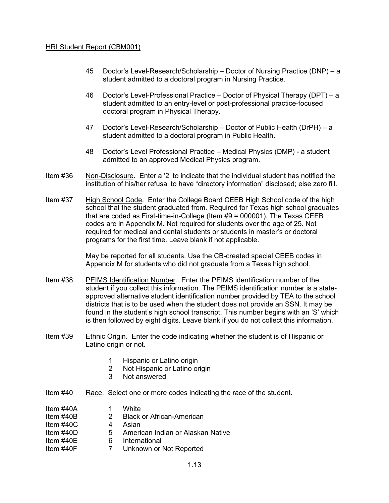- 45 Doctor's Level-Research/Scholarship Doctor of Nursing Practice (DNP) a student admitted to a doctoral program in Nursing Practice.
- 46 Doctor's Level-Professional Practice Doctor of Physical Therapy (DPT) a student admitted to an entry-level or post-professional practice-focused doctoral program in Physical Therapy.
- 47 Doctor's Level-Research/Scholarship Doctor of Public Health (DrPH) a student admitted to a doctoral program in Public Health.
- 48 Doctor's Level Professional Practice Medical Physics (DMP) a student admitted to an approved Medical Physics program.
- Item #36 Non-Disclosure. Enter a '2' to indicate that the individual student has notified the institution of his/her refusal to have "directory information" disclosed; else zero fill.
- Item #37 High School Code. Enter the College Board CEEB High School code of the high school that the student graduated from. Required for Texas high school graduates that are coded as First-time-in-College (Item #9 = 000001). The Texas CEEB codes are in Appendix M. Not required for students over the age of 25. Not required for medical and dental students or students in master's or doctoral programs for the first time. Leave blank if not applicable.

May be reported for all students. Use the CB-created special CEEB codes in Appendix M for students who did not graduate from a Texas high school.

- Item #38 PEIMS Identification Number. Enter the PEIMS identification number of the student if you collect this information. The PEIMS identification number is a stateapproved alternative student identification number provided by TEA to the school districts that is to be used when the student does not provide an SSN. It may be found in the student's high school transcript. This number begins with an 'S' which is then followed by eight digits. Leave blank if you do not collect this information.
- Item #39 Ethnic Origin. Enter the code indicating whether the student is of Hispanic or Latino origin or not.
	- 1 Hispanic or Latino origin
	- 2 Not Hispanic or Latino origin
	- 3 Not answered
- Item #40 Race. Select one or more codes indicating the race of the student.
- Item #40A 1 White
- Item #40B 2 Black or African-American
- Item  $\#40C$  4 Asian
- Item #40D 5 American Indian or Alaskan Native
- Item #40E 6 International
- Item #40F 7 Unknown or Not Reported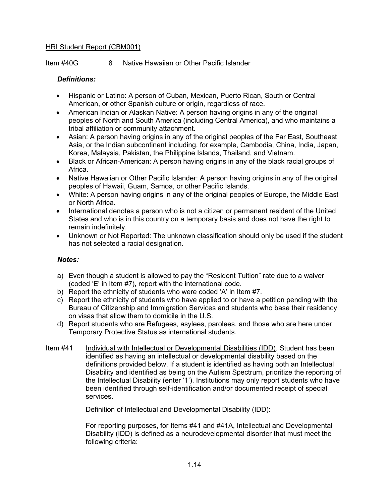Item #40G 8 Native Hawaiian or Other Pacific Islander

#### *Definitions:*

- Hispanic or Latino: A person of Cuban, Mexican, Puerto Rican, South or Central American, or other Spanish culture or origin, regardless of race.
- American Indian or Alaskan Native: A person having origins in any of the original peoples of North and South America (including Central America), and who maintains a tribal affiliation or community attachment.
- Asian: A person having origins in any of the original peoples of the Far East, Southeast Asia, or the Indian subcontinent including, for example, Cambodia, China, India, Japan, Korea, Malaysia, Pakistan, the Philippine Islands, Thailand, and Vietnam.
- Black or African-American: A person having origins in any of the black racial groups of Africa.
- Native Hawaiian or Other Pacific Islander: A person having origins in any of the original peoples of Hawaii, Guam, Samoa, or other Pacific Islands.
- White: A person having origins in any of the original peoples of Europe, the Middle East or North Africa.
- International denotes a person who is not a citizen or permanent resident of the United States and who is in this country on a temporary basis and does not have the right to remain indefinitely.
- Unknown or Not Reported: The unknown classification should only be used if the student has not selected a racial designation.

#### *Notes:*

- a) Even though a student is allowed to pay the "Resident Tuition" rate due to a waiver (coded 'E' in Item #7), report with the international code.
- b) Report the ethnicity of students who were coded 'A' in Item #7.
- c) Report the ethnicity of students who have applied to or have a petition pending with the Bureau of Citizenship and Immigration Services and students who base their residency on visas that allow them to domicile in the U.S.
- d) Report students who are Refugees, asylees, parolees, and those who are here under Temporary Protective Status as international students.
- Item #41 Individual with Intellectual or Developmental Disabilities (IDD). Student has been identified as having an intellectual or developmental disability based on the definitions provided below. If a student is identified as having both an Intellectual Disability and identified as being on the Autism Spectrum, prioritize the reporting of the Intellectual Disability (enter '1'). Institutions may only report students who have been identified through self-identification and/or documented receipt of special services.

#### Definition of Intellectual and Developmental Disability (IDD):

For reporting purposes, for Items #41 and #41A, Intellectual and Developmental Disability (IDD) is defined as a neurodevelopmental disorder that must meet the following criteria: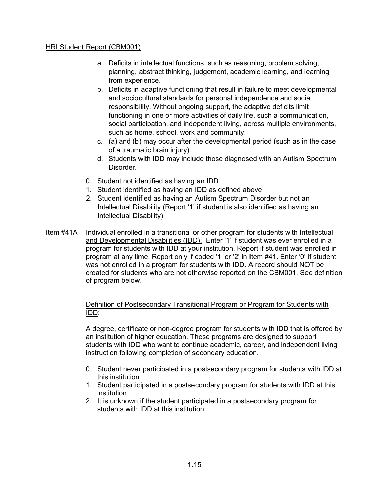- a. Deficits in intellectual functions, such as reasoning, problem solving, planning, abstract thinking, judgement, academic learning, and learning from experience.
- b. Deficits in adaptive functioning that result in failure to meet developmental and sociocultural standards for personal independence and social responsibility. Without ongoing support, the adaptive deficits limit functioning in one or more activities of daily life, such a communication, social participation, and independent living, across multiple environments, such as home, school, work and community.
- c. (a) and (b) may occur after the developmental period (such as in the case of a traumatic brain injury).
- d. Students with IDD may include those diagnosed with an Autism Spectrum Disorder.
- 0. Student not identified as having an IDD
- 1. Student identified as having an IDD as defined above
- 2. Student identified as having an Autism Spectrum Disorder but not an Intellectual Disability (Report '1' if student is also identified as having an Intellectual Disability)
- Item #41A Individual enrolled in a transitional or other program for students with Intellectual and Developmental Disabilities (IDD). Enter '1' if student was ever enrolled in a program for students with IDD at your institution. Report if student was enrolled in program at any time. Report only if coded '1' or '2' in Item #41. Enter '0' if student was not enrolled in a program for students with IDD. A record should NOT be created for students who are not otherwise reported on the CBM001. See definition of program below.

#### Definition of Postsecondary Transitional Program or Program for Students with IDD:

A degree, certificate or non-degree program for students with IDD that is offered by an institution of higher education. These programs are designed to support students with IDD who want to continue academic, career, and independent living instruction following completion of secondary education.

- 0. Student never participated in a postsecondary program for students with IDD at this institution
- 1. Student participated in a postsecondary program for students with IDD at this institution
- 2. It is unknown if the student participated in a postsecondary program for students with IDD at this institution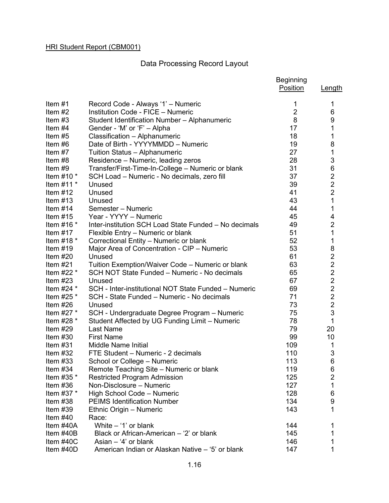#### Data Processing Record Layout

|                          |                                                                    | <b>Beginning</b><br>Position | <b>Length</b>  |
|--------------------------|--------------------------------------------------------------------|------------------------------|----------------|
| Item $#1$                | Record Code - Always '1' - Numeric                                 | 1                            | 1              |
| Item $#2$                | <b>Institution Code - FICE - Numeric</b>                           | $\overline{2}$               | 6              |
| Item $#3$                | Student Identification Number - Alphanumeric                       | 8                            | 9              |
| Item $#4$                | Gender - 'M' or 'F' - Alpha                                        | 17                           | 1              |
| Item $#5$                | Classification - Alphanumeric                                      | 18                           | 1              |
| Item #6                  | Date of Birth - YYYYMMDD - Numeric                                 | 19                           | 8              |
| Item $#7$                | Tuition Status - Alphanumeric                                      | 27                           | 1              |
| Item #8                  | Residence - Numeric, leading zeros                                 | 28                           | 3              |
| Item $#9$                | Transfer/First-Time-In-College - Numeric or blank                  | 31                           | 6              |
| Item $#10$ $*$           | SCH Load - Numeric - No decimals, zero fill                        | 37                           | $\overline{c}$ |
| Item $#11$ *             | Unused                                                             | 39                           | $\overline{2}$ |
| Item $#12$               | Unused                                                             | 41                           | $\overline{2}$ |
| Item $#13$               | Unused                                                             | 43                           | $\mathbf 1$    |
| Item $#14$               | Semester - Numeric                                                 | 44                           | 1              |
| Item $#15$               | Year - YYYY - Numeric                                              | 45                           | 4              |
| Item $#16$ *             | Inter-institution SCH Load State Funded - No decimals              | 49                           | $\overline{2}$ |
| Item $#17$               | Flexible Entry - Numeric or blank                                  | 51                           | 1              |
| Item $#18$ *             | Correctional Entity - Numeric or blank                             | 52                           | 1              |
| Item $#19$               | Major Area of Concentration - CIP - Numeric                        | 53                           |                |
| Item $#20$               | Unused                                                             | 61                           |                |
| Item $#21$               | Tuition Exemption/Waiver Code – Numeric or blank                   | 63                           |                |
| Item $#22$ $*$           | SCH NOT State Funded - Numeric - No decimals                       | 65                           | 822222         |
| Item $#23$               | Unused                                                             | 67                           |                |
| Item $#24$ *             | SCH - Inter-institutional NOT State Funded - Numeric               | 69                           |                |
| Item #25 $*$             | SCH - State Funded - Numeric - No decimals                         | 71                           | $\overline{c}$ |
| Item $#26$               | Unused                                                             | 73                           | $\overline{2}$ |
| Item $#27$ $*$           | SCH - Undergraduate Degree Program - Numeric                       | 75                           | 3              |
| Item $#28$ $*$           | Student Affected by UG Funding Limit - Numeric                     | 78                           | $\mathbf{1}$   |
| Item $#29$               | <b>Last Name</b>                                                   | 79                           | 20             |
| Item $#30$               | <b>First Name</b>                                                  | 99                           | 10             |
| Item $#31$               | <b>Middle Name Initial</b>                                         | 109                          | 1              |
| Item $#32$               | FTE Student - Numeric - 2 decimals                                 | 110                          | 3              |
| Item $#33$               | School or College - Numeric                                        | 113                          | 6              |
| Item $#34$               | Remote Teaching Site - Numeric or blank                            | 119                          | 6              |
| Item #35 $*$             | <b>Restricted Program Admission</b>                                | 125                          | $\overline{c}$ |
| Item $#36$               | Non-Disclosure - Numeric                                           | 127                          | 1              |
| Item $#37$ $*$           | High School Code - Numeric                                         | 128                          | 6              |
| Item $#38$               | <b>PEIMS Identification Number</b>                                 | 134                          | 9<br>1         |
| Item $#39$               | Ethnic Origin - Numeric                                            | 143                          |                |
| Item $#40$               | Race:                                                              |                              |                |
| Item #40A<br>Item $#40B$ | White $-$ '1' or blank<br>Black or African-American – '2' or blank | 144<br>145                   | 1              |
| Item $#40C$              | Asian $-$ '4' or blank                                             | 146                          | 1              |
| Item #40D                | American Indian or Alaskan Native - '5' or blank                   | 147                          | 1              |
|                          |                                                                    |                              |                |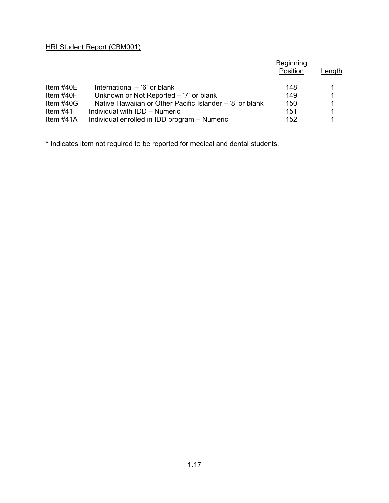|              |                                                          | <b>Beginning</b><br>Position | Length |
|--------------|----------------------------------------------------------|------------------------------|--------|
| Item $\#40E$ | International – '6' or blank                             | 148                          |        |
| Item $\#40F$ | Unknown or Not Reported $-$ '7' or blank                 | 149                          | 1      |
| Item $#40G$  | Native Hawaiian or Other Pacific Islander – '8' or blank | 150                          |        |
| Item #41     | Individual with IDD - Numeric                            | 151                          | 1      |
| Item $#41A$  | Individual enrolled in IDD program - Numeric             | 152                          |        |

\* Indicates item not required to be reported for medical and dental students.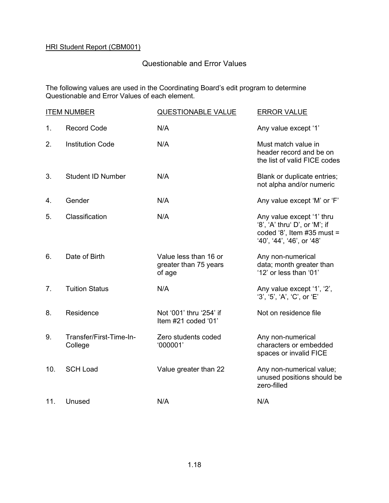#### Questionable and Error Values

The following values are used in the Coordinating Board's edit program to determine Questionable and Error Values of each element.

| <b>ITEM NUMBER</b> |                                    | <b>QUESTIONABLE VALUE</b>                                | <b>ERROR VALUE</b>                                                                                                      |
|--------------------|------------------------------------|----------------------------------------------------------|-------------------------------------------------------------------------------------------------------------------------|
| 1.                 | <b>Record Code</b>                 | N/A                                                      | Any value except '1'                                                                                                    |
| 2.                 | <b>Institution Code</b>            | N/A                                                      | Must match value in<br>header record and be on<br>the list of valid FICE codes                                          |
| 3.                 | <b>Student ID Number</b>           | N/A                                                      | Blank or duplicate entries;<br>not alpha and/or numeric                                                                 |
| 4.                 | Gender                             | N/A                                                      | Any value except 'M' or 'F'                                                                                             |
| 5.                 | Classification                     | N/A                                                      | Any value except '1' thru<br>'8', 'A' thru' D', or 'M'; if<br>coded '8', Item $#35$ must =<br>'40', '44', '46', or '48' |
| 6.                 | Date of Birth                      | Value less than 16 or<br>greater than 75 years<br>of age | Any non-numerical<br>data; month greater than<br>'12' or less than '01'                                                 |
| 7.                 | <b>Tuition Status</b>              | N/A                                                      | Any value except '1', '2',<br>'3', '5', 'A', 'C', or 'E'                                                                |
| 8.                 | Residence                          | Not '001' thru '254' if<br>Item #21 coded '01'           | Not on residence file                                                                                                   |
| 9.                 | Transfer/First-Time-In-<br>College | Zero students coded<br>'000001'                          | Any non-numerical<br>characters or embedded<br>spaces or invalid FICE                                                   |
| 10.                | <b>SCH Load</b>                    | Value greater than 22                                    | Any non-numerical value;<br>unused positions should be<br>zero-filled                                                   |
| 11.                | Unused                             | N/A                                                      | N/A                                                                                                                     |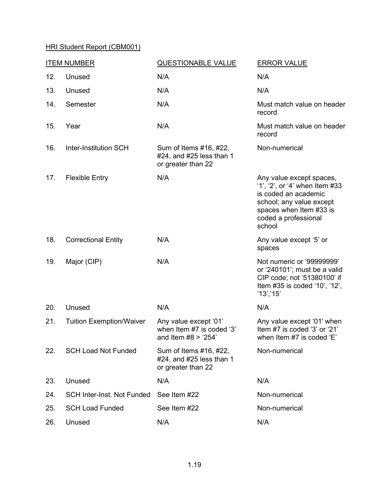| <b>ITEM NUMBER</b> |                                   | <b>QUESTIONABLE VALUE</b>                                                   | <b>ERROR VALUE</b>                                                                                                                                                          |
|--------------------|-----------------------------------|-----------------------------------------------------------------------------|-----------------------------------------------------------------------------------------------------------------------------------------------------------------------------|
| 12.                | Unused                            | N/A                                                                         | N/A                                                                                                                                                                         |
| 13.                | Unused                            | N/A                                                                         | N/A                                                                                                                                                                         |
| 14.                | Semester                          | N/A                                                                         | Must match value on header<br>record                                                                                                                                        |
| 15.                | Year                              | N/A                                                                         | Must match value on header<br>record                                                                                                                                        |
| 16.                | <b>Inter-Institution SCH</b>      | Sum of Items #16, #22,<br>#24, and #25 less than 1<br>or greater than 22    | Non-numerical                                                                                                                                                               |
| 17.                | <b>Flexible Entry</b>             | N/A                                                                         | Any value except spaces,<br>'1', '2', or '4' when Item #33<br>is coded an academic<br>school; any value except<br>spaces when Item #33 is<br>coded a professional<br>school |
| 18.                | <b>Correctional Entity</b>        | N/A                                                                         | Any value except '5' or<br>spaces                                                                                                                                           |
| 19.                | Major (CIP)                       | N/A                                                                         | Not numeric or '99999999'<br>or '240101'; must be a valid<br>CIP code; not '51380100' if<br>Item #35 is coded '10', '12',<br>'13', '15'                                     |
| 20.                | Unused                            | N/A                                                                         | N/A                                                                                                                                                                         |
| 21.                | <b>Tuition Exemption/Waiver</b>   | Any value except '01'<br>when Item #7 is coded '3'<br>and Item $#8 > '254'$ | Any value except '01' when<br>Item #7 is coded '3' or '21'<br>when Item #7 is coded 'E'                                                                                     |
| 22.                | <b>SCH Load Not Funded</b>        | Sum of Items #16, #22,<br>#24, and #25 less than 1<br>or greater than 22    | Non-numerical                                                                                                                                                               |
| 23.                | Unused                            | N/A                                                                         | N/A                                                                                                                                                                         |
| 24.                | <b>SCH Inter-Inst. Not Funded</b> | See Item #22                                                                | Non-numerical                                                                                                                                                               |
| 25.                | <b>SCH Load Funded</b>            | See Item #22                                                                | Non-numerical                                                                                                                                                               |
| 26.                | Unused                            | N/A                                                                         | N/A                                                                                                                                                                         |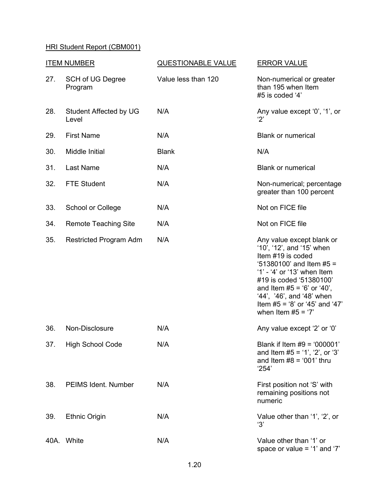| <b>ITEM NUMBER</b> |                                        | <b>QUESTIONABLE VALUE</b> | <b>ERROR VALUE</b>                                                                                                                                                                                                                                                                            |  |
|--------------------|----------------------------------------|---------------------------|-----------------------------------------------------------------------------------------------------------------------------------------------------------------------------------------------------------------------------------------------------------------------------------------------|--|
| 27.                | <b>SCH of UG Degree</b><br>Program     | Value less than 120       | Non-numerical or greater<br>than 195 when Item<br>#5 is coded '4'                                                                                                                                                                                                                             |  |
| 28.                | <b>Student Affected by UG</b><br>Level | N/A                       | Any value except '0', '1', or<br>'2'                                                                                                                                                                                                                                                          |  |
| 29.                | <b>First Name</b>                      | N/A                       | <b>Blank or numerical</b>                                                                                                                                                                                                                                                                     |  |
| 30.                | Middle Initial                         | <b>Blank</b>              | N/A                                                                                                                                                                                                                                                                                           |  |
| 31.                | Last Name                              | N/A                       | <b>Blank or numerical</b>                                                                                                                                                                                                                                                                     |  |
| 32.                | <b>FTE Student</b>                     | N/A                       | Non-numerical; percentage<br>greater than 100 percent                                                                                                                                                                                                                                         |  |
| 33.                | School or College                      | N/A                       | Not on FICE file                                                                                                                                                                                                                                                                              |  |
| 34.                | <b>Remote Teaching Site</b>            | N/A                       | Not on FICE file                                                                                                                                                                                                                                                                              |  |
| 35.                | <b>Restricted Program Adm</b>          | N/A                       | Any value except blank or<br>'10', '12', and '15' when<br>Item #19 is coded<br>$451380100$ ' and Item #5 =<br>'1' - '4' or '13' when Item<br>#19 is coded '51380100'<br>and Item $#5 = '6'$ or '40',<br>'44', '46', and '48' when<br>Item $#5 = '8'$ or '45' and '47'<br>when Item $#5 = '7'$ |  |
| 36.                | Non-Disclosure                         | N/A                       | Any value except '2' or '0'                                                                                                                                                                                                                                                                   |  |
| 37.                | <b>High School Code</b>                | N/A                       | Blank if Item $#9 = '000001'$<br>and Item $#5 = '1', '2',$ or '3'<br>and Item $#8 = '001'$ thru<br>'254'                                                                                                                                                                                      |  |
| 38.                | PEIMS Ident. Number                    | N/A                       | First position not 'S' with<br>remaining positions not<br>numeric                                                                                                                                                                                                                             |  |
| 39.                | <b>Ethnic Origin</b>                   | N/A                       | Value other than '1', '2', or<br>'3'                                                                                                                                                                                                                                                          |  |
|                    | 40A. White                             | N/A                       | Value other than '1' or<br>space or value = $'1'$ and '7'                                                                                                                                                                                                                                     |  |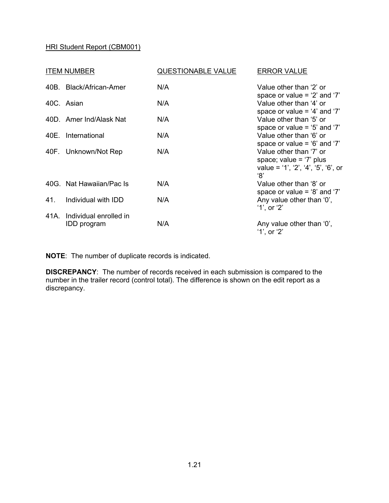| <b>ITEM NUMBER</b> |                                            | <b>QUESTIONABLE VALUE</b> | <b>ERROR VALUE</b>                                                                                 |  |
|--------------------|--------------------------------------------|---------------------------|----------------------------------------------------------------------------------------------------|--|
| 40B.               | <b>Black/African-Amer</b>                  | N/A                       | Value other than '2' or<br>space or value = $2'$ and $7'$                                          |  |
|                    | 40C. Asian                                 | N/A                       | Value other than '4' or<br>space or value = $4'$ and $7'$                                          |  |
|                    | 40D. Amer Ind/Alask Nat                    | N/A                       | Value other than '5' or<br>space or value = $5'$ and $7'$                                          |  |
| 40E.               | International                              | N/A                       | Value other than '6' or<br>space or value = $6'$ and $7'$                                          |  |
|                    | 40F. Unknown/Not Rep                       | N/A                       | Value other than '7' or<br>space; value = $'7'$ plus<br>value = '1', '2', '4', '5', '6', or<br>'8' |  |
|                    | 40G. Nat Hawaiian/Pac Is                   | N/A                       | Value other than '8' or<br>space or value = $8'$ and $7'$                                          |  |
| 41.                | Individual with IDD                        | N/A                       | Any value other than '0',<br>$'1'$ , or $'2'$                                                      |  |
|                    | 41A. Individual enrolled in<br>IDD program | N/A                       | Any value other than '0',<br>'1', or '2'                                                           |  |

**NOTE**: The number of duplicate records is indicated.

**DISCREPANCY**: The number of records received in each submission is compared to the number in the trailer record (control total). The difference is shown on the edit report as a discrepancy.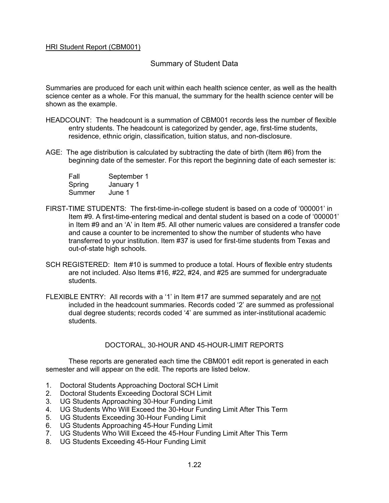#### Summary of Student Data

Summaries are produced for each unit within each health science center, as well as the health science center as a whole. For this manual, the summary for the health science center will be shown as the example.

- HEADCOUNT: The headcount is a summation of CBM001 records less the number of flexible entry students. The headcount is categorized by gender, age, first-time students, residence, ethnic origin, classification, tuition status, and non-disclosure.
- AGE: The age distribution is calculated by subtracting the date of birth (Item #6) from the beginning date of the semester. For this report the beginning date of each semester is:

| Fall   | September 1 |
|--------|-------------|
| Spring | January 1   |
| Summer | June 1      |

- FIRST-TIME STUDENTS: The first-time-in-college student is based on a code of '000001' in Item #9. A first-time-entering medical and dental student is based on a code of '000001' in Item #9 and an 'A' in Item #5. All other numeric values are considered a transfer code and cause a counter to be incremented to show the number of students who have transferred to your institution. Item #37 is used for first-time students from Texas and out-of-state high schools.
- SCH REGISTERED: Item #10 is summed to produce a total. Hours of flexible entry students are not included. Also Items #16, #22, #24, and #25 are summed for undergraduate students.
- FLEXIBLE ENTRY: All records with a '1' in Item #17 are summed separately and are not included in the headcount summaries. Records coded '2' are summed as professional dual degree students; records coded '4' are summed as inter-institutional academic students.

#### DOCTORAL, 30-HOUR AND 45-HOUR-LIMIT REPORTS

These reports are generated each time the CBM001 edit report is generated in each semester and will appear on the edit. The reports are listed below.

- 1. Doctoral Students Approaching Doctoral SCH Limit
- 2. Doctoral Students Exceeding Doctoral SCH Limit
- 3. UG Students Approaching 30-Hour Funding Limit
- 4. UG Students Who Will Exceed the 30-Hour Funding Limit After This Term
- 5. UG Students Exceeding 30-Hour Funding Limit
- 6. UG Students Approaching 45-Hour Funding Limit
- 7. UG Students Who Will Exceed the 45-Hour Funding Limit After This Term
- 8. UG Students Exceeding 45-Hour Funding Limit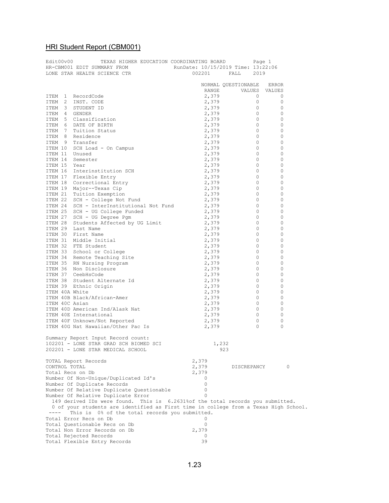| Edit00v00               | TEXAS HIGHER EDUCATION COORDINATING BOARD                                                                       |          | Page 1              |       |
|-------------------------|-----------------------------------------------------------------------------------------------------------------|----------|---------------------|-------|
|                         | HR-CBM001 EDIT SUMMARY FROM RunDate: 10/15/2019 Time: 13:22:06<br>LONE STAR HEALTH SCIENCE CTR 002201 FALL 2019 |          |                     |       |
|                         |                                                                                                                 |          |                     |       |
|                         |                                                                                                                 |          | NORMAL QUESTIONABLE | ERROR |
|                         |                                                                                                                 |          | RANGE VALUES VALUES |       |
| ITEM 1                  | RecordCode                                                                                                      | 2,379    | 0                   | 0     |
| - 2<br>ITEM             | INST. CODE                                                                                                      | 2,379    | 0                   | 0     |
| ITEM 3                  | STUDENT ID                                                                                                      | 2,379    | $\circ$             | 0     |
| ITEM<br>-4              | GENDER                                                                                                          | 2,379    | 0                   | 0     |
| ITEM<br>5               | Classification                                                                                                  | 2,379    | 0                   | 0     |
| ITEM<br>- 6             | DATE OF BIRTH                                                                                                   | 2,379    | 0                   | 0     |
| ITEM<br>$\overline{7}$  | Tuition Status                                                                                                  | 2,379    | 0                   | 0     |
| - 8                     | Residence                                                                                                       |          | 0                   | 0     |
| ITEM                    |                                                                                                                 | 2,379    |                     |       |
| ITEM<br>9               | Transfer                                                                                                        | 2,379    | 0                   | 0     |
| ITEM 10                 | SCH Load - On Campus                                                                                            | 2,379    | 0                   | 0     |
| ITEM 11                 | Unused                                                                                                          | 2,379    | 0                   | 0     |
| ITEM 14                 | Semester                                                                                                        | 2,379    | 0                   | 0     |
| ITEM 15                 | Year                                                                                                            | 2,379    | 0                   | 0     |
| ITEM 16                 | Interinstitution SCH                                                                                            | 2,379    | 0                   | 0     |
|                         | ITEM 17 Flexible Entry                                                                                          | 2,379    | 0                   | 0     |
|                         | ITEM 18 Correctional Entry                                                                                      | 2,379    | 0                   | 0     |
|                         | ITEM 19 Major--Texas Cip                                                                                        | 2,379    | 0                   | 0     |
|                         | ITEM 21 Tuition Exemption                                                                                       | 2,379    | 0                   | 0     |
|                         | ITEM 22 SCH - College Not Fund                                                                                  | 2,379    | 0                   | 0     |
|                         | ITEM 24 SCH - InterInstitutional Not Fund 2,379                                                                 |          | 0                   | 0     |
|                         | ITEM 25 SCH - UG College Funded                                                                                 | 2,379    | 0                   | 0     |
| ITEM 27                 | SCH - UG Degree Pgm                                                                                             | 2,379    | 0                   | 0     |
| ITEM 28                 | Students Affected by UG Limit                                                                                   | 2,379    | 0                   | 0     |
|                         | ITEM 29 Last Name                                                                                               | 2,379    | 0                   | 0     |
|                         | ITEM 30 First Name                                                                                              | 2,379    | 0                   | 0     |
|                         | ITEM 31 Middle Initial                                                                                          | 2,379    | 0                   | 0     |
|                         | ITEM 32 FTE Student                                                                                             | 2,379    | 0                   | 0     |
|                         | ITEM 33 School or College                                                                                       | 2,379    | 0                   | 0     |
|                         | ITEM 34 Remote Teaching Site                                                                                    | 2,379    | 0                   | 0     |
|                         | ITEM 35 RN Nursing Program                                                                                      | 2,379    | 0                   | 0     |
|                         | ITEM 36 Non Disclosure                                                                                          | 2,379    | 0                   | 0     |
|                         | ITEM 37 CeebHsCode                                                                                              | 2,379    | 0                   | 0     |
|                         | ITEM 38 Student Alternate Id                                                                                    | 2,379    | 0                   | 0     |
|                         |                                                                                                                 |          |                     |       |
|                         | ITEM 39 Ethnic Origin                                                                                           | 2,379    | 0                   | 0     |
| ITEM 40A White          |                                                                                                                 | 2,379    | 0                   | 0     |
|                         | ITEM 40B Black/African-Amer                                                                                     | 2,379    | 0                   | 0     |
| ITEM 40C Asian          |                                                                                                                 | 2,379    | 0                   | 0     |
|                         | ITEM 40D American Ind/Alask Nat                                                                                 | 2,379    | 0                   | 0     |
|                         | ITEM 40E International                                                                                          | 2,379    | 0                   | 0     |
|                         | ITEM 40F Unknown/Not Reported                                                                                   | 2,379    | 0                   | 0     |
|                         | ITEM 40G Nat Hawaiian/Other Pac Is                                                                              | 2,379    | 0                   | 0     |
|                         |                                                                                                                 |          |                     |       |
|                         | Summary Report Input Record count:                                                                              |          |                     |       |
|                         | 102201 - LONE STAR GRAD SCH BIOMED SCI                                                                          | 1,232    |                     |       |
|                         | 202201 - LONE STAR MEDICAL SCHOOL                                                                               | 923      |                     |       |
|                         |                                                                                                                 |          |                     |       |
|                         | TOTAL Report Records                                                                                            | 2,379    |                     |       |
| CONTROL TOTAL           |                                                                                                                 | 2,379    | DISCREPANCY         | 0     |
| Total Recs on Db        |                                                                                                                 | 2,379    |                     |       |
|                         | Number Of Non-Unique/Duplicated Id's                                                                            | 0        |                     |       |
|                         | Number Of Duplicate Records                                                                                     | $\circ$  |                     |       |
|                         | Number Of Relative Duplicate Questionable                                                                       | $\circ$  |                     |       |
|                         | Number Of Relative Duplicate Error                                                                              | $\Omega$ |                     |       |
|                         | 149 derived IDs were found. This is 6.2631% of the total records you submitted.                                 |          |                     |       |
|                         | 0 of your students are identified as First time in college from a Texas High School.                            |          |                     |       |
| $\qquad \qquad - - - -$ | This is 0% of the total records you submitted.                                                                  |          |                     |       |
|                         | Total Error Recs on Db                                                                                          | O        |                     |       |
|                         | Total Questionable Recs on Db                                                                                   | 0        |                     |       |
|                         | Total Non Error Records on Db                                                                                   | 2,379    |                     |       |
|                         | Total Rejected Records                                                                                          | 0        |                     |       |
|                         | Total Flexible Entry Records                                                                                    | 39       |                     |       |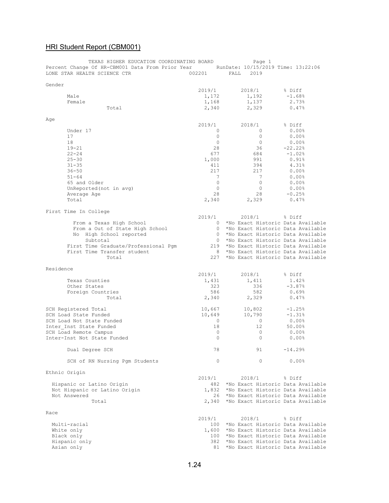| TEXAS HIGHER EDUCATION COORDINATING BOARD<br>Percent Change Of HR-CBM001 Data From Prior Year RunDate: 10/15/2019 Time: 13:22:06<br>LONE STAR HEALTH SCIENCE CTR | 002201            | Page 1<br>2019<br>FALL                      |                       |
|------------------------------------------------------------------------------------------------------------------------------------------------------------------|-------------------|---------------------------------------------|-----------------------|
| Gender                                                                                                                                                           |                   |                                             |                       |
|                                                                                                                                                                  | 2019/1            | 2018/1                                      | % Diff                |
| Male                                                                                                                                                             | 1,172             | 1,192                                       | $-1.68%$              |
| Female                                                                                                                                                           | 1,168             | 1,137                                       | 2.73%                 |
| Total                                                                                                                                                            | 2,340             | 2,329                                       | 0.47%                 |
|                                                                                                                                                                  |                   |                                             |                       |
| Age                                                                                                                                                              |                   |                                             |                       |
|                                                                                                                                                                  | 2019/1            | 2018/1                                      | % Diff                |
| Under 17                                                                                                                                                         | 0                 | $\circ$                                     | 0.00%                 |
| 17                                                                                                                                                               | $\circ$           | 0                                           | 0.00%                 |
| 18                                                                                                                                                               | $\circ$           | $\circ$                                     | $0.00$ <sup>8</sup>   |
| $19 - 21$                                                                                                                                                        | 28                | 36                                          | $-22.22$ <sup>8</sup> |
| $22 - 24$                                                                                                                                                        | 677               | 684                                         | $-1.02%$              |
| $25 - 30$                                                                                                                                                        | 1,000             | 991                                         | 0.91%                 |
| $31 - 35$                                                                                                                                                        | 411               | 394                                         | 4.31%                 |
| $36 - 50$                                                                                                                                                        | 217               | 217                                         | $0.00$ <sup>8</sup>   |
| $51 - 64$                                                                                                                                                        | 7                 | 7                                           | $0.00$ %              |
| 65 and Older                                                                                                                                                     | $\circ$           | $\circ$                                     | 0.00%                 |
| UnReported (not in avg)                                                                                                                                          | $\circ$           | $\circ$                                     | $0.00$ <sup>8</sup>   |
| Average Age                                                                                                                                                      | 28                | 28                                          | $-0.25%$              |
| Total                                                                                                                                                            | 2,340             | 2,329                                       | 0.47%                 |
|                                                                                                                                                                  |                   |                                             |                       |
| First Time In College                                                                                                                                            |                   |                                             |                       |
|                                                                                                                                                                  | 2019/1<br>$\circ$ | 2018/1<br>*No Exact Historic Data Available | % Diff                |
| From a Texas High School                                                                                                                                         | $\circ$           | *No Exact Historic Data Available           |                       |
| From a Out of State High School<br>No High School reported                                                                                                       | $\circ$           | *No Exact Historic Data Available           |                       |
| Subtotal                                                                                                                                                         | $\circ$           | *No Exact Historic Data Available           |                       |
| First Time Graduate/Professional Pgm                                                                                                                             | 219               | *No Exact Historic Data Available           |                       |
| First Time Transfer student                                                                                                                                      | 8                 | *No Exact Historic Data Available           |                       |
| Total                                                                                                                                                            | 227               | *No Exact Historic Data Available           |                       |
|                                                                                                                                                                  |                   |                                             |                       |
| Residence                                                                                                                                                        |                   |                                             |                       |
|                                                                                                                                                                  | 2019/1            | 2018/1                                      | % Diff                |
| Texas Counties                                                                                                                                                   | 1,431             | 1,411                                       | 1.42%                 |
| Other States                                                                                                                                                     | 323               | 336                                         | $-3.87%$              |
| Foreign Countries                                                                                                                                                | 586               | 582                                         | 0.69%                 |
| Total                                                                                                                                                            | 2,340             | 2,329                                       | 0.47%                 |
|                                                                                                                                                                  |                   |                                             |                       |
| SCH Registered Total                                                                                                                                             | 10,667            | 10,802                                      | $-1.25%$              |
| SCH Load State Funded                                                                                                                                            | 10,649            | 10,790                                      | $-1.31%$              |
| SCH Load Not State Funded                                                                                                                                        | $\circ$           | $\circ$                                     | $0.00\%$              |
| Inter Inst State Funded                                                                                                                                          | 18                | $12 \overline{ }$                           | 50.00%                |
| SCH Load Remote Campus                                                                                                                                           | 0                 | $\circ$                                     | $0.00$ %              |
| Inter-Inst Not State Funded                                                                                                                                      | $\mathbf{0}$      | 0                                           | 0.00%                 |
| Dual Degree SCH                                                                                                                                                  | 78                | 91                                          | $-14.29%$             |
| SCH of RN Nursing Pgm Students                                                                                                                                   | 0                 | 0                                           | $0.00$ %              |
|                                                                                                                                                                  |                   |                                             |                       |
| Ethnic Origin                                                                                                                                                    | 2019/1            | 2018/1                                      | % Diff                |
| Hispanic or Latino Origin                                                                                                                                        | 482               | *No Exact Historic Data Available           |                       |
| Not Hispanic or Latino Origin                                                                                                                                    | 1,832             | *No Exact Historic Data Available           |                       |
| Not Answered                                                                                                                                                     | 26                | *No Exact Historic Data Available           |                       |
| Total                                                                                                                                                            | 2,340             | *No Exact Historic Data Available           |                       |
|                                                                                                                                                                  |                   |                                             |                       |
| Race                                                                                                                                                             |                   |                                             |                       |
|                                                                                                                                                                  | 2019/1            | 2018/1                                      | % Diff                |
| Multi-racial                                                                                                                                                     | 100               | *No Exact Historic Data Available           |                       |
| White only                                                                                                                                                       | 1,600             | *No Exact Historic Data Available           |                       |
| Black only                                                                                                                                                       | 100               | *No Exact Historic Data Available           |                       |
| Hispanic only                                                                                                                                                    | 382               | *No Exact Historic Data Available           |                       |
| Asian only                                                                                                                                                       | 81                | *No Exact Historic Data Available           |                       |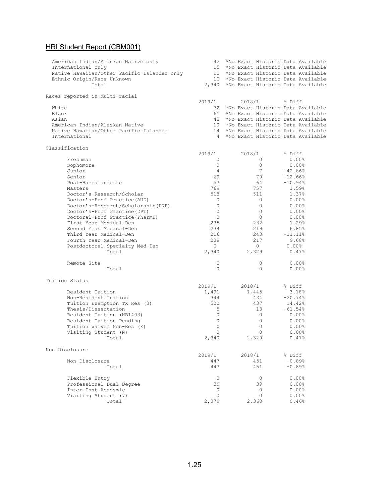| American Indian/Alaskan Native only<br>International only<br>Native Hawaiian/Other Pacific Islander only<br>Ethnic Origin/Race Unknown<br>Total | 42<br>15<br>10<br>10 | *No Exact Historic Data Available<br>*No Exact Historic Data Available<br>*No Exact Historic Data Available<br>*No Exact Historic Data Available<br>2,340 *No Exact Historic Data Available |                        |
|-------------------------------------------------------------------------------------------------------------------------------------------------|----------------------|---------------------------------------------------------------------------------------------------------------------------------------------------------------------------------------------|------------------------|
| Races reported in Multi-racial                                                                                                                  |                      |                                                                                                                                                                                             |                        |
|                                                                                                                                                 | 2019/1               | 2018/1                                                                                                                                                                                      | % Diff                 |
| White                                                                                                                                           | 72                   | *No Exact Historic Data Available                                                                                                                                                           |                        |
| Black                                                                                                                                           | 65                   | *No Exact Historic Data Available                                                                                                                                                           |                        |
| Asian                                                                                                                                           | 42                   | *No Exact Historic Data Available                                                                                                                                                           |                        |
| American Indian/Alaskan Native                                                                                                                  | 10                   | *No Exact Historic Data Available                                                                                                                                                           |                        |
| Native Hawaiian/Other Pacific Islander<br>International                                                                                         | 14<br>$\overline{4}$ | *No Exact Historic Data Available<br>*No Exact Historic Data Available                                                                                                                      |                        |
|                                                                                                                                                 |                      |                                                                                                                                                                                             |                        |
| Classification                                                                                                                                  |                      |                                                                                                                                                                                             |                        |
|                                                                                                                                                 | 2019/1               | 2018/1                                                                                                                                                                                      | % Diff                 |
| Freshman                                                                                                                                        | 0                    | 0                                                                                                                                                                                           | $0.00$ <sup>8</sup>    |
| Sophomore                                                                                                                                       | $\circ$<br>4         | 0<br>$7\phantom{.0}$                                                                                                                                                                        | 0.00%                  |
| Junior<br>Senior                                                                                                                                | 69                   | 79                                                                                                                                                                                          | $-42.86%$<br>$-12.66%$ |
| Post-Baccalaureate                                                                                                                              | 57                   | 64                                                                                                                                                                                          | $-10.94%$              |
| Masters                                                                                                                                         | 769                  | 757                                                                                                                                                                                         | 1.59%                  |
| Doctor's-Research/Scholar                                                                                                                       | 518                  | 511                                                                                                                                                                                         | 1.37%                  |
| Doctor's-Prof Practice (AUD)                                                                                                                    | 0                    | 0                                                                                                                                                                                           | 0.00%                  |
| Doctor's-Research/Scholarship(DNP)                                                                                                              | $\circ$              | $\circ$                                                                                                                                                                                     | 0.00%                  |
| Doctor's-Prof Practice (DPT)                                                                                                                    | $\circ$              | 0                                                                                                                                                                                           | 0.00%                  |
| Doctoral-Prof Practice (PharmD)                                                                                                                 | $\circ$              | $\circ$                                                                                                                                                                                     | $0.00$ <sup>8</sup>    |
| First Year Medical-Den                                                                                                                          | 235                  | 232                                                                                                                                                                                         | 1.29%                  |
| Second Year Medical-Den                                                                                                                         | 234                  | 219                                                                                                                                                                                         | 6.85%                  |
| Third Year Medical-Den                                                                                                                          | 216                  | 243                                                                                                                                                                                         | $-11.11$ %             |
| Fourth Year Medical-Den                                                                                                                         | 238                  | 217                                                                                                                                                                                         | 9.68%                  |
| Postdoctoral Specialty Med-Den                                                                                                                  | $\circ$              | $\circ$                                                                                                                                                                                     | $0.00$ %               |
| Total                                                                                                                                           | 2,340                | 2,329                                                                                                                                                                                       | 0.47%                  |
| Remote Site                                                                                                                                     | 0                    | 0                                                                                                                                                                                           | 0.00%                  |
| Total                                                                                                                                           | $\circ$              | $\Omega$                                                                                                                                                                                    | 0.00%                  |
| Tuition Status                                                                                                                                  |                      |                                                                                                                                                                                             |                        |
|                                                                                                                                                 | 2019/1               | 2018/1                                                                                                                                                                                      | % Diff                 |
| Resident Tuition                                                                                                                                | 1,491                | 1,445                                                                                                                                                                                       | 3.18%                  |
| Non-Resident Tuition                                                                                                                            | 344                  | 434                                                                                                                                                                                         | $-20.74%$              |
| Tuition Exemption TX Res (3)                                                                                                                    | 500                  | 437                                                                                                                                                                                         | 14.42%                 |
| Thesis/Dissertation                                                                                                                             | 5                    | 13                                                                                                                                                                                          | $-61.54%$              |
| Resident Tuition (HB1403)                                                                                                                       | $\circ$              | $\circ$                                                                                                                                                                                     | $0.00$ %               |
| Resident Tuition Pending                                                                                                                        | $\circ$              | 0                                                                                                                                                                                           | $0.00$ <sup>8</sup>    |
| Tuition Waiver Non-Res (E)                                                                                                                      | $\mathbf{0}$         | 0                                                                                                                                                                                           | 0.00%                  |
| Visiting Student (N)                                                                                                                            | $\Omega$             | $\Omega$                                                                                                                                                                                    | 0.00%                  |
| Total                                                                                                                                           | 2,340                | 2,329                                                                                                                                                                                       | 0.47%                  |
| Non Disclosure                                                                                                                                  |                      |                                                                                                                                                                                             |                        |
|                                                                                                                                                 | 2019/1               | 2018/1                                                                                                                                                                                      | % Diff                 |
| Non Disclosure                                                                                                                                  | 447                  | 451                                                                                                                                                                                         | $-0.89%$               |
| Total                                                                                                                                           | 447                  | 451                                                                                                                                                                                         | $-0.89%$               |
| Flexible Entry                                                                                                                                  | $\Omega$             | $\mathbf{0}$                                                                                                                                                                                | 0.00%                  |
| Professional Dual Degree                                                                                                                        | 39                   | 39                                                                                                                                                                                          | 0.00%                  |
| Inter-Inst Academic                                                                                                                             | 0                    | 0                                                                                                                                                                                           | 0.00%                  |
| Visiting Student (7)                                                                                                                            | $\Omega$             | $\Omega$                                                                                                                                                                                    | 0.00%                  |
| Total                                                                                                                                           | 2,379                | 2,368                                                                                                                                                                                       | 0.46%                  |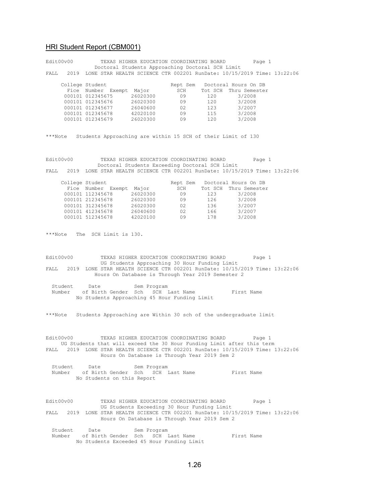|         | Edit00v00    |                                                              | TEXAS HIGHER EDUCATION COORDINATING BOARD         |                      |                          | Page 1                                                                           |  |
|---------|--------------|--------------------------------------------------------------|---------------------------------------------------|----------------------|--------------------------|----------------------------------------------------------------------------------|--|
|         |              |                                                              | Doctoral Students Approaching Doctoral SCH Limit  |                      |                          | FALL 2019 LONE STAR HEALTH SCIENCE CTR 002201 RunDate: 10/15/2019 Time: 13:22:06 |  |
|         |              |                                                              |                                                   |                      |                          |                                                                                  |  |
|         |              | College Student                                              |                                                   |                      |                          | Rept Sem Doctoral Hours On DB                                                    |  |
|         |              | Fice Number Exempt Major                                     |                                                   | SCH                  |                          | Tot SCH Thru Semester                                                            |  |
|         |              | 000101 012345675 26020300<br>000101 012345676 26020300       |                                                   | 09                   | 120                      | 3/2008                                                                           |  |
|         |              |                                                              |                                                   | 09                   | 120                      | 3/2008                                                                           |  |
|         |              | 000101 012345677<br>000101 012345678                         | 26040600<br>42020100                              | 02<br>$\frac{1}{09}$ | 123<br>$\frac{125}{115}$ | 3/2007<br>3/2008                                                                 |  |
|         |              | 000101 012345679 26020300                                    |                                                   | 09                   | 120                      | 3/2008                                                                           |  |
|         |              |                                                              |                                                   |                      |                          |                                                                                  |  |
|         |              |                                                              |                                                   |                      |                          |                                                                                  |  |
| ***Note |              | Students Approaching are within 15 SCH of their Limit of 130 |                                                   |                      |                          |                                                                                  |  |
|         |              |                                                              |                                                   |                      |                          |                                                                                  |  |
|         |              |                                                              |                                                   |                      |                          |                                                                                  |  |
|         | Edit00v00    |                                                              | TEXAS HIGHER EDUCATION COORDINATING BOARD         |                      |                          | Page 1                                                                           |  |
|         |              |                                                              | Doctoral Students Exceeding Doctoral SCH Limit    |                      |                          |                                                                                  |  |
| FALL    |              |                                                              |                                                   |                      |                          | 2019 LONE STAR HEALTH SCIENCE CTR 002201 RunDate: 10/15/2019 Time: 13:22:06      |  |
|         |              | College Student                                              |                                                   |                      |                          | Rept Sem Doctoral Hours On DB                                                    |  |
|         |              | Fice Number Exempt Major                                     |                                                   | SCH                  |                          | Tot SCH Thru Semester                                                            |  |
|         |              | 000101 112345678 26020300                                    |                                                   | 09                   |                          | 123 3/2008                                                                       |  |
|         |              | 000101 212345678 26020300<br>000101 312345678 26020300       |                                                   | 09                   | 126                      | 3/2008                                                                           |  |
|         |              |                                                              |                                                   | 02                   | 136                      | 3/2007                                                                           |  |
|         |              | 000101 412345678 26040600                                    |                                                   | 02 166 3/2007        |                          |                                                                                  |  |
|         |              | 000101 512345678 42020100                                    |                                                   | 09                   | 178                      | 3/2008                                                                           |  |
|         |              |                                                              |                                                   |                      |                          |                                                                                  |  |
| ***Note |              | The SCH Limit is 130.                                        |                                                   |                      |                          |                                                                                  |  |
|         |              |                                                              |                                                   |                      |                          |                                                                                  |  |
|         |              |                                                              |                                                   |                      |                          |                                                                                  |  |
|         |              |                                                              |                                                   |                      |                          |                                                                                  |  |
|         | Edit00v00    |                                                              | TEXAS HIGHER EDUCATION COORDINATING BOARD         |                      |                          | Page 1                                                                           |  |
|         |              |                                                              | UG Students Approaching 30 Hour Funding Limit     |                      |                          |                                                                                  |  |
|         |              |                                                              |                                                   |                      |                          | FALL 2019 LONE STAR HEALTH SCIENCE CTR 002201 RunDate: 10/15/2019 Time: 13:22:06 |  |
|         |              |                                                              | Hours On Database is Through Year 2019 Semester 2 |                      |                          |                                                                                  |  |
|         | Student Date |                                                              | Sem Program                                       |                      |                          |                                                                                  |  |
|         | Number       | of Birth Gender Sch SCH Last Name                            |                                                   |                      |                          | First Name                                                                       |  |
|         |              | No Students Approaching 45 Hour Funding Limit                |                                                   |                      |                          |                                                                                  |  |
|         |              |                                                              |                                                   |                      |                          |                                                                                  |  |
|         |              |                                                              |                                                   |                      |                          |                                                                                  |  |
|         |              |                                                              |                                                   |                      |                          | ***Note Students Approaching are Within 30 sch of the undergraduate limit        |  |
|         |              |                                                              |                                                   |                      |                          |                                                                                  |  |
|         |              |                                                              |                                                   |                      |                          |                                                                                  |  |
|         | Edit00v00    |                                                              | TEXAS HIGHER EDUCATION COORDINATING BOARD         |                      |                          | Page 1                                                                           |  |
|         |              |                                                              |                                                   |                      |                          | UG Students that will exceed the 30 Hour Funding Limit after this term           |  |
| FALL    |              |                                                              |                                                   |                      |                          | 2019 LONE STAR HEALTH SCIENCE CTR 002201 RunDate: 10/15/2019 Time: 13:22:06      |  |
|         |              |                                                              | Hours On Database is Through Year 2019 Sem 2      |                      |                          |                                                                                  |  |
|         |              |                                                              |                                                   |                      |                          |                                                                                  |  |
|         | Student Date |                                                              | Sem Program                                       |                      |                          |                                                                                  |  |
|         | Number       | of Birth Gender Sch SCH Last Name First Name                 |                                                   |                      |                          |                                                                                  |  |
|         |              | No Students on this Report                                   |                                                   |                      |                          |                                                                                  |  |
|         |              |                                                              |                                                   |                      |                          |                                                                                  |  |
|         |              |                                                              |                                                   |                      |                          |                                                                                  |  |
|         | Edit00v00    |                                                              | TEXAS HIGHER EDUCATION COORDINATING BOARD         |                      |                          | Page 1                                                                           |  |
|         |              |                                                              | UG Students Exceeding 30 Hour Funding Limit       |                      |                          |                                                                                  |  |
|         |              |                                                              |                                                   |                      |                          | FALL 2019 LONE STAR HEALTH SCIENCE CTR 002201 RunDate: 10/15/2019 Time: 13:22:06 |  |
|         |              |                                                              | Hours On Database is Through Year 2019 Sem 2      |                      |                          |                                                                                  |  |
|         |              |                                                              |                                                   |                      |                          |                                                                                  |  |
|         |              |                                                              |                                                   |                      |                          |                                                                                  |  |
|         | Student Date |                                                              | Sem Program                                       |                      |                          |                                                                                  |  |
|         |              | Number of Birth Gender Sch SCH Last Name                     |                                                   |                      |                          | First Name                                                                       |  |
|         |              | No Students Exceeded 45 Hour Funding Limit                   |                                                   |                      |                          |                                                                                  |  |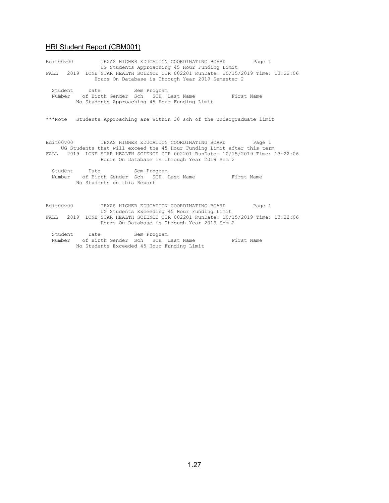Edit00v00 TEXAS HIGHER EDUCATION COORDINATING BOARD Page 1 UG Students Approaching 45 Hour Funding Limit FALL 2019 LONE STAR HEALTH SCIENCE CTR 002201 RunDate: 10/15/2019 Time: 13:22:06 Hours On Database is Through Year 2019 Semester 2 Student Date Sem Program Number of Birth Gender Sch SCH Last Name First Name No Students Approaching 45 Hour Funding Limit \*\*\*Note Students Approaching are Within 30 sch of the undergraduate limit Edit00v00 TEXAS HIGHER EDUCATION COORDINATING BOARD Page 1 UG Students that will exceed the 45 Hour Funding Limit after this term FALL 2019 LONE STAR HEALTH SCIENCE CTR 002201 RunDate: 10/15/2019 Time: 13:22:06 Hours On Database is Through Year 2019 Sem 2 Student Date Sem Program Number of Birth Gender Sch SCH Last Name First Name No Students on this Report Edit00v00 TEXAS HIGHER EDUCATION COORDINATING BOARD Page 1 UG Students Exceeding 45 Hour Funding Limit FALL 2019 LONE STAR HEALTH SCIENCE CTR 002201 RunDate: 10/15/2019 Time: 13:22:06 Hours On Database is Through Year 2019 Sem 2 Student Date Sem Program

Number of Birth Gender Sch SCH Last Name First Name No Students Exceeded 45 Hour Funding Limit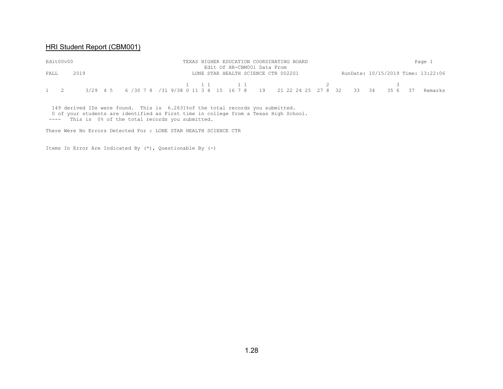| Edit00v00         |      |  |                                                                                     |  | Edit Of HR-CBM001 Data From | TEXAS HIGHER EDUCATION COORDINATING BOARD |  |  |                                    | Page 1  |
|-------------------|------|--|-------------------------------------------------------------------------------------|--|-----------------------------|-------------------------------------------|--|--|------------------------------------|---------|
| FALL              | 2019 |  |                                                                                     |  |                             | LONE STAR HEALTH SCIENCE CTR 002201       |  |  | RunDate: 10/15/2019 Time: 13:22:06 |         |
| $1 \quad 2 \quad$ |      |  | 3/29 4 5 6 /30 7 8 /31 9/38 0 11 3 4 15 16 7 8 19 21 22 24 25 27 8 32 33 34 35 6 37 |  |                             |                                           |  |  |                                    | Remarks |

 149 derived IDs were found. This is 6.2631%of the total records you submitted. 0 of your students are identified as First time in college from a Texas High School. ---- This is 0% of the total records you submitted.

There Were No Errors Detected For : LONE STAR HEALTH SCIENCE CTR

Items In Error Are Indicated By (\*), Questionable By (-)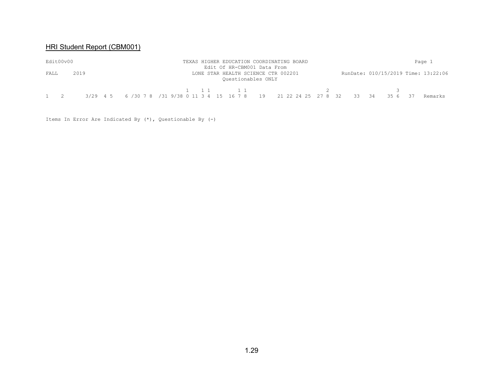|      | Edit00v00 |      |  |                                                                                               | TEXAS HIGHER EDUCATION COORDINATING BOARD<br>Edit Of HR-CBM001 Data From |  |  |  |       |                                     | Page 1  |
|------|-----------|------|--|-----------------------------------------------------------------------------------------------|--------------------------------------------------------------------------|--|--|--|-------|-------------------------------------|---------|
| FALL |           | 2019 |  |                                                                                               | LONE STAR HEALTH SCIENCE CTR 002201<br>Ouestionables ONLY                |  |  |  |       | RunDate: 010/15/2019 Time: 13:22:06 |         |
|      | $1 \t 2$  |      |  | 3/29  4  5  6  /30  7  8  /31  9/38  0  11  3  4  15  16  7  8  19  21  22  24  25  27  8  32 |                                                                          |  |  |  | 33 34 | 35 6                                | Remarks |

Items In Error Are Indicated By (\*), Questionable By (-)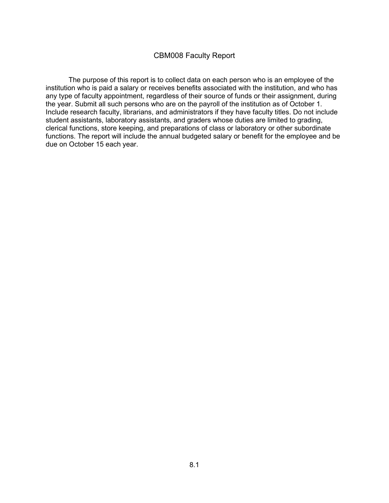### CBM008 Faculty Report

The purpose of this report is to collect data on each person who is an employee of the institution who is paid a salary or receives benefits associated with the institution, and who has any type of faculty appointment, regardless of their source of funds or their assignment, during the year. Submit all such persons who are on the payroll of the institution as of October 1. Include research faculty, librarians, and administrators if they have faculty titles. Do not include student assistants, laboratory assistants, and graders whose duties are limited to grading, clerical functions, store keeping, and preparations of class or laboratory or other subordinate functions. The report will include the annual budgeted salary or benefit for the employee and be due on October 15 each year.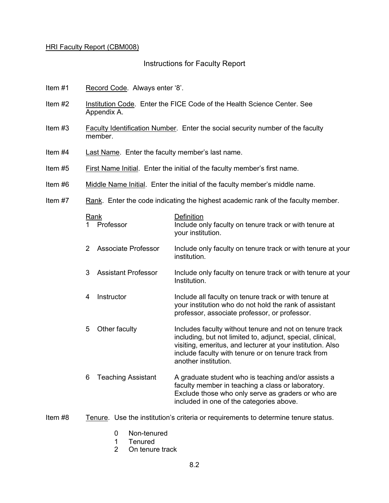### Instructions for Faculty Report

- Item #1 Record Code. Always enter '8'.
- Item #2 Institution Code. Enter the FICE Code of the Health Science Center. See Appendix A.
- Item #3 Faculty Identification Number. Enter the social security number of the faculty member.
- Item #4 Last Name. Enter the faculty member's last name.
- Item #5 First Name Initial. Enter the initial of the faculty member's first name.
- Item #6 Middle Name Initial. Enter the initial of the faculty member's middle name.
- Item #7 Rank. Enter the code indicating the highest academic rank of the faculty member.

|   | Rank                       | Definition                                                                                                                                                                                                                                                         |
|---|----------------------------|--------------------------------------------------------------------------------------------------------------------------------------------------------------------------------------------------------------------------------------------------------------------|
|   | Professor                  | Include only faculty on tenure track or with tenure at<br>your institution.                                                                                                                                                                                        |
| 2 | Associate Professor        | Include only faculty on tenure track or with tenure at your<br>institution.                                                                                                                                                                                        |
| 3 | <b>Assistant Professor</b> | Include only faculty on tenure track or with tenure at your<br>Institution.                                                                                                                                                                                        |
| 4 | Instructor                 | Include all faculty on tenure track or with tenure at<br>your institution who do not hold the rank of assistant<br>professor, associate professor, or professor.                                                                                                   |
| 5 | Other faculty              | Includes faculty without tenure and not on tenure track<br>including, but not limited to, adjunct, special, clinical,<br>visiting, emeritus, and lecturer at your institution. Also<br>include faculty with tenure or on tenure track from<br>another institution. |
| 6 | <b>Teaching Assistant</b>  | A graduate student who is teaching and/or assists a<br>faculty member in teaching a class or laboratory.<br>Exclude those who only serve as graders or who are<br>included in one of the categories above.                                                         |

- Item #8 Tenure. Use the institution's criteria or requirements to determine tenure status.
	- 0 Non-tenured
	- 1 Tenured
	- 2 On tenure track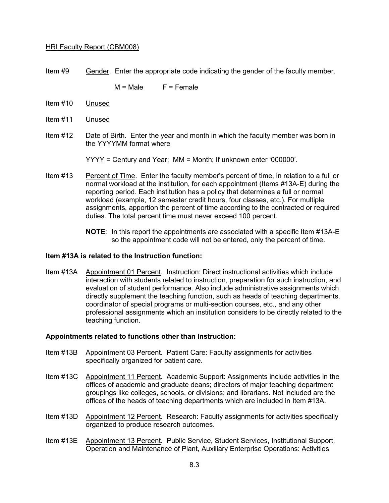Item #9 Gender. Enter the appropriate code indicating the gender of the faculty member.

 $M = Male$   $F = Female$ 

- Item #10 Unused
- Item #11 Unused
- Item #12 Date of Birth. Enter the year and month in which the faculty member was born in the YYYYMM format where

YYYY = Century and Year; MM = Month; If unknown enter '000000'.

- Item #13 Percent of Time. Enter the faculty member's percent of time, in relation to a full or normal workload at the institution, for each appointment (Items #13A-E) during the reporting period. Each institution has a policy that determines a full or normal workload (example, 12 semester credit hours, four classes, etc.). For multiple assignments, apportion the percent of time according to the contracted or required duties. The total percent time must never exceed 100 percent.
	- **NOTE**: In this report the appointments are associated with a specific Item #13A-E so the appointment code will not be entered, only the percent of time.

#### **Item #13A is related to the Instruction function:**

Item #13A Appointment 01 Percent. Instruction: Direct instructional activities which include interaction with students related to instruction, preparation for such instruction, and evaluation of student performance. Also include administrative assignments which directly supplement the teaching function, such as heads of teaching departments, coordinator of special programs or multi-section courses, etc., and any other professional assignments which an institution considers to be directly related to the teaching function.

#### **Appointments related to functions other than Instruction:**

- Item #13B Appointment 03 Percent. Patient Care: Faculty assignments for activities specifically organized for patient care.
- Item #13C Appointment 11 Percent. Academic Support: Assignments include activities in the offices of academic and graduate deans; directors of major teaching department groupings like colleges, schools, or divisions; and librarians. Not included are the offices of the heads of teaching departments which are included in Item #13A.
- Item #13D Appointment 12 Percent. Research: Faculty assignments for activities specifically organized to produce research outcomes.
- Item #13E Appointment 13 Percent. Public Service, Student Services, Institutional Support, Operation and Maintenance of Plant, Auxiliary Enterprise Operations: Activities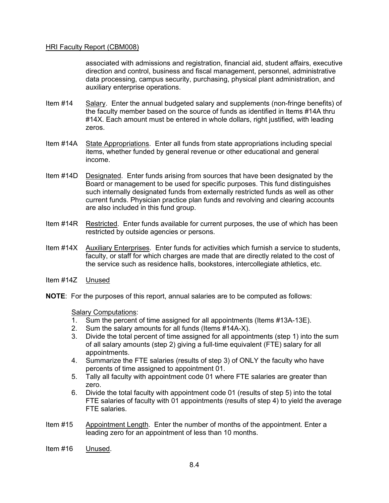associated with admissions and registration, financial aid, student affairs, executive direction and control, business and fiscal management, personnel, administrative data processing, campus security, purchasing, physical plant administration, and auxiliary enterprise operations.

- Item #14 Salary. Enter the annual budgeted salary and supplements (non-fringe benefits) of the faculty member based on the source of funds as identified in Items #14A thru #14X. Each amount must be entered in whole dollars, right justified, with leading zeros.
- Item #14A State Appropriations. Enter all funds from state appropriations including special items, whether funded by general revenue or other educational and general income.
- Item #14D Designated. Enter funds arising from sources that have been designated by the Board or management to be used for specific purposes. This fund distinguishes such internally designated funds from externally restricted funds as well as other current funds. Physician practice plan funds and revolving and clearing accounts are also included in this fund group.
- Item #14R Restricted. Enter funds available for current purposes, the use of which has been restricted by outside agencies or persons.
- Item #14X Auxiliary Enterprises. Enter funds for activities which furnish a service to students, faculty, or staff for which charges are made that are directly related to the cost of the service such as residence halls, bookstores, intercollegiate athletics, etc.
- Item #14Z Unused
- **NOTE**: For the purposes of this report, annual salaries are to be computed as follows:

#### Salary Computations:

- 1. Sum the percent of time assigned for all appointments (Items #13A-13E).
- 2. Sum the salary amounts for all funds (Items #14A-X).
- 3. Divide the total percent of time assigned for all appointments (step 1) into the sum of all salary amounts (step 2) giving a full-time equivalent (FTE) salary for all appointments.
- 4. Summarize the FTE salaries (results of step 3) of ONLY the faculty who have percents of time assigned to appointment 01.
- 5. Tally all faculty with appointment code 01 where FTE salaries are greater than zero.
- 6. Divide the total faculty with appointment code 01 (results of step 5) into the total FTE salaries of faculty with 01 appointments (results of step 4) to yield the average FTE salaries.
- Item #15 Appointment Length. Enter the number of months of the appointment. Enter a leading zero for an appointment of less than 10 months.
- Item #16 Unused.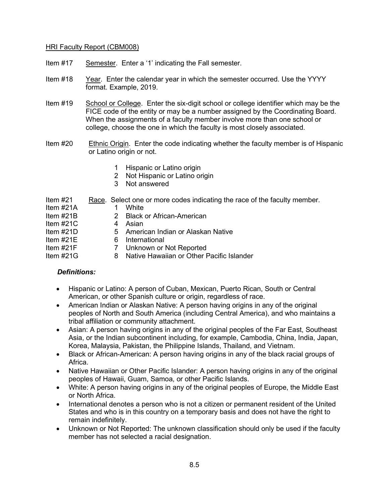- Item #17 Semester. Enter a '1' indicating the Fall semester.
- Item #18 Year. Enter the calendar year in which the semester occurred. Use the YYYY format. Example, 2019.
- Item #19 School or College. Enter the six-digit school or college identifier which may be the FICE code of the entity or may be a number assigned by the Coordinating Board. When the assignments of a faculty member involve more than one school or college, choose the one in which the faculty is most closely associated.
- Item #20 Ethnic Origin. Enter the code indicating whether the faculty member is of Hispanic or Latino origin or not.
	- 1 Hispanic or Latino origin
	- 2 Not Hispanic or Latino origin
	- 3 Not answered

| ltem #21  |        | Race. Select one or more codes indicating the race of the faculty member. |
|-----------|--------|---------------------------------------------------------------------------|
| Item #21A |        | White                                                                     |
| Item #21B |        | 2 Black or African-American                                               |
| ltem #21C |        | 4 Asian                                                                   |
| Item #21D |        | 5 American Indian or Alaskan Native                                       |
| ltem #21E |        | 6 International                                                           |
| Item #21F | $\tau$ | Unknown or Not Reported                                                   |
| ltem #21G |        | 8 Native Hawaiian or Other Pacific Islander                               |

### *Definitions:*

- Hispanic or Latino: A person of Cuban, Mexican, Puerto Rican, South or Central American, or other Spanish culture or origin, regardless of race.
- American Indian or Alaskan Native: A person having origins in any of the original peoples of North and South America (including Central America), and who maintains a tribal affiliation or community attachment.
- Asian: A person having origins in any of the original peoples of the Far East, Southeast Asia, or the Indian subcontinent including, for example, Cambodia, China, India, Japan, Korea, Malaysia, Pakistan, the Philippine Islands, Thailand, and Vietnam.
- Black or African-American: A person having origins in any of the black racial groups of Africa.
- Native Hawaiian or Other Pacific Islander: A person having origins in any of the original peoples of Hawaii, Guam, Samoa, or other Pacific Islands.
- White: A person having origins in any of the original peoples of Europe, the Middle East or North Africa.
- International denotes a person who is not a citizen or permanent resident of the United States and who is in this country on a temporary basis and does not have the right to remain indefinitely.
- Unknown or Not Reported: The unknown classification should only be used if the faculty member has not selected a racial designation.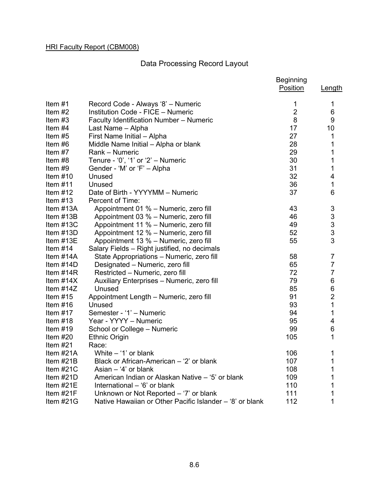# Data Processing Record Layout

|             |                                                          | <b>Beginning</b><br>Position | Length         |
|-------------|----------------------------------------------------------|------------------------------|----------------|
|             |                                                          |                              |                |
| Item #1     | Record Code - Always '8' - Numeric                       | 1<br>$\overline{2}$          | 1              |
| Item $#2$   | Institution Code - FICE - Numeric                        |                              | 6              |
| Item #3     | <b>Faculty Identification Number - Numeric</b>           | 8                            | 9              |
| Item $#4$   | Last Name - Alpha                                        | 17                           | 10             |
| Item $#5$   | First Name Initial - Alpha                               | 27                           | 1              |
| Item #6     | Middle Name Initial - Alpha or blank                     | 28                           | 1              |
| Item #7     | Rank - Numeric                                           | 29                           | 1              |
| Item #8     | Tenure - '0', '1' or '2' $-$ Numeric                     | 30                           | 1              |
| Item #9     | Gender - 'M' or 'F' - Alpha                              | 31                           | 1              |
| Item $#10$  | Unused                                                   | 32                           | 4              |
| Item $#11$  | Unused                                                   | 36                           | 1              |
| Item $#12$  | Date of Birth - YYYYMM - Numeric                         | 37                           | 6              |
| Item $#13$  | Percent of Time:                                         |                              |                |
| Item #13A   | Appointment 01 % - Numeric, zero fill                    | 43                           | 3              |
| Item #13B   | Appointment 03 % - Numeric, zero fill                    | 46                           | 3              |
| Item #13C   | Appointment 11 % - Numeric, zero fill                    | 49                           | $\frac{3}{3}$  |
| Item $#13D$ | Appointment 12 % - Numeric, zero fill                    | 52                           |                |
| Item #13E   | Appointment 13 % - Numeric, zero fill                    | 55                           | 3              |
| Item $#14$  | Salary Fields - Right justified, no decimals             |                              |                |
| Item #14A   | State Appropriations - Numeric, zero fill                | 58                           | $\overline{7}$ |
| Item $#14D$ | Designated - Numeric, zero fill                          | 65                           | $\overline{7}$ |
| Item $#14R$ | Restricted - Numeric, zero fill                          | 72                           | $\overline{7}$ |
| Item $#14X$ | Auxiliary Enterprises - Numeric, zero fill               | 79                           | $\,6$          |
| Item $#14Z$ | Unused                                                   | 85                           | 6              |
| Item $#15$  | Appointment Length - Numeric, zero fill                  | 91                           | $\overline{2}$ |
| Item $#16$  | Unused                                                   | 93                           | $\overline{1}$ |
| Item $#17$  | Semester - '1' - Numeric                                 | 94                           | 1              |
| Item $#18$  | Year - YYYY - Numeric                                    | 95                           | 4              |
| Item $#19$  | School or College - Numeric                              | 99                           | $\,6$          |
| Item $#20$  | <b>Ethnic Origin</b>                                     | 105                          | 1              |
| Item $#21$  | Race:                                                    |                              |                |
| Item #21A   | White $-$ '1' or blank                                   | 106                          | 1              |
| Item $#21B$ | Black or African-American - '2' or blank                 | 107                          | 1              |
| Item $#21C$ | Asian $-$ '4' or blank                                   | 108                          | 1              |
| Item $#21D$ | American Indian or Alaskan Native - '5' or blank         | 109                          | 1              |
| Item $#21E$ | International - '6' or blank                             | 110                          | 1              |
| Item #21F   | Unknown or Not Reported - '7' or blank                   | 111                          | $\mathbf 1$    |
| Item #21G   | Native Hawaiian or Other Pacific Islander – '8' or blank | 112                          | $\mathbf{1}$   |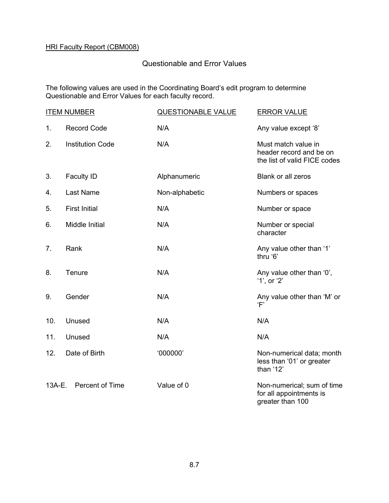# Questionable and Error Values

The following values are used in the Coordinating Board's edit program to determine Questionable and Error Values for each faculty record.

|        | <b>ITEM NUMBER</b>      | <b>QUESTIONABLE VALUE</b> | <b>ERROR VALUE</b>                                                             |
|--------|-------------------------|---------------------------|--------------------------------------------------------------------------------|
| 1.     | <b>Record Code</b>      | N/A                       | Any value except '8'                                                           |
| 2.     | <b>Institution Code</b> | N/A                       | Must match value in<br>header record and be on<br>the list of valid FICE codes |
| 3.     | <b>Faculty ID</b>       | Alphanumeric              | Blank or all zeros                                                             |
| 4.     | <b>Last Name</b>        | Non-alphabetic            | Numbers or spaces                                                              |
| 5.     | <b>First Initial</b>    | N/A                       | Number or space                                                                |
| 6.     | Middle Initial          | N/A                       | Number or special<br>character                                                 |
| 7.     | Rank                    | N/A                       | Any value other than '1'<br>thru '6'                                           |
| 8.     | Tenure                  | N/A                       | Any value other than '0',<br>$'1',$ or $'2'$                                   |
| 9.     | Gender                  | N/A                       | Any value other than 'M' or<br>F'                                              |
| 10.    | Unused                  | N/A                       | N/A                                                                            |
| 11.    | Unused                  | N/A                       | N/A                                                                            |
| 12.    | Date of Birth           | '000000'                  | Non-numerical data; month<br>less than '01' or greater<br>than '12'            |
| 13A-E. | Percent of Time         | Value of 0                | Non-numerical; sum of time<br>for all appointments is<br>greater than 100      |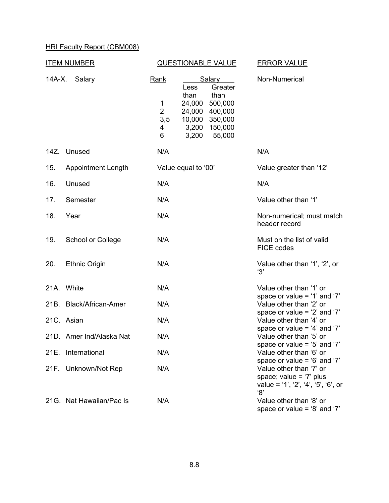| <b>ITEM NUMBER</b> |                           |                                                     | <b>QUESTIONABLE VALUE</b>                                                                                                                    | <b>ERROR VALUE</b>                                                                                                                   |  |  |
|--------------------|---------------------------|-----------------------------------------------------|----------------------------------------------------------------------------------------------------------------------------------------------|--------------------------------------------------------------------------------------------------------------------------------------|--|--|
| 14A-X.             | Salary                    | <b>Rank</b><br>1<br>$\overline{2}$<br>3,5<br>4<br>6 | Salary<br>Greater<br>Less<br>than<br>than<br>500,000<br>24,000<br>400,000<br>24,000<br>10,000<br>350,000<br>3,200 150,000<br>3,200<br>55,000 | Non-Numerical                                                                                                                        |  |  |
| 14Z.               | Unused                    | N/A                                                 |                                                                                                                                              | N/A                                                                                                                                  |  |  |
| 15.                | <b>Appointment Length</b> |                                                     | Value equal to '00'                                                                                                                          | Value greater than '12'                                                                                                              |  |  |
| 16.                | Unused                    | N/A                                                 |                                                                                                                                              | N/A                                                                                                                                  |  |  |
| 17.                | Semester                  | N/A                                                 |                                                                                                                                              | Value other than '1'                                                                                                                 |  |  |
| 18.                | Year                      | N/A                                                 |                                                                                                                                              | Non-numerical; must match<br>header record                                                                                           |  |  |
| 19.                | School or College         | N/A                                                 |                                                                                                                                              | Must on the list of valid<br>FICE codes                                                                                              |  |  |
| 20.                | <b>Ethnic Origin</b>      | N/A                                                 |                                                                                                                                              | Value other than '1', '2', or<br>'3'                                                                                                 |  |  |
|                    | 21A. White                | N/A                                                 |                                                                                                                                              | Value other than '1' or                                                                                                              |  |  |
|                    | 21B. Black/African-Amer   | N/A                                                 |                                                                                                                                              | space or value = $'1'$ and '7'<br>Value other than '2' or<br>space or value = $2'$ and $7'$                                          |  |  |
|                    | 21C. Asian                | N/A                                                 |                                                                                                                                              | Value other than '4' or<br>space or value = $4'$ and '7'                                                                             |  |  |
|                    | 21D. Amer Ind/Alaska Nat  | N/A                                                 |                                                                                                                                              | Value other than '5' or<br>space or value = '5' and '7'                                                                              |  |  |
| 21E.               | International             | N/A                                                 |                                                                                                                                              | Value other than '6' or                                                                                                              |  |  |
|                    | 21F. Unknown/Not Rep      | N/A                                                 |                                                                                                                                              | space or value = $6'$ and $7'$<br>Value other than '7' or<br>space; value = $'7'$ plus<br>value = '1', '2', '4', '5', '6', or<br>'8' |  |  |
|                    | 21G. Nat Hawaiian/Pac Is  | N/A                                                 |                                                                                                                                              | Value other than '8' or<br>space or value = $8'$ and '7'                                                                             |  |  |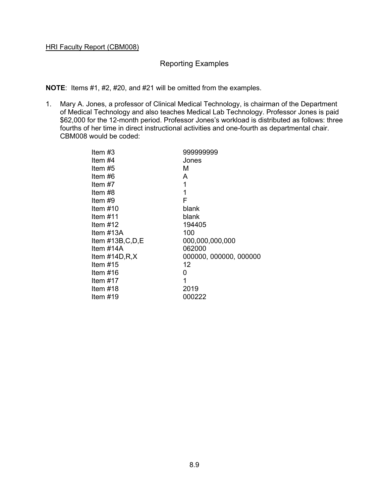### Reporting Examples

**NOTE**: Items #1, #2, #20, and #21 will be omitted from the examples.

1. Mary A. Jones, a professor of Clinical Medical Technology, is chairman of the Department of Medical Technology and also teaches Medical Lab Technology. Professor Jones is paid \$62,000 for the 12-month period. Professor Jones's workload is distributed as follows: three fourths of her time in direct instructional activities and one-fourth as departmental chair. CBM008 would be coded:

| Item $#3$  |                        | 999999999              |
|------------|------------------------|------------------------|
| Item $#4$  |                        | Jones                  |
| Item #5    |                        | м                      |
| Item $#6$  |                        | A                      |
| Item $#7$  |                        | 1                      |
| Item #8    |                        | 1                      |
| Item #9    |                        | F                      |
| Item $#10$ |                        | blank                  |
| Item $#11$ |                        | blank                  |
| Item $#12$ |                        | 194405                 |
|            | Item $#13A$            | 100                    |
|            | Item $\#13B$ , C, D, E | 000,000,000,000        |
|            | Item $#14A$            | 062000                 |
|            | Item $\#14D, R, X$     | 000000, 000000, 000000 |
| Item $#15$ |                        | 12                     |
| Item $#16$ |                        | 0                      |
| Item $#17$ |                        | 1                      |
| Item $#18$ |                        | 2019                   |
| Item $#19$ |                        | 000222                 |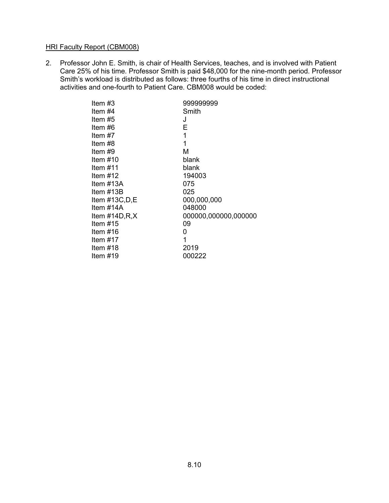2. Professor John E. Smith, is chair of Health Services, teaches, and is involved with Patient Care 25% of his time. Professor Smith is paid \$48,000 for the nine-month period. Professor Smith's workload is distributed as follows: three fourths of his time in direct instructional activities and one-fourth to Patient Care. CBM008 would be coded:

| Item #3            | 999999999            |
|--------------------|----------------------|
| Item #4            | Smith                |
| Item #5            | J                    |
| Item #6            | E                    |
| Item #7            | 1                    |
| Item #8            | 1                    |
| Item #9            | М                    |
| Item $#10$         | blank                |
| Item $#11$         | blank                |
| Item $#12$         | 194003               |
| Item #13A          | 075                  |
| Item #13B          | 025                  |
| Item #13C,D,E      | 000,000,000          |
| Item #14A          | 048000               |
| Item $\#14D, R, X$ | 000000,000000,000000 |
| Item $#15$         | 09                   |
| Item $#16$         | 0                    |
| Item $#17$         | 1                    |
| Item $#18$         | 2019                 |
| Item $#19$         | 000222               |
|                    |                      |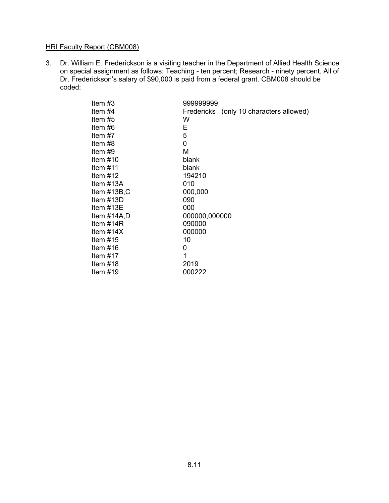3. Dr. William E. Frederickson is a visiting teacher in the Department of Allied Health Science on special assignment as follows: Teaching - ten percent; Research - ninety percent. All of Dr. Frederickson's salary of \$90,000 is paid from a federal grant. CBM008 should be coded:

| Item $#3$        | 999999999                               |
|------------------|-----------------------------------------|
| Item #4          | Fredericks (only 10 characters allowed) |
| Item #5          | w                                       |
| Item #6          | Е                                       |
| Item $#7$        | 5                                       |
| Item #8          | 0                                       |
| Item #9          | Μ                                       |
| Item $#10$       | blank                                   |
| Item $#11$       | blank                                   |
| Item $#12$       | 194210                                  |
| Item $#13A$      | 010                                     |
| Item $\#13B$ , C | 000,000                                 |
| Item $#13D$      | 090                                     |
| Item $#13E$      | 000                                     |
| Item #14A,D      | 000000,000000                           |
| Item $#14R$      | 090000                                  |
| Item $#14X$      | 000000                                  |
| Item $#15$       | 10                                      |
| Item $#16$       | 0                                       |
| Item $#17$       | 1                                       |
| Item $#18$       | 2019                                    |
| Item $#19$       | 000222                                  |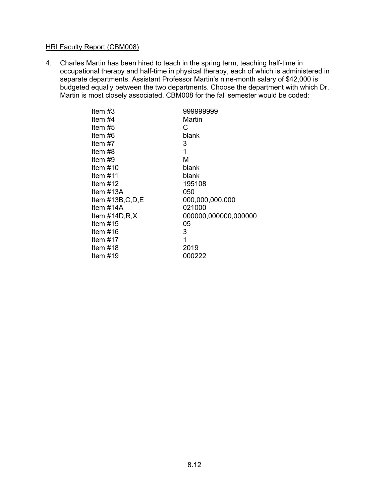4. Charles Martin has been hired to teach in the spring term, teaching half-time in occupational therapy and half-time in physical therapy, each of which is administered in separate departments. Assistant Professor Martin's nine-month salary of \$42,000 is budgeted equally between the two departments. Choose the department with which Dr. Martin is most closely associated. CBM008 for the fall semester would be coded:

| Item #4<br>Martin<br>Item #5<br>С<br>Item #6<br>blank<br>Item #7<br>3<br>1<br>Item #8<br>М<br>Item #9<br>Item $\#10$<br>blank<br>ltem #11<br>blank<br>Item $#12$<br>195108<br>Item #13A<br>050 |
|------------------------------------------------------------------------------------------------------------------------------------------------------------------------------------------------|
|                                                                                                                                                                                                |
|                                                                                                                                                                                                |
|                                                                                                                                                                                                |
|                                                                                                                                                                                                |
|                                                                                                                                                                                                |
|                                                                                                                                                                                                |
|                                                                                                                                                                                                |
|                                                                                                                                                                                                |
|                                                                                                                                                                                                |
|                                                                                                                                                                                                |
| 000,000,000,000<br>Item #13B,C,D,E                                                                                                                                                             |
| 021000<br>Item #14A                                                                                                                                                                            |
| 000000,000000,000000<br>Item $\#14D, R, X$                                                                                                                                                     |
| Item $#15$<br>05                                                                                                                                                                               |
| 3<br>ltem #16                                                                                                                                                                                  |
| 1<br>Item #17                                                                                                                                                                                  |
| 2019<br>ltem #18                                                                                                                                                                               |
| Item $#19$<br>000222                                                                                                                                                                           |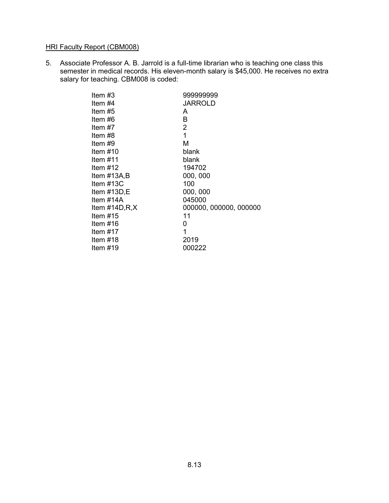5. Associate Professor A. B. Jarrold is a full-time librarian who is teaching one class this semester in medical records. His eleven-month salary is \$45,000. He receives no extra salary for teaching. CBM008 is coded:

| 1<br>Item #17<br>Item $#18$<br>2019 | 000000, 000000, 000000 |
|-------------------------------------|------------------------|
| Item $#15$<br>11<br>ltem #16<br>0   |                        |
|                                     |                        |
|                                     |                        |
| Item $#19$<br>000222                |                        |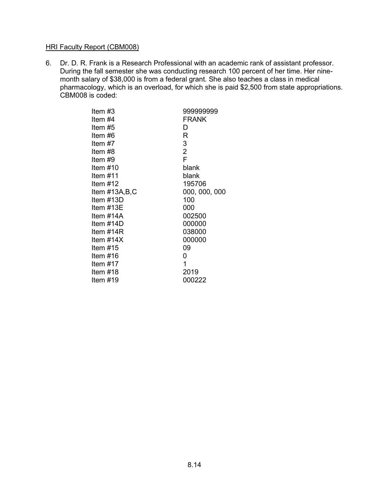6. Dr. D. R. Frank is a Research Professional with an academic rank of assistant professor. During the fall semester she was conducting research 100 percent of her time. Her ninemonth salary of \$38,000 is from a federal grant. She also teaches a class in medical pharmacology, which is an overload, for which she is paid \$2,500 from state appropriations. CBM008 is coded:

| ltem #3       | 999999999      |
|---------------|----------------|
| Item #4       | <b>FRANK</b>   |
| Item #5       | D              |
| Item #6       | R              |
| Item #7       | 3              |
| Item #8       | $\overline{2}$ |
| ltem #9       | F              |
| Item #10      | blank          |
| ltem #11      | blank          |
| ltem #12      | 195706         |
| Item #13A,B,C | 000, 000, 000  |
| Item #13D     | 100            |
| ltem #13E     | 000            |
| Item #14A     | 002500         |
| ltem #14D     | 000000         |
| ltem #14R     | 038000         |
| ltem #14X     | 000000         |
| ltem #15      | 09             |
| ltem #16      | 0              |
| ltem #17      | 1              |
| ltem #18      | 2019           |
| Item #19      | 000222         |
|               |                |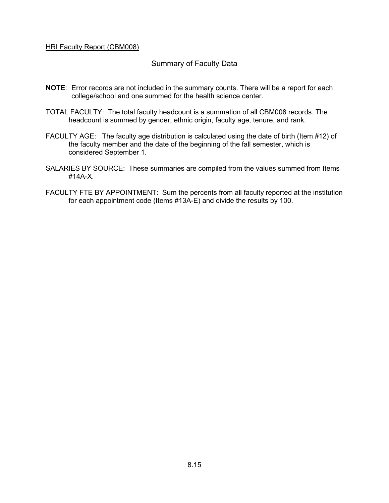### Summary of Faculty Data

- **NOTE**: Error records are not included in the summary counts. There will be a report for each college/school and one summed for the health science center.
- TOTAL FACULTY: The total faculty headcount is a summation of all CBM008 records. The headcount is summed by gender, ethnic origin, faculty age, tenure, and rank.
- FACULTY AGE: The faculty age distribution is calculated using the date of birth (Item #12) of the faculty member and the date of the beginning of the fall semester, which is considered September 1.
- SALARIES BY SOURCE: These summaries are compiled from the values summed from Items #14A-X.
- FACULTY FTE BY APPOINTMENT: Sum the percents from all faculty reported at the institution for each appointment code (Items #13A-E) and divide the results by 100.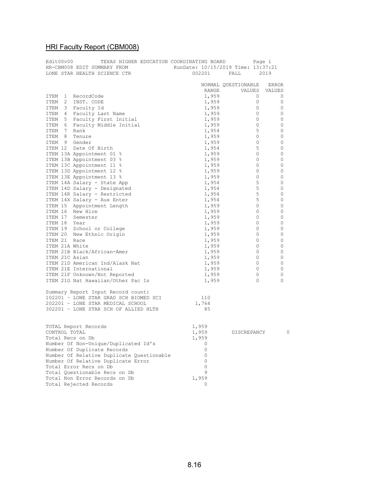|               | TEXAS HIGHER EDUCATION COORDINATING BOARD                                                                                                                                                                                                                                                                                                                                                                                                                                                    |                |                     |              |
|---------------|----------------------------------------------------------------------------------------------------------------------------------------------------------------------------------------------------------------------------------------------------------------------------------------------------------------------------------------------------------------------------------------------------------------------------------------------------------------------------------------------|----------------|---------------------|--------------|
|               |                                                                                                                                                                                                                                                                                                                                                                                                                                                                                              |                |                     |              |
|               |                                                                                                                                                                                                                                                                                                                                                                                                                                                                                              |                |                     |              |
|               | $\begin{tabular}{lcccccc} \multicolumn{2}{c}{\textbf{Page 1}} & \multicolumn{2}{c}{\textbf{Page 1}} & \multicolumn{2}{c}{\textbf{Page 1}} \\ \multicolumn{2}{c}{\textbf{LONE STR HEADTH SCIENCE CTR}} & \multicolumn{2}{c}{\textbf{RunDate: 10/15/2019 Time: 13:37:21}} \\ \multicolumn{2}{c}{\textbf{Lower Mark} & \multicolumn{2}{c}{\textbf{Action} & \multicolumn{2}{c}{\textbf{NonData} & \multicolumn{2}{c}{\textbf{NonData} & \multicolumn{2}{c}{\textbf{NonData} & \multicolumn{2}{$ |                |                     |              |
|               |                                                                                                                                                                                                                                                                                                                                                                                                                                                                                              |                | NORMAL QUESTIONABLE | ERROR        |
|               |                                                                                                                                                                                                                                                                                                                                                                                                                                                                                              |                | RANGE VALUES VALUES |              |
|               | ITEM 1 RecordCode                                                                                                                                                                                                                                                                                                                                                                                                                                                                            | 1,959          | $\circ$             | 0            |
|               | ITEM 2 INST. CODE                                                                                                                                                                                                                                                                                                                                                                                                                                                                            | 1,959          | $\circ$             | 0            |
|               | ITEM 3 Faculty Id                                                                                                                                                                                                                                                                                                                                                                                                                                                                            | 1,959          | $\circ$             | $\circ$      |
|               | ITEM 4 Faculty Last Name                                                                                                                                                                                                                                                                                                                                                                                                                                                                     | 1,959          | $\circ$             | $\circ$      |
|               | ITEM 5 Faculty First Initial                                                                                                                                                                                                                                                                                                                                                                                                                                                                 | 1,959          | $\overline{0}$      | $\mathbf{0}$ |
|               | ITEM 6 Faculty Middle Initial                                                                                                                                                                                                                                                                                                                                                                                                                                                                | 1,959          | $\overline{0}$      | 0            |
| ITEM 7 Rank   |                                                                                                                                                                                                                                                                                                                                                                                                                                                                                              | 1,954          | 5                   | $\circ$      |
|               | ITEM 8 Tenure                                                                                                                                                                                                                                                                                                                                                                                                                                                                                | 1,959          | $\overline{0}$      | 0            |
|               | ITEM 9 Gender                                                                                                                                                                                                                                                                                                                                                                                                                                                                                | 1,959          | $\circ$             | 0            |
|               | ITEM 12 Date Of Birth                                                                                                                                                                                                                                                                                                                                                                                                                                                                        | 1,954          | 5                   | 0            |
|               | ITEM 13A Appointment 01 %                                                                                                                                                                                                                                                                                                                                                                                                                                                                    | 1,959          | $\overline{0}$      | $\circ$      |
|               | ITEM 13B Appointment 03 %                                                                                                                                                                                                                                                                                                                                                                                                                                                                    | 1,959          | $\overline{0}$      | 0            |
|               | ITEM 13C Appointment 11 %                                                                                                                                                                                                                                                                                                                                                                                                                                                                    | 1,959          | $\circ$             | $\circ$      |
|               | ITEM 13D Appointment 12 %                                                                                                                                                                                                                                                                                                                                                                                                                                                                    | 1,959          | $\overline{0}$      | $\circ$      |
|               | ITEM 13E Appointment 13 %                                                                                                                                                                                                                                                                                                                                                                                                                                                                    | 1,959          | $\circ$             | $\circ$      |
|               | ITEM 14A Salary - State App                                                                                                                                                                                                                                                                                                                                                                                                                                                                  | 1,954          | 5                   | $\circ$      |
|               | ITEM 14D Salary - Designated                                                                                                                                                                                                                                                                                                                                                                                                                                                                 | 1,954          | 5                   | 0            |
|               | ITEM 14R Salary - Restricted                                                                                                                                                                                                                                                                                                                                                                                                                                                                 | 1,954          | $5\phantom{.0}$     | 0            |
|               | ITEM 14X Salary - Aux Enter                                                                                                                                                                                                                                                                                                                                                                                                                                                                  | 1,954          | 5                   | 0            |
|               |                                                                                                                                                                                                                                                                                                                                                                                                                                                                                              | 1,959          | $\overline{0}$      | 0            |
|               | ITEM 15 Appointment Length<br>ITEM 16 New Hire                                                                                                                                                                                                                                                                                                                                                                                                                                               |                | $\overline{0}$      | 0            |
|               |                                                                                                                                                                                                                                                                                                                                                                                                                                                                                              | 1,959          |                     |              |
|               | ITEM 17 Semester                                                                                                                                                                                                                                                                                                                                                                                                                                                                             | 1,959          | $\overline{0}$      | 0            |
| ITEM 18 Year  |                                                                                                                                                                                                                                                                                                                                                                                                                                                                                              | 1,959          | $\overline{0}$      | $\circ$      |
|               | ITEM 19 School or College                                                                                                                                                                                                                                                                                                                                                                                                                                                                    | 1,959          | $\overline{0}$      | $\mathbf{0}$ |
|               | ITEM 20 New Ethnic Origin                                                                                                                                                                                                                                                                                                                                                                                                                                                                    | 1,959          | $\circ$             | 0            |
| ITEM 21 Race  |                                                                                                                                                                                                                                                                                                                                                                                                                                                                                              | 1,959          | $\circ$             | $\circ$      |
|               | ITEM 21A White                                                                                                                                                                                                                                                                                                                                                                                                                                                                               | 1,959          | $\overline{0}$      | 0            |
|               | ITEM 21B Black/African-Amer                                                                                                                                                                                                                                                                                                                                                                                                                                                                  | 1,959          | $\circ$             | 0            |
|               | ITEM 21C Asian                                                                                                                                                                                                                                                                                                                                                                                                                                                                               | 1,959          | $\circ$             | 0            |
|               | ITEM 21D American Ind/Alask Nat                                                                                                                                                                                                                                                                                                                                                                                                                                                              | 1,959          | $\overline{0}$      | $\mathbf{0}$ |
|               | ITEM 21E International                                                                                                                                                                                                                                                                                                                                                                                                                                                                       | 1,959          | $\circ$             | 0            |
|               | ITEM 21F Unknown/Not Reported                                                                                                                                                                                                                                                                                                                                                                                                                                                                | 1,959          | $\circ$             | 0            |
|               | ITEM 21G Nat Hawaiian/Other Pac Is                                                                                                                                                                                                                                                                                                                                                                                                                                                           | 1,959          | $\circ$             | 0            |
|               |                                                                                                                                                                                                                                                                                                                                                                                                                                                                                              |                |                     |              |
|               | Summary Report Input Record count:                                                                                                                                                                                                                                                                                                                                                                                                                                                           |                |                     |              |
|               | 102201 - LONE STAR GRAD SCH BIOMED SCI                                                                                                                                                                                                                                                                                                                                                                                                                                                       | 110            |                     |              |
|               | 202201 - LONE STAR MEDICAL SCHOOL                                                                                                                                                                                                                                                                                                                                                                                                                                                            | 1,764          |                     |              |
|               | 302201 - LONE STAR SCH OF ALLIED HLTH                                                                                                                                                                                                                                                                                                                                                                                                                                                        | 85             |                     |              |
|               |                                                                                                                                                                                                                                                                                                                                                                                                                                                                                              |                |                     |              |
|               |                                                                                                                                                                                                                                                                                                                                                                                                                                                                                              |                |                     |              |
|               | TOTAL Report Records                                                                                                                                                                                                                                                                                                                                                                                                                                                                         | 1,959          |                     |              |
| CONTROL TOTAL |                                                                                                                                                                                                                                                                                                                                                                                                                                                                                              | 1,959          | DISCREPANCY         | 0            |
|               | Total Recs on Db                                                                                                                                                                                                                                                                                                                                                                                                                                                                             | 1,959          |                     |              |
|               | Number Of Non-Unique/Duplicated Id's                                                                                                                                                                                                                                                                                                                                                                                                                                                         | 0              |                     |              |
|               | Number Of Duplicate Records                                                                                                                                                                                                                                                                                                                                                                                                                                                                  | $\circ$        |                     |              |
|               | Number Of Relative Duplicate Questionable                                                                                                                                                                                                                                                                                                                                                                                                                                                    | $\circ$        |                     |              |
|               | Number Of Relative Duplicate Error                                                                                                                                                                                                                                                                                                                                                                                                                                                           | 0              |                     |              |
|               | Total Error Recs on Db                                                                                                                                                                                                                                                                                                                                                                                                                                                                       | $\circ$        |                     |              |
|               | Total Questionable Recs on Db                                                                                                                                                                                                                                                                                                                                                                                                                                                                | $\overline{9}$ |                     |              |
|               | Total Non Error Records on Db                                                                                                                                                                                                                                                                                                                                                                                                                                                                | 1,959          |                     |              |
|               | Total Rejected Records                                                                                                                                                                                                                                                                                                                                                                                                                                                                       | $\mathbf 0$    |                     |              |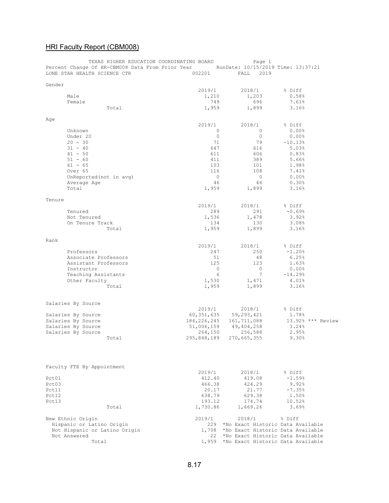|        |                                          | TEXAS HIGHER EDUCATION COORDINATING BOARD        |               | Page 1                             |                   |  |
|--------|------------------------------------------|--------------------------------------------------|---------------|------------------------------------|-------------------|--|
|        |                                          | Percent Change Of HR-CBM008 Data From Prior Year |               | RunDate: 10/15/2019 Time: 13:37:21 |                   |  |
|        | LONE STAR HEALTH SCIENCE CTR             |                                                  | 002201        | FALL<br>2019                       |                   |  |
|        |                                          |                                                  |               |                                    |                   |  |
| Gender |                                          |                                                  | 2019/1        | 2018/1                             | % Diff            |  |
|        | Male                                     |                                                  | 1,210         | 1,203                              | 0.58%             |  |
|        |                                          |                                                  |               | 696                                |                   |  |
|        | Female                                   |                                                  | 749           |                                    | 7.61%             |  |
|        |                                          | Total                                            | 1,959         | 1,899                              | 3.16%             |  |
|        |                                          |                                                  |               |                                    |                   |  |
| Age    |                                          |                                                  | 2019/1        | 2018/1                             | % Diff            |  |
|        | Unknown                                  |                                                  | $\circ$       | $\mathbf{0}$                       | $0.00$ %          |  |
|        | Under 20                                 |                                                  | $\circ$       | 0                                  | $0.00$ %          |  |
|        | $20 - 30$                                |                                                  | 71            | 79                                 | $-10.13%$         |  |
|        | $31 - 40$                                |                                                  | 647           | 616                                | 5.03%             |  |
|        | $41 - 50$                                |                                                  | 611           | 606                                | 0.83%             |  |
|        |                                          |                                                  |               |                                    |                   |  |
|        | $51 - 60$                                |                                                  | 411           | 389                                | 5.66%             |  |
|        | $61 - 65$                                |                                                  | 103           | 101                                | 1.98%             |  |
|        | Over 65                                  |                                                  | 116           | 108                                | 7.41%             |  |
|        | UnReported (not in avg)                  |                                                  | $\circ$       | $\circ$                            | $0.00$ %          |  |
|        | Average Age                              |                                                  | 46            | 46                                 | 0.30%             |  |
|        | Total                                    |                                                  | 1,959         | 1,899                              | 3.16%             |  |
|        |                                          |                                                  |               |                                    |                   |  |
| Tenure |                                          |                                                  |               |                                    |                   |  |
|        |                                          |                                                  | 2019/1        | 2018/1                             | % Diff            |  |
|        | Tenured                                  |                                                  | 289           | 291                                | $-0.69%$          |  |
|        | Not Tenured                              |                                                  | 1,536         | 1,478                              | 3.92%             |  |
|        | On Tenure Track                          |                                                  | 134           | 130                                | 3.08%             |  |
|        |                                          | Total                                            | 1,959         | 1,899                              | 3.16%             |  |
|        |                                          |                                                  |               |                                    |                   |  |
| Rank   |                                          |                                                  |               |                                    |                   |  |
|        |                                          |                                                  | 2019/1        | 2018/1                             | % Diff            |  |
|        | Professors                               |                                                  | 247           | 250                                | $-1.20%$          |  |
|        | Associate Professors                     |                                                  | 51            | 48                                 | 6.25%             |  |
|        | Assistant Professors                     |                                                  | 125           | 123                                | 1.63%             |  |
|        | Instructor                               |                                                  | 0             | 0                                  | $0.00$ %          |  |
|        | Teaching Assistants                      |                                                  | 6             | 7                                  | $-14.29%$         |  |
|        | Other Faculty                            |                                                  | 1,530         | 1,471                              | 4.01%             |  |
|        |                                          | Total                                            | 1,959         | 1,899                              | 3.16%             |  |
|        |                                          |                                                  |               |                                    |                   |  |
|        |                                          |                                                  |               |                                    |                   |  |
|        | Salaries By Source                       |                                                  | 2019/1        | 2018/1                             | % Diff            |  |
|        |                                          |                                                  | 60, 351, 635  |                                    | 1.78%             |  |
|        | Salaries By Source<br>Salaries By Source |                                                  |               | 59,293,421                         |                   |  |
|        |                                          |                                                  | 184, 226, 245 | 161,711,088                        | 13.92% *** Review |  |
|        | Salaries By Source                       |                                                  | 51,006,159    | 49,404,258                         | 3.24%             |  |
|        | Salaries By Source                       |                                                  | 264,150       | 256,588                            | 2.95%             |  |
|        |                                          | Total                                            | 295,848,189   | 270,665,355                        | 9.30%             |  |
|        |                                          |                                                  |               |                                    |                   |  |
|        | Faculty FTE By Appointment               |                                                  |               |                                    |                   |  |
|        |                                          |                                                  | 2019/1        | 2018/1                             | % Diff            |  |
| Pct01  |                                          |                                                  | 412.40        | 419.08                             | $-1.59%$          |  |
| Pct03  |                                          |                                                  | 466.38        | 424.29                             | 9.92%             |  |
| Pct11  |                                          |                                                  | 20.17         | 21.77                              | $-7.35%$          |  |
| Pct12  |                                          |                                                  | 638.79        | 629.38                             | 1.50%             |  |
| Pct13  |                                          |                                                  | 193.12        | 174.74                             | 10.52%            |  |
|        |                                          | Total                                            | 1,730.86      | 1,669.26                           | 3.69%             |  |
|        |                                          |                                                  |               |                                    |                   |  |
|        | New Ethnic Origin                        |                                                  | 2019/1        | 2018/1                             | % Diff            |  |
|        | Hispanic or Latino Origin                |                                                  | 229           | *No Exact Historic Data Available  |                   |  |
|        | Not Hispanic or Latino Origin            |                                                  | 1,708         | *No Exact Historic Data Available  |                   |  |
|        | Not Answered                             |                                                  | 22            | *No Exact Historic Data Available  |                   |  |
|        | Total                                    |                                                  | 1,959         | *No Exact Historic Data Available  |                   |  |
|        |                                          |                                                  |               |                                    |                   |  |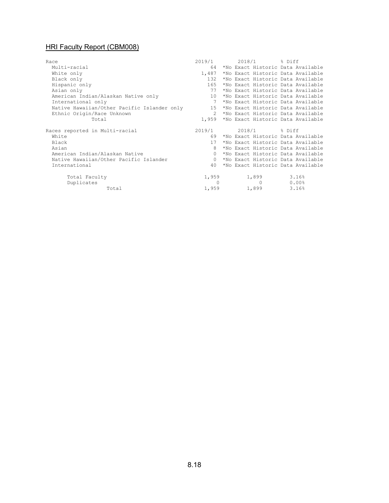| Race                                        | 2019/1          |  | 2018/1 % Diff  |       |                                         |
|---------------------------------------------|-----------------|--|----------------|-------|-----------------------------------------|
| Multi-racial                                | 64              |  |                |       | *No Exact Historic Data Available       |
| White only                                  | 1,487           |  |                |       | *No Exact Historic Data Available       |
| Black only                                  | 132             |  |                |       | *No Exact Historic Data Available       |
| Hispanic only                               | 165             |  |                |       | *No Exact Historic Data Available       |
| Asian only                                  | 77              |  |                |       | *No Exact Historic Data Available       |
| American Indian/Alaskan Native only         | 10              |  |                |       | *No Exact Historic Data Available       |
| International only                          |                 |  |                |       | *No Exact Historic Data Available       |
| Native Hawaiian/Other Pacific Islander only | 15              |  |                |       | *No Exact Historic Data Available       |
| Ethnic Origin/Race Unknown                  | $\mathcal{P}$   |  |                |       | *No Exact Historic Data Available       |
| Total                                       |                 |  |                |       | 1,959 *No Exact Historic Data Available |
|                                             |                 |  |                |       |                                         |
| Races reported in Multi-racial              | 2019/1          |  | 2018/1 % Diff  |       |                                         |
| White                                       | 69              |  |                |       | *No Exact Historic Data Available       |
| Black                                       | 17 <sup>7</sup> |  |                |       | *No Exact Historic Data Available       |
| Asian                                       |                 |  |                |       | *No Exact Historic Data Available       |
| American Indian/Alaskan Native              | $\Omega$        |  |                |       | *No Exact Historic Data Available       |
| Native Hawaiian/Other Pacific Islander      | $\Omega$        |  |                |       | *No Exact Historic Data Available       |
| International                               | 40              |  |                |       | *No Exact Historic Data Available       |
| Total Faculty                               | 1,959           |  | 1,899          | 3.16% |                                         |
| Duplicates                                  | $\Omega$        |  | $\overline{0}$ |       | $0.00\%$                                |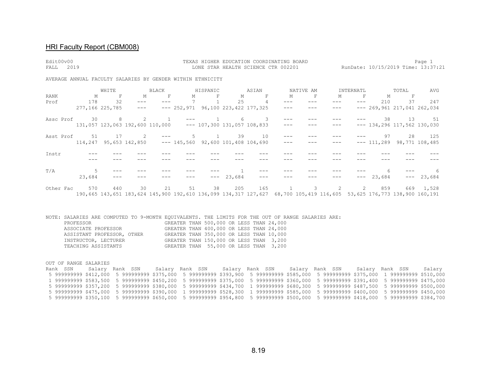| Edit00v00<br>2019<br>FALL                                  |             |                     |                                 |              |                                                             |              |                               | TEXAS HIGHER EDUCATION COORDINATING BOARD<br>LONE STAR HEALTH SCIENCE CTR 002201 |                     |           |                                                                                                                       |                     |               |                                                                                                                                                                                                                                                                                                                                                                                              | Page 1<br>RunDate: 10/15/2019 Time: 13:37:21 |
|------------------------------------------------------------|-------------|---------------------|---------------------------------|--------------|-------------------------------------------------------------|--------------|-------------------------------|----------------------------------------------------------------------------------|---------------------|-----------|-----------------------------------------------------------------------------------------------------------------------|---------------------|---------------|----------------------------------------------------------------------------------------------------------------------------------------------------------------------------------------------------------------------------------------------------------------------------------------------------------------------------------------------------------------------------------------------|----------------------------------------------|
| AVERAGE ANNUAL FACULTY SALARIES BY GENDER WITHIN ETHNICITY |             |                     |                                 |              |                                                             |              |                               |                                                                                  |                     |           |                                                                                                                       |                     |               |                                                                                                                                                                                                                                                                                                                                                                                              |                                              |
|                                                            |             | WHITE               |                                 | BLACK        |                                                             | HISPANIC     |                               | ASIAN                                                                            |                     | NATIVE AM |                                                                                                                       | INTERNATL           |               | TOTAL                                                                                                                                                                                                                                                                                                                                                                                        | AVG                                          |
| RANK                                                       | $M_{\odot}$ | $\mathbb F$         | М                               | $\mathbb F$  | М                                                           | F            | M                             | $\mathbb F$                                                                      | М                   | F         | М                                                                                                                     | F                   | Μ             | F                                                                                                                                                                                                                                                                                                                                                                                            |                                              |
| Prof                                                       | 178         | 32                  | $---$                           | $---$        | $7\overline{ }$                                             |              | 25                            | 4                                                                                | $\qquad \qquad - -$ | $---$     | $\qquad \qquad - -$                                                                                                   | $\qquad \qquad - -$ | 210           | 37                                                                                                                                                                                                                                                                                                                                                                                           | 247                                          |
|                                                            |             | 277,166 225,785     | $---$                           |              | $--- 252,971 96,100 223,422 177,325$                        |              |                               |                                                                                  | $\qquad \qquad - -$ | ---       | $---$                                                                                                                 |                     |               | $--- 269,961 217,041 262,034$                                                                                                                                                                                                                                                                                                                                                                |                                              |
| Assc Prof                                                  | 30          | 8                   | 2                               | $\mathbf{1}$ |                                                             | $\mathbf{1}$ | 6                             | 3                                                                                | $\qquad \qquad - -$ |           |                                                                                                                       |                     | 38            | 13                                                                                                                                                                                                                                                                                                                                                                                           | 51                                           |
|                                                            |             |                     | 131,057 123,063 192,600 110,000 |              |                                                             |              | $--- 107,300 131,057 108,833$ |                                                                                  | $\qquad \qquad - -$ |           |                                                                                                                       |                     |               | $--- 134,296 117,562 130,030$                                                                                                                                                                                                                                                                                                                                                                |                                              |
| Asst Prof                                                  | 51          | 17                  | $\sim$ 2                        | $---$        | 5                                                           | $\mathbf{1}$ | 39                            | 10                                                                               |                     |           |                                                                                                                       |                     | 97            | 28                                                                                                                                                                                                                                                                                                                                                                                           | 125                                          |
|                                                            |             |                     |                                 |              | $114,247$ 95,653 142,850 --- 145,560 92,600 101,408 104,690 |              |                               |                                                                                  | $- - -$             |           | ---                                                                                                                   |                     | $--- 111,289$ |                                                                                                                                                                                                                                                                                                                                                                                              | 98,771 108,485                               |
| Instr                                                      |             |                     |                                 |              |                                                             |              |                               |                                                                                  |                     |           |                                                                                                                       |                     |               |                                                                                                                                                                                                                                                                                                                                                                                              |                                              |
|                                                            |             |                     |                                 |              |                                                             |              |                               |                                                                                  |                     |           |                                                                                                                       |                     |               |                                                                                                                                                                                                                                                                                                                                                                                              |                                              |
| T/A                                                        | 5           |                     |                                 |              |                                                             |              |                               |                                                                                  |                     |           |                                                                                                                       |                     |               |                                                                                                                                                                                                                                                                                                                                                                                              |                                              |
|                                                            | 23,684      | $\qquad \qquad - -$ |                                 |              |                                                             | $- - -$      | 23,684                        | $---$                                                                            |                     |           |                                                                                                                       | $---$               | 23,684        | $\frac{1}{2} \frac{1}{2} \frac{1}{2} \frac{1}{2} \frac{1}{2} \frac{1}{2} \frac{1}{2} \frac{1}{2} \frac{1}{2} \frac{1}{2} \frac{1}{2} \frac{1}{2} \frac{1}{2} \frac{1}{2} \frac{1}{2} \frac{1}{2} \frac{1}{2} \frac{1}{2} \frac{1}{2} \frac{1}{2} \frac{1}{2} \frac{1}{2} \frac{1}{2} \frac{1}{2} \frac{1}{2} \frac{1}{2} \frac{1}{2} \frac{1}{2} \frac{1}{2} \frac{1}{2} \frac{1}{2} \frac{$ | 23,684                                       |
| Other Fac                                                  | 570         | 440                 | 30                              | 21           | 51                                                          | 38           | 205                           | 165                                                                              | 1                   |           | $3^{\circ}$<br>2                                                                                                      | 2                   | 859           |                                                                                                                                                                                                                                                                                                                                                                                              | 669 1,528                                    |
|                                                            |             |                     |                                 |              |                                                             |              |                               |                                                                                  |                     |           | 190,665 143,651 183,624 145,900 192,610 136,099 134,317 127,627 68,700 105,419 116,605 53,625 176,773 138,900 160,191 |                     |               |                                                                                                                                                                                                                                                                                                                                                                                              |                                              |

NOTE: SALARIES ARE COMPUTED TO 9-MONTH EQUIVALENTS. THE LIMITS FOR THE OUT OF RANGE SALARIES ARE: PROFESSOR GREATER THAN 500,000 OR LESS THAN 24,000 ASSOCIATE PROFESSOR GREATER THAN 400,000 OR LESS THAN 24,000 ASSISTANT PROFESSOR, OTHER GREATER THAN 350,000 OR LESS THAN 10,000 INSTRUCTOR, LECTURER GREATER THAN 150,000 OR LESS THAN 3,200 TEACHING ASSISTANTS GREATER THAN 55,000 OR LESS THAN 3,200

OUT OF RANGE SALARIES

Rank SSN Salary Rank SSN Salary Rank SSN Salary Rank SSN Salary Rank SSN Salary Rank SSN Salary 5 999999999 \$412,000 5 999999999 \$375,000 5 999999999 \$393,900 5 999999999 \$585,000 5 999999999 \$375,000 1 999999999 \$510,000 1 999999999 \$583,500 5 999999999 \$450,200 5 999999999 \$375,000 5 999999999 \$360,000 5 999999999 \$391,400 5 999999999 \$475,000 5 999999999 \$357,200 5 999999999 \$380,000 5 999999999 \$434,700 1 999999999 \$680,300 5 999999999 \$487,500 5 999999999 \$500,000 5 999999999 \$475,000 5 999999999 \$390,000 1 999999999 \$528,300 1 999999999 \$585,000 5 999999999 \$400,000 5 999999999 \$450,000 5 999999999 \$350,100 5 999999999 \$650,000 5 999999999 \$954,800 5 999999999 \$500,000 5 999999999 \$418,000 5 999999999 \$384,700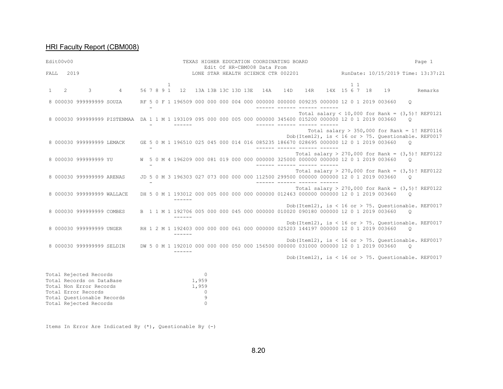| Edit00v00              |           |                                                                                |                                                                                                                   |  |  |              | TEXAS HIGHER EDUCATION COORDINATING BOARD<br>Edit Of HR-CBM008 Data From |                |          |  |  |  |  |  |     |                              |  |           |  | Page 1                                                                                                                                      |          |                                                                        |
|------------------------|-----------|--------------------------------------------------------------------------------|-------------------------------------------------------------------------------------------------------------------|--|--|--------------|--------------------------------------------------------------------------|----------------|----------|--|--|--|--|--|-----|------------------------------|--|-----------|--|---------------------------------------------------------------------------------------------------------------------------------------------|----------|------------------------------------------------------------------------|
|                        | FALL 2019 |                                                                                |                                                                                                                   |  |  |              |                                                                          |                |          |  |  |  |  |  |     |                              |  |           |  |                                                                                                                                             |          | LONE STAR HEALTH SCIENCE CTR 002201 RunDate: 10/15/2019 Time: 13:37:21 |
| $1 \quad \blacksquare$ | $2^{1}$   | $\mathcal{E}$                                                                  | $\overline{4}$                                                                                                    |  |  | $\mathbf{1}$ | 56 7 8 9 1 12 13A 13B 13C 13D 13E 14A 14D                                |                |          |  |  |  |  |  | 14R |                              |  | $1\quad1$ |  | 14X 15 6 7 18 19                                                                                                                            |          | Remarks                                                                |
|                        |           | 8 000030 999999999 SOUZA                                                       |                                                                                                                   |  |  |              |                                                                          |                |          |  |  |  |  |  |     |                              |  |           |  | RF 5 0 F 1 196509 000 000 000 004 000 000000 000000 009235 000000 12 0 1 2019 003660                                                        | $\circ$  |                                                                        |
|                        |           |                                                                                | 8 000030 999999999 PISTENMAA DA 1 1 M 1 193109 095 000 000 005 000 000000 345600 015200 000000 12 0 1 2019 003660 |  |  |              | $\frac{1}{2}$                                                            |                |          |  |  |  |  |  |     | ------ ------ ------ -----   |  |           |  | Total salary < 10,000 for Rank = $(3,5)$ ! REF0121                                                                                          | $\Omega$ |                                                                        |
|                        |           |                                                                                | 8 000030 999999999 LEMACK GE 5 0 M 1 196510 025 045 000 014 016 085235 186670 028695 000000 12 0 1 2019 003660    |  |  |              |                                                                          |                |          |  |  |  |  |  |     | ------- ------ ------ ------ |  |           |  | Total salary > 350,000 for Rank = 1! REF0116<br>Dob(Item12), is < 16 or > 75. Ouestionable. REF0017                                         | $\circ$  |                                                                        |
|                        |           |                                                                                | 8 000030 999999999 YU                                                                                             |  |  |              |                                                                          |                |          |  |  |  |  |  |     |                              |  |           |  | W 5 0 M 4 196209 000 081 019 000 000 000000 325000 000000 000000 12 0 1 2019 003660                                                         | $\circ$  | Total salary > 270,000 for Rank = $(3,5)$ ! REF0122                    |
|                        |           | 8 000030 999999999 ARENAS                                                      |                                                                                                                   |  |  |              |                                                                          |                |          |  |  |  |  |  |     | ------ ------ ------ ------  |  |           |  | JD 5 0 M 3 196303 027 073 000 000 000 112500 299500 000000 000000 12 0 1 2019 003660 0                                                      |          | Total salary > 270,000 for Rank = $(3,5)$ ! REF0122                    |
|                        |           | 8 000030 999999999 WALLACE                                                     |                                                                                                                   |  |  |              | $- - - - - -$                                                            |                |          |  |  |  |  |  |     |                              |  |           |  | Total salary > 270,000 for Rank = $(3,5)$ ! REF0122<br>DH 5 0 M 1 193012 000 005 000 000 000 000000 012463 000000 000000 12 0 1 2019 003660 | $\circ$  |                                                                        |
|                        |           | 8 000030 999999999 COMBES                                                      |                                                                                                                   |  |  |              | $- - - - - -$                                                            |                |          |  |  |  |  |  |     |                              |  |           |  | Dob(Item12), is < 16 or > 75. Ouestionable. REF0017<br>B 1 1 M 1 192706 005 000 000 045 000 000000 010020 090180 000000 12 0 1 2019 003660  | $\circ$  |                                                                        |
|                        |           | 8 000030 999999999 UNGER                                                       |                                                                                                                   |  |  |              |                                                                          |                |          |  |  |  |  |  |     |                              |  |           |  | RH 1 2 M 1 192403 000 000 000 061 000 000000 025203 144197 000000 12 0 1 2019 003660                                                        | $\circ$  | Dob(Item12), is < 16 or > 75. Ouestionable. REF0017                    |
|                        |           | 8 000030 999999999 SELDIN                                                      |                                                                                                                   |  |  |              | $\frac{1}{2}$                                                            |                |          |  |  |  |  |  |     |                              |  |           |  | DW 5 0 M 1 192010 000 000 000 050 000 156500 000000 031000 000000 12 0 1 2019 003660 0                                                      |          | Dob(Item12), is < 16 or > 75. Questionable. REF0017                    |
|                        |           |                                                                                |                                                                                                                   |  |  |              |                                                                          |                |          |  |  |  |  |  |     |                              |  |           |  |                                                                                                                                             |          | Dob(Item12), is < 16 or > 75. Ouestionable. REF0017                    |
|                        |           | Total Rejected Records<br>Total Records on DataBase<br>Total Non Error Records |                                                                                                                   |  |  |              |                                                                          | 1,959<br>1 959 | $\Omega$ |  |  |  |  |  |     |                              |  |           |  |                                                                                                                                             |          |                                                                        |

Total Non Error Records 1,959<br>
Total Error Records 0<br>
Total Questionable Records 9<br>
Total Rejected Records 0 Total Error Records Total Questionable Records Total Rejected Records 0

Items In Error Are Indicated By (\*), Questionable By (-)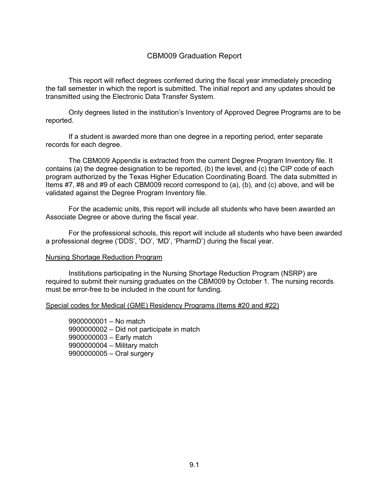### CBM009 Graduation Report

This report will reflect degrees conferred during the fiscal year immediately preceding the fall semester in which the report is submitted. The initial report and any updates should be transmitted using the Electronic Data Transfer System.

Only degrees listed in the institution's Inventory of Approved Degree Programs are to be reported.

If a student is awarded more than one degree in a reporting period, enter separate records for each degree.

The CBM009 Appendix is extracted from the current Degree Program Inventory file. It contains (a) the degree designation to be reported, (b) the level, and (c) the CIP code of each program authorized by the Texas Higher Education Coordinating Board. The data submitted in Items #7, #8 and #9 of each CBM009 record correspond to (a), (b), and (c) above, and will be validated against the Degree Program Inventory file.

For the academic units, this report will include all students who have been awarded an Associate Degree or above during the fiscal year.

For the professional schools, this report will include all students who have been awarded a professional degree ('DDS', 'DO', 'MD', 'PharmD') during the fiscal year.

#### Nursing Shortage Reduction Program

Institutions participating in the Nursing Shortage Reduction Program (NSRP) are required to submit their nursing graduates on the CBM009 by October 1. The nursing records must be error-free to be included in the count for funding.

#### Special codes for Medical (GME) Residency Programs (Items #20 and #22)

– No match – Did not participate in match – Early match – Military match – Oral surgery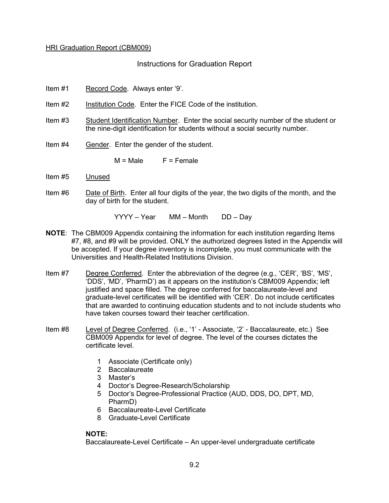#### Instructions for Graduation Report

- Item #1 Record Code. Always enter '9'.
- Item #2 Institution Code. Enter the FICE Code of the institution.
- Item #3 Student Identification Number. Enter the social security number of the student or the nine-digit identification for students without a social security number.
- Item #4 Gender. Enter the gender of the student.

 $M = Male$   $F = Female$ 

- Item #5 Unused
- Item #6 Date of Birth. Enter all four digits of the year, the two digits of the month, and the day of birth for the student.

YYYY – Year MM – Month DD – Day

- **NOTE**: The CBM009 Appendix containing the information for each institution regarding Items #7, #8, and #9 will be provided. ONLY the authorized degrees listed in the Appendix will be accepted. If your degree inventory is incomplete, you must communicate with the Universities and Health-Related Institutions Division.
- Item #7 Degree Conferred. Enter the abbreviation of the degree (e.g., 'CER', 'BS', 'MS', 'DDS', 'MD', 'PharmD') as it appears on the institution's CBM009 Appendix; left justified and space filled. The degree conferred for baccalaureate-level and graduate-level certificates will be identified with 'CER'. Do not include certificates that are awarded to continuing education students and to not include students who have taken courses toward their teacher certification.
- Item #8 Level of Degree Conferred. (i.e., '1' Associate, '2' Baccalaureate, etc.) See CBM009 Appendix for level of degree. The level of the courses dictates the certificate level.
	- 1 Associate (Certificate only)
	- 2 Baccalaureate
	- 3 Master's
	- 4 Doctor's Degree-Research/Scholarship
	- 5 Doctor's Degree-Professional Practice (AUD, DDS, DO, DPT, MD, PharmD)
	- 6 Baccalaureate-Level Certificate
	- 8 Graduate-Level Certificate

### **NOTE:**

Baccalaureate-Level Certificate – An upper-level undergraduate certificate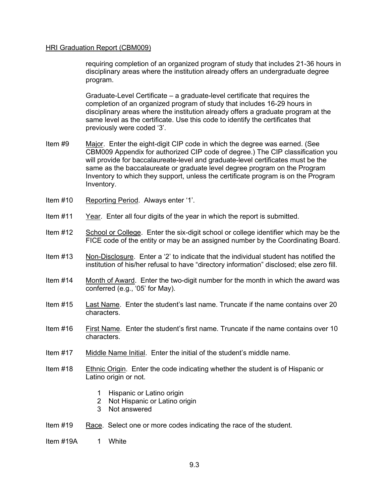requiring completion of an organized program of study that includes 21-36 hours in disciplinary areas where the institution already offers an undergraduate degree program.

Graduate-Level Certificate – a graduate-level certificate that requires the completion of an organized program of study that includes 16-29 hours in disciplinary areas where the institution already offers a graduate program at the same level as the certificate. Use this code to identify the certificates that previously were coded '3'.

- Item #9 Major. Enter the eight-digit CIP code in which the degree was earned. (See CBM009 Appendix for authorized CIP code of degree.) The CIP classification you will provide for baccalaureate-level and graduate-level certificates must be the same as the baccalaureate or graduate level degree program on the Program Inventory to which they support, unless the certificate program is on the Program Inventory.
- Item #10 Reporting Period. Always enter '1'.
- Item #11 Year. Enter all four digits of the year in which the report is submitted.
- Item #12 School or College. Enter the six-digit school or college identifier which may be the FICE code of the entity or may be an assigned number by the Coordinating Board.
- Item #13 Non-Disclosure. Enter a '2' to indicate that the individual student has notified the institution of his/her refusal to have "directory information" disclosed; else zero fill.
- Item #14 Month of Award. Enter the two-digit number for the month in which the award was conferred (e.g., '05' for May).
- Item #15 Last Name. Enter the student's last name. Truncate if the name contains over 20 characters.
- Item #16 First Name. Enter the student's first name. Truncate if the name contains over 10 characters.
- Item #17 Middle Name Initial. Enter the initial of the student's middle name.
- Item #18 Ethnic Origin. Enter the code indicating whether the student is of Hispanic or Latino origin or not.
	- 1 Hispanic or Latino origin
	- 2 Not Hispanic or Latino origin
	- 3 Not answered
- Item #19 Race. Select one or more codes indicating the race of the student.
- Item #19A 1 White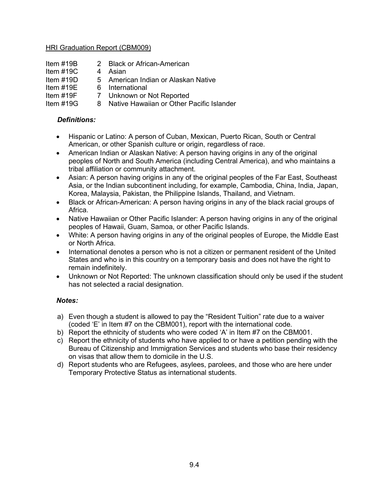- Item #19B 2 Black or African-American
- Item #19C 4 Asian
- Item #19D 5 American Indian or Alaskan Native
- Item #19E 6 International
- Item #19F 7 Unknown or Not Reported
- Item #19G 8 Native Hawaiian or Other Pacific Islander

# *Definitions:*

- Hispanic or Latino: A person of Cuban, Mexican, Puerto Rican, South or Central American, or other Spanish culture or origin, regardless of race.
- American Indian or Alaskan Native: A person having origins in any of the original peoples of North and South America (including Central America), and who maintains a tribal affiliation or community attachment.
- Asian: A person having origins in any of the original peoples of the Far East, Southeast Asia, or the Indian subcontinent including, for example, Cambodia, China, India, Japan, Korea, Malaysia, Pakistan, the Philippine Islands, Thailand, and Vietnam.
- Black or African-American: A person having origins in any of the black racial groups of Africa.
- Native Hawaiian or Other Pacific Islander: A person having origins in any of the original peoples of Hawaii, Guam, Samoa, or other Pacific Islands.
- White: A person having origins in any of the original peoples of Europe, the Middle East or North Africa.
- International denotes a person who is not a citizen or permanent resident of the United States and who is in this country on a temporary basis and does not have the right to remain indefinitely.
- Unknown or Not Reported: The unknown classification should only be used if the student has not selected a racial designation.

## *Notes:*

- a) Even though a student is allowed to pay the "Resident Tuition" rate due to a waiver (coded 'E' in Item #7 on the CBM001), report with the international code.
- b) Report the ethnicity of students who were coded 'A' in Item #7 on the CBM001.
- c) Report the ethnicity of students who have applied to or have a petition pending with the Bureau of Citizenship and Immigration Services and students who base their residency on visas that allow them to domicile in the U.S.
- d) Report students who are Refugees, asylees, parolees, and those who are here under Temporary Protective Status as international students.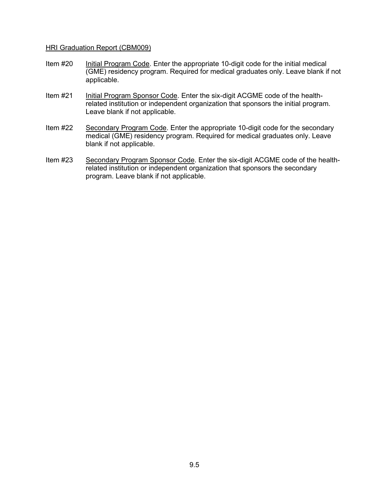- Item #20 Initial Program Code. Enter the appropriate 10-digit code for the initial medical (GME) residency program. Required for medical graduates only. Leave blank if not applicable.
- Item #21 Initial Program Sponsor Code. Enter the six-digit ACGME code of the healthrelated institution or independent organization that sponsors the initial program. Leave blank if not applicable.
- Item #22 Secondary Program Code. Enter the appropriate 10-digit code for the secondary medical (GME) residency program. Required for medical graduates only. Leave blank if not applicable.
- Item #23 Secondary Program Sponsor Code. Enter the six-digit ACGME code of the healthrelated institution or independent organization that sponsors the secondary program. Leave blank if not applicable.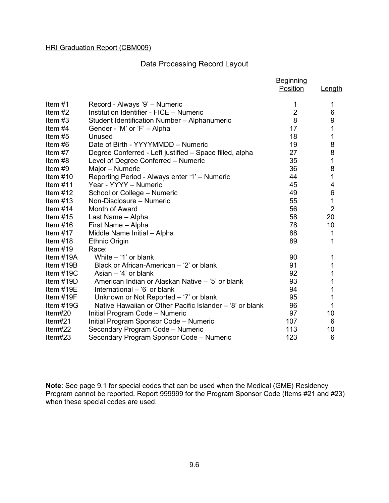# Data Processing Record Layout

|             |                                                          | <b>Beginning</b><br>Position | Length           |
|-------------|----------------------------------------------------------|------------------------------|------------------|
|             |                                                          |                              |                  |
| Item $#1$   | Record - Always '9' - Numeric                            | 1                            | 1                |
| Item $#2$   | Institution Identifier - FICE - Numeric                  | $\overline{2}$               | 6                |
| Item $#3$   | Student Identification Number - Alphanumeric             | 8                            | 9                |
| Item $#4$   | Gender - 'M' or 'F' - Alpha                              | 17                           | $\overline{1}$   |
| Item #5     | Unused                                                   | 18                           | 1                |
| Item #6     | Date of Birth - YYYYMMDD - Numeric                       | 19                           | 8                |
| Item $#7$   | Degree Conferred - Left justified - Space filled, alpha  | 27                           | 8                |
| Item #8     | Level of Degree Conferred - Numeric                      | 35                           | $\mathbf{1}$     |
| Item $#9$   | Major - Numeric                                          | 36                           | 8                |
| Item $#10$  | Reporting Period - Always enter '1' - Numeric            | 44                           | $\mathbf 1$      |
| Item $#11$  | Year - YYYY - Numeric                                    | 45                           | 4                |
| Item $#12$  | School or College - Numeric                              | 49                           | $\boldsymbol{6}$ |
| Item $#13$  | Non-Disclosure - Numeric                                 | 55                           | $\overline{1}$   |
| Item $#14$  | Month of Award                                           | 56                           | $\overline{2}$   |
| Item $#15$  | Last Name - Alpha                                        | 58                           | 20               |
| Item $#16$  | First Name - Alpha                                       | 78                           | 10               |
| Item $#17$  | Middle Name Initial - Alpha                              | 88                           | 1                |
| Item $#18$  | <b>Ethnic Origin</b>                                     | 89                           | 1                |
| Item $#19$  | Race:                                                    |                              |                  |
| Item $#19A$ | White $-$ '1' or blank                                   | 90                           | 1                |
| Item $#19B$ | Black or African-American – '2' or blank                 | 91                           | 1                |
| Item $#19C$ | Asian $-$ '4' or blank                                   | 92                           | 1                |
| Item $#19D$ | American Indian or Alaskan Native - '5' or blank         | 93                           | $\overline{1}$   |
| Item $#19E$ | International - '6' or blank                             | 94                           | 1                |
| Item $#19F$ | Unknown or Not Reported – '7' or blank                   | 95                           | 1                |
| Item #19G   | Native Hawaiian or Other Pacific Islander – '8' or blank | 96                           | 1                |
| Item#20     | Initial Program Code - Numeric                           | 97                           | 10               |
| Item#21     | Initial Program Sponsor Code - Numeric                   | 107                          | 6                |
| Item $#22$  | Secondary Program Code - Numeric                         | 113                          | 10               |
| Item $#23$  | Secondary Program Sponsor Code - Numeric                 | 123                          | 6                |

**Note**: See page 9.1 for special codes that can be used when the Medical (GME) Residency Program cannot be reported. Report 999999 for the Program Sponsor Code (Items #21 and #23) when these special codes are used.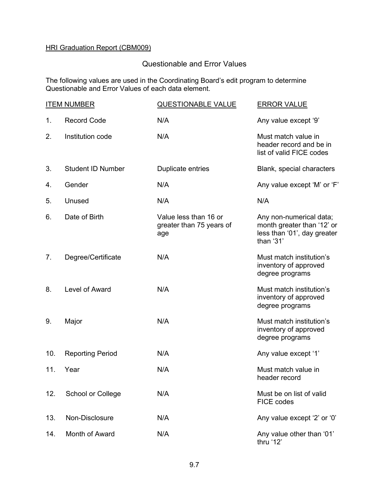# Questionable and Error Values

The following values are used in the Coordinating Board's edit program to determine Questionable and Error Values of each data element.

|     | <b>ITEM NUMBER</b>       | <b>QUESTIONABLE VALUE</b>                                | <b>ERROR VALUE</b>                                                                                |
|-----|--------------------------|----------------------------------------------------------|---------------------------------------------------------------------------------------------------|
| 1.  | <b>Record Code</b>       | N/A                                                      | Any value except '9'                                                                              |
| 2.  | Institution code         | N/A                                                      | Must match value in<br>header record and be in<br>list of valid FICE codes                        |
| 3.  | <b>Student ID Number</b> | Duplicate entries                                        | Blank, special characters                                                                         |
| 4.  | Gender                   | N/A                                                      | Any value except 'M' or 'F'                                                                       |
| 5.  | Unused                   | N/A                                                      | N/A                                                                                               |
| 6.  | Date of Birth            | Value less than 16 or<br>greater than 75 years of<br>age | Any non-numerical data;<br>month greater than '12' or<br>less than '01', day greater<br>than '31' |
| 7.  | Degree/Certificate       | N/A                                                      | Must match institution's<br>inventory of approved<br>degree programs                              |
| 8.  | Level of Award           | N/A                                                      | Must match institution's<br>inventory of approved<br>degree programs                              |
| 9.  | Major                    | N/A                                                      | Must match institution's<br>inventory of approved<br>degree programs                              |
| 10. | <b>Reporting Period</b>  | N/A                                                      | Any value except '1'                                                                              |
| 11. | Year                     | N/A                                                      | Must match value in<br>header record                                                              |
| 12. | School or College        | N/A                                                      | Must be on list of valid<br>FICE codes                                                            |
| 13. | Non-Disclosure           | N/A                                                      | Any value except '2' or '0'                                                                       |
| 14. | Month of Award           | N/A                                                      | Any value other than '01'<br>thru '12'                                                            |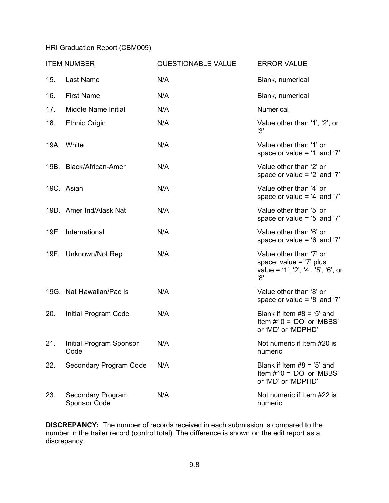|     | <b>ITEM NUMBER</b>                              | <b>QUESTIONABLE VALUE</b> | <b>ERROR VALUE</b>                                                                                 |  |  |
|-----|-------------------------------------------------|---------------------------|----------------------------------------------------------------------------------------------------|--|--|
| 15. | Last Name                                       | N/A                       | Blank, numerical                                                                                   |  |  |
| 16. | <b>First Name</b>                               | N/A                       | Blank, numerical                                                                                   |  |  |
| 17. | <b>Middle Name Initial</b>                      | N/A                       | <b>Numerical</b>                                                                                   |  |  |
| 18. | <b>Ethnic Origin</b>                            | N/A                       | Value other than '1', '2', or<br>'3'                                                               |  |  |
|     | 19A. White                                      | N/A                       | Value other than '1' or<br>space or value = '1' and '7'                                            |  |  |
|     | 19B. Black/African-Amer                         | N/A                       | Value other than '2' or<br>space or value = $2'$ and $7'$                                          |  |  |
|     | 19C. Asian                                      | N/A                       | Value other than '4' or<br>space or value = $4'$ and '7'                                           |  |  |
|     | 19D. Amer Ind/Alask Nat                         | N/A                       | Value other than '5' or<br>space or value = $5'$ and $7'$                                          |  |  |
|     | 19E. International                              | N/A                       | Value other than '6' or<br>space or value = $6'$ and $7'$                                          |  |  |
|     | 19F. Unknown/Not Rep                            | N/A                       | Value other than '7' or<br>space; value = $'7'$ plus<br>value = '1', '2', '4', '5', '6', or<br>'8' |  |  |
|     | 19G. Nat Hawaiian/Pac Is                        | N/A                       | Value other than '8' or<br>space or value = $8'$ and '7'                                           |  |  |
| 20. | Initial Program Code                            | N/A                       | Blank if Item $#8 = '5'$ and<br>Item $#10 = 'DO'$ or 'MBBS'<br>or 'MD' or 'MDPHD'                  |  |  |
| 21. | Initial Program Sponsor<br>Code                 | N/A                       | Not numeric if Item #20 is<br>numeric                                                              |  |  |
| 22. | Secondary Program Code                          | N/A                       | Blank if Item $#8 = '5'$ and<br>Item $#10 = 'DO'$ or 'MBBS'<br>or 'MD' or 'MDPHD'                  |  |  |
| 23. | <b>Secondary Program</b><br><b>Sponsor Code</b> | N/A                       | Not numeric if Item #22 is<br>numeric                                                              |  |  |

**DISCREPANCY:** The number of records received in each submission is compared to the number in the trailer record (control total). The difference is shown on the edit report as a discrepancy.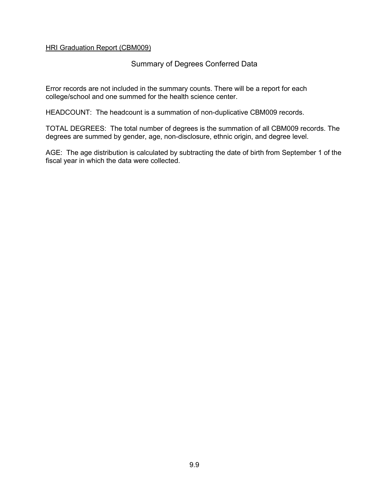### Summary of Degrees Conferred Data

Error records are not included in the summary counts. There will be a report for each college/school and one summed for the health science center.

HEADCOUNT: The headcount is a summation of non-duplicative CBM009 records.

TOTAL DEGREES: The total number of degrees is the summation of all CBM009 records. The degrees are summed by gender, age, non-disclosure, ethnic origin, and degree level.

AGE: The age distribution is calculated by subtracting the date of birth from September 1 of the fiscal year in which the data were collected.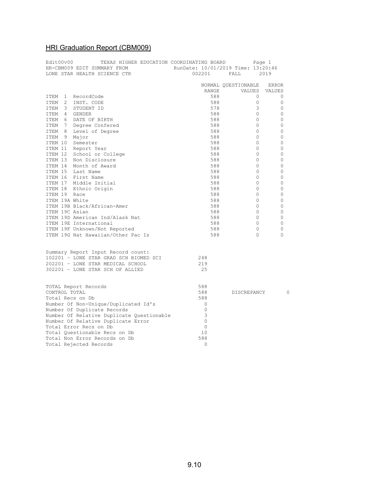| Edit00v00<br>TEXAS HIGHER EDUCATION COORDINATING BOARD<br>HR-CBM009 EDIT SUMMARY FROM | RunDate: 10/01/2019 Time: 13:20:46 | Page 1              |               |
|---------------------------------------------------------------------------------------|------------------------------------|---------------------|---------------|
| LONE STAR HEALTH SCIENCE CTR                                                          | 002201                             | FALL                | 2019          |
|                                                                                       |                                    | NORMAL QUESTIONABLE | <b>ERROR</b>  |
|                                                                                       | RANGE                              | VALUES              | <b>VALUES</b> |
| ITEM 1 RecordCode                                                                     | 588                                | $\Omega$            | 0             |
| ITEM<br>2 INST. CODE                                                                  | 588                                | $\circ$             | 0             |
| ITEM 3 STUDENT ID                                                                     | 578                                | 3                   | 0             |
| ITEM 4 GENDER                                                                         | 588                                | $\circ$             | 0             |
| ITEM 6 DATE OF BIRTH                                                                  | 588                                | $\circ$             | 0             |
| ITEM 7 Degree Confered                                                                | 588                                | $\Omega$            | 0             |
| ITEM 8 Level of Degree                                                                | 588                                | $\circ$             | 0             |
| ITEM 9 Major                                                                          | 588                                | $\Omega$            | 0             |
| ITEM 10 Semester                                                                      | 588                                | $\circ$             | 0             |
| ITEM 11 Report Year                                                                   | 588                                | $\circ$             | 0             |
| ITEM 12 School or College                                                             | 588                                | $\circ$             | $\circ$       |
| ITEM 13 Non Disclosure                                                                | 588                                | $\mathbf{0}$        | 0             |
| ITEM 14 Month of Award                                                                | 588                                | $\Omega$            | $\Omega$      |
| ITEM 15 Last Name                                                                     | 588                                | $\circ$             | 0             |
| ITEM 16 First Name                                                                    | 588                                | $\mathbf{0}$        | 0             |
| ITEM 17 Middle Initial                                                                | 588                                | $\circ$             | 0             |
| ITEM 18 Ethnic Origin                                                                 | 588                                | $\mathbf{0}$        | 0             |
| ITEM 19 Race                                                                          | 588                                | $\mathbf{0}$        | 0             |
| ITEM 19A White                                                                        | 588                                | $\mathbf{0}$        | 0             |
| ITEM 19B Black/African-Amer                                                           | 588                                | $\mathbf{0}$        | 0             |
| ITEM 19C Asian                                                                        | 588                                | $\circ$             | 0             |
| ITEM 19D American Ind/Alask Nat                                                       | 588                                | $\circ$             | 0             |
| ITEM 19E International                                                                | 588                                | $\mathbf{0}$        | 0             |
| ITEM 19F Unknown/Not Reported                                                         | 588                                | $\Omega$            | 0             |
| ITEM 19G Nat Hawaiian/Other Pac Is                                                    | 588                                | $\Omega$            | $\Omega$      |
| Summary Report Input Record count:                                                    |                                    |                     |               |
| 102201 - LONE STAR GRAD SCH BIOMED SCI                                                | 248                                |                     |               |
| 202201 - LONE STAR MEDICAL SCHOOL                                                     | 219                                |                     |               |
| 302201 - LONE STAR SCH OF ALLIED                                                      | 25                                 |                     |               |
| TOTAL Report Records                                                                  | 588                                |                     |               |
| CONTROL TOTAL                                                                         | 588                                | DISCREPANCY         | 0             |
| Total Recs on Db                                                                      | 588                                |                     |               |
| Number Of Non-Unique/Duplicated Id's                                                  | $\circ$                            |                     |               |
| Number Of Duplicate Records                                                           | $\circ$                            |                     |               |
| Number Of Relative Duplicate Questionable                                             | 3                                  |                     |               |
| Number Of Relative Duplicate Error                                                    | $\mathbf{0}$                       |                     |               |
| Total Error Recs on Db                                                                | $\circ$                            |                     |               |
| Total Ouestionable Recs on Db                                                         | 10                                 |                     |               |
| Total Non Error Records on Db                                                         | 588                                |                     |               |
| Total Rejected Records                                                                | $\Omega$                           |                     |               |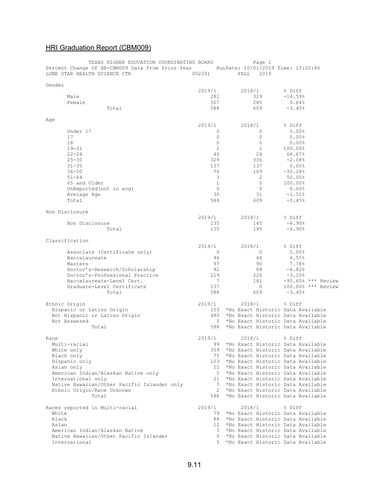| TEXAS HIGHER EDUCATION COORDINATING BOARD<br>Percent Change Of HR-CBM009 Data From Prior Year RunDate: 10/01/2019 Time: 13:20:46<br>LONE STAR HEALTH SCIENCE CTR | 002201               | Page 1<br>FALL<br>2019                                                        |                      |
|------------------------------------------------------------------------------------------------------------------------------------------------------------------|----------------------|-------------------------------------------------------------------------------|----------------------|
|                                                                                                                                                                  |                      |                                                                               |                      |
| Gender                                                                                                                                                           | 2019/1               | 2018/1                                                                        | % Diff               |
| Male                                                                                                                                                             | 281                  | 329                                                                           | $-14.59%$            |
| Female                                                                                                                                                           | 307                  | 280                                                                           | 9.64%                |
| Total                                                                                                                                                            | 588                  | 609                                                                           | $-3.45%$             |
|                                                                                                                                                                  |                      |                                                                               |                      |
| Age                                                                                                                                                              | 2019/1               | 2018/1                                                                        | % Diff               |
| Under 17                                                                                                                                                         | $\circ$              | $\mathbf{0}$                                                                  | 0.00%                |
| 17                                                                                                                                                               | $\mathbf{0}$         | $\circ$                                                                       | $0.00$ <sup>8</sup>  |
| 18                                                                                                                                                               | $\circ$              | $\circ$                                                                       | $0.00$ <sup>8</sup>  |
| $19 - 21$                                                                                                                                                        | $\overline{c}$       | $\mathbf{1}$                                                                  | 100.00%              |
| $22 - 24$                                                                                                                                                        | 40                   | 24                                                                            | 66.67%               |
| $25 - 30$                                                                                                                                                        | 329                  | 336                                                                           | $-2.08%$             |
| $31 - 35$                                                                                                                                                        | 137                  | 137                                                                           | $0.00$ %             |
| $36 - 50$<br>$51 - 64$                                                                                                                                           | 76<br>3              | 109<br>$\overline{2}$                                                         | $-30.28%$<br>50.00%  |
| 65 and Older                                                                                                                                                     | $\mathbf{1}$         | $\Omega$                                                                      | 100.00%              |
| UnReported (not in avg)                                                                                                                                          | $\circ$              | $\circ$                                                                       | $0.00$ %             |
| Average Age                                                                                                                                                      | 30                   | 31                                                                            | $-1.51%$             |
| Total                                                                                                                                                            | 588                  | 609                                                                           | $-3.45%$             |
|                                                                                                                                                                  |                      |                                                                               |                      |
| Non Disclosure                                                                                                                                                   |                      |                                                                               |                      |
|                                                                                                                                                                  | 2019/1               | 2018/1<br>145                                                                 | % Diff<br>$-6.90%$   |
| Non Disclosure<br>Total                                                                                                                                          | 135<br>135           | 145                                                                           | $-6.90%$             |
|                                                                                                                                                                  |                      |                                                                               |                      |
| Classification                                                                                                                                                   |                      |                                                                               |                      |
|                                                                                                                                                                  | 2019/1               | 2018/1                                                                        | % Diff               |
| Associate (Certificate only)                                                                                                                                     | $\circ$              | $\mathbf{0}$                                                                  | $0.00$ %             |
| Baccalaureate                                                                                                                                                    | 46                   | 44                                                                            | 4.55%                |
| Masters                                                                                                                                                          | 97                   | 90                                                                            | 7.78%                |
| Doctor's-Research/Scholarship<br>Doctor's-Professional Practice                                                                                                  | 82<br>219            | 88<br>226                                                                     | $-6.82%$<br>$-3.10%$ |
| Baccalaureate-Level Cert.                                                                                                                                        | 7                    | 161                                                                           | $-95.65%$ *** Review |
| Graduate-Level Certificate                                                                                                                                       | 137                  | $\circ$                                                                       | 100.00% *** Review   |
| Total                                                                                                                                                            | 588                  | 609                                                                           | $-3.45%$             |
|                                                                                                                                                                  |                      |                                                                               |                      |
| Ethnic Origin<br>Hispanic or Latino Origin                                                                                                                       | 2019/1<br>103        | 2018/1<br>*No Exact Historic Data Available                                   | % Diff               |
| Not Hispanic or Latino Origin                                                                                                                                    | 480                  | *No Exact Historic Data Available                                             |                      |
| Not Answered                                                                                                                                                     | .5                   | *No Exact Historic Data Available                                             |                      |
| Total                                                                                                                                                            | 588                  | *No Exact Historic Data Available                                             |                      |
|                                                                                                                                                                  |                      |                                                                               |                      |
| Race                                                                                                                                                             | 2019/1               | 2018/1                                                                        | % Diff               |
| Multi-racial                                                                                                                                                     |                      | 99 *No Exact Historic Data Available                                          |                      |
| White only<br>Black only                                                                                                                                         |                      | 359 *No Exact Historic Data Available<br>75 *No Exact Historic Data Available |                      |
| Hispanic only                                                                                                                                                    |                      | 103 *No Exact Historic Data Available                                         |                      |
| Asian only                                                                                                                                                       | 21                   | *No Exact Historic Data Available                                             |                      |
| American Indian/Alaskan Native only                                                                                                                              | $\circ$              | *No Exact Historic Data Available                                             |                      |
| International only                                                                                                                                               | 21                   | *No Exact Historic Data Available                                             |                      |
| Native Hawaiian/Other Pacific Islander only                                                                                                                      | 7                    | *No Exact Historic Data Available                                             |                      |
| Ethnic Origin/Race Unknown                                                                                                                                       | $\mathbf{2}^{\circ}$ | *No Exact Historic Data Available                                             |                      |
| Total                                                                                                                                                            | 588                  | *No Exact Historic Data Available                                             |                      |
| Races reported in Multi-racial                                                                                                                                   | 2019/1               | 2018/1                                                                        | % Diff               |
| White                                                                                                                                                            | 79                   | *No Exact Historic Data Available                                             |                      |
| Black                                                                                                                                                            | 88                   | *No Exact Historic Data Available                                             |                      |
| Asian                                                                                                                                                            | 12 <sup>7</sup>      | *No Exact Historic Data Available                                             |                      |
| American Indian/Alaskan Native                                                                                                                                   | 3                    | *No Exact Historic Data Available                                             |                      |
| Native Hawaiian/Other Pacific Islander                                                                                                                           | $\circ$              | *No Exact Historic Data Available                                             |                      |
| International                                                                                                                                                    | 5                    | *No Exact Historic Data Available                                             |                      |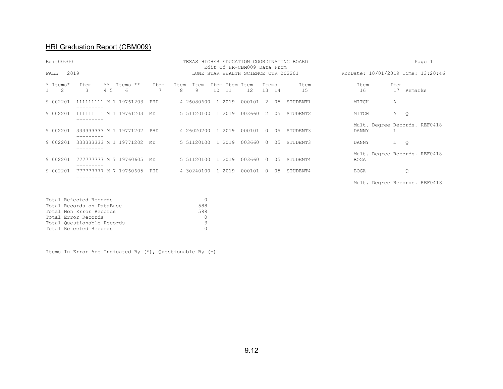# HRI Graduation Report (CBM009)

| Edit00v00<br>TEXAS HIGHER EDUCATION COORDINATING BOARD<br>Edit Of HR-CBM009 Data From |                                            |                        |                                     |                      |        |                |     | Page 1     |             |                                    |
|---------------------------------------------------------------------------------------|--------------------------------------------|------------------------|-------------------------------------|----------------------|--------|----------------|-----|------------|-------------|------------------------------------|
| 2019<br>FALL                                                                          |                                            |                        | LONE STAR HEALTH SCIENCE CTR 002201 |                      |        |                |     |            |             | RunDate: 10/01/2019 Time: 13:20:46 |
| * Items*<br>$\overline{c}$                                                            | Items **<br>$***$<br>Item<br>3<br>4 5<br>6 | Ttem<br>Ttem<br>7<br>8 | Ttem<br>9<br>10                     | Item Item Item<br>11 | 12     | Ttems<br>13 14 |     | Ttem<br>15 | Item<br>16  | Item<br>17<br>Remarks              |
| 9 002201                                                                              | 111111111 M 1 19761203                     | PHD                    | 4 26080600                          | 1 2019               | 000101 | $\mathcal{L}$  | 05  | STUDENT1   | MITCH       | Α                                  |
| 9 002201                                                                              | 111111111 M 1 19761203                     | MD.                    | 5 51120100                          | 1 2019               | 003660 | 2              | 0.5 | STUDENT2   | MITCH       | Α<br>Q                             |
| 9 002201                                                                              | 333333333 M 1 19771202                     | PHD                    | 4 26020200                          | 1 2019               | 000101 | $\Omega$       | 0.5 | STUDENT3   | DANNY       | Mult. Degree Records. REF0418<br>L |
| 9 002201                                                                              | 333333333 M 1 19771202<br>---------        | MD                     | 5 51120100                          | 1 2019               | 003660 | $\Omega$       | 0.5 | STUDENT3   | DANNY       | L<br>$\circ$                       |
| 9 002201                                                                              | 777777777 M 7 19760605<br>---------        | MD.                    | 5 51120100                          | 1 2019               | 003660 | $\Omega$       | 05  | STUDENT4   | <b>BOGA</b> | Mult. Degree Records. REF0418      |
| 9 002201                                                                              | 777777777 M 7 19760605<br>---------        | PHD                    | 4 30240100                          | 1 2019               | 000101 | $\Omega$       | 0.5 | STUDENT4   | <b>BOGA</b> | Q                                  |
|                                                                                       |                                            |                        |                                     |                      |        |                |     |            |             | Mult. Degree Records. REF0418      |

| Total Rejected Records     |               |
|----------------------------|---------------|
| Total Records on DataBase  | 588           |
| Total Non Error Records    | 588           |
| Total Error Records        |               |
| Total Questionable Records | $\mathcal{L}$ |
| Total Rejected Records     |               |

Items In Error Are Indicated By (\*), Questionable By (-)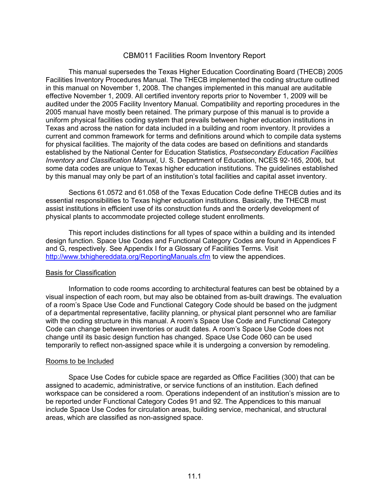### CBM011 Facilities Room Inventory Report

This manual supersedes the Texas Higher Education Coordinating Board (THECB) 2005 Facilities Inventory Procedures Manual. The THECB implemented the coding structure outlined in this manual on November 1, 2008. The changes implemented in this manual are auditable effective November 1, 2009. All certified inventory reports prior to November 1, 2009 will be audited under the 2005 Facility Inventory Manual. Compatibility and reporting procedures in the 2005 manual have mostly been retained. The primary purpose of this manual is to provide a uniform physical facilities coding system that prevails between higher education institutions in Texas and across the nation for data included in a building and room inventory. It provides a current and common framework for terms and definitions around which to compile data systems for physical facilities. The majority of the data codes are based on definitions and standards established by the National Center for Education Statistics, *Postsecondary Education Facilities Inventory and Classification Manual*, U. S. Department of Education, NCES 92-165, 2006, but some data codes are unique to Texas higher education institutions. The guidelines established by this manual may only be part of an institution's total facilities and capital asset inventory.

Sections 61.0572 and 61.058 of the Texas Education Code define THECB duties and its essential responsibilities to Texas higher education institutions. Basically, the THECB must assist institutions in efficient use of its construction funds and the orderly development of physical plants to accommodate projected college student enrollments.

This report includes distinctions for all types of space within a building and its intended design function. Space Use Codes and Functional Category Codes are found in Appendices F and G, respectively. See Appendix I for a Glossary of Facilities Terms. Visit <http://www.txhighereddata.org/ReportingManuals.cfm> to view the appendices.

#### Basis for Classification

Information to code rooms according to architectural features can best be obtained by a visual inspection of each room, but may also be obtained from as-built drawings. The evaluation of a room's Space Use Code and Functional Category Code should be based on the judgment of a departmental representative, facility planning, or physical plant personnel who are familiar with the coding structure in this manual. A room's Space Use Code and Functional Category Code can change between inventories or audit dates. A room's Space Use Code does not change until its basic design function has changed. Space Use Code 060 can be used temporarily to reflect non-assigned space while it is undergoing a conversion by remodeling.

#### Rooms to be Included

Space Use Codes for cubicle space are regarded as Office Facilities (300) that can be assigned to academic, administrative, or service functions of an institution. Each defined workspace can be considered a room. Operations independent of an institution's mission are to be reported under Functional Category Codes 91 and 92. The Appendices to this manual include Space Use Codes for circulation areas, building service, mechanical, and structural areas, which are classified as non-assigned space.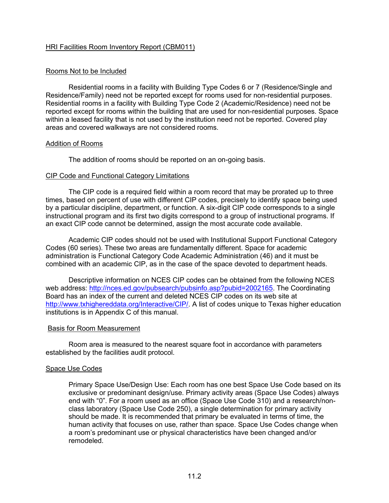#### Rooms Not to be Included

Residential rooms in a facility with Building Type Codes 6 or 7 (Residence/Single and Residence/Family) need not be reported except for rooms used for non-residential purposes. Residential rooms in a facility with Building Type Code 2 (Academic/Residence) need not be reported except for rooms within the building that are used for non-residential purposes. Space within a leased facility that is not used by the institution need not be reported. Covered play areas and covered walkways are not considered rooms.

#### Addition of Rooms

The addition of rooms should be reported on an on-going basis.

#### CIP Code and Functional Category Limitations

The CIP code is a required field within a room record that may be prorated up to three times, based on percent of use with different CIP codes, precisely to identify space being used by a particular discipline, department, or function. A six-digit CIP code corresponds to a single instructional program and its first two digits correspond to a group of instructional programs. If an exact CIP code cannot be determined, assign the most accurate code available.

Academic CIP codes should not be used with Institutional Support Functional Category Codes (60 series). These two areas are fundamentally different. Space for academic administration is Functional Category Code Academic Administration (46) and it must be combined with an academic CIP, as in the case of the space devoted to department heads.

Descriptive information on NCES CIP codes can be obtained from the following NCES web address: [http://nces.ed.gov/pubsearch/pubsinfo.asp?pubid=2002165.](http://nces.ed.gov/pubsearch/pubsinfo.asp?pubid=2002165) The Coordinating Board has an index of the current and deleted NCES CIP codes on its web site at [http://www.txhighereddata.org/Interactive/CIP/.](http://www.txhighereddata.org/Interactive/CIP/) A list of codes unique to Texas higher education institutions is in Appendix C of this manual.

#### Basis for Room Measurement

Room area is measured to the nearest square foot in accordance with parameters established by the facilities audit protocol.

#### Space Use Codes

Primary Space Use/Design Use: Each room has one best Space Use Code based on its exclusive or predominant design/use. Primary activity areas (Space Use Codes) always end with "0". For a room used as an office (Space Use Code 310) and a research/nonclass laboratory (Space Use Code 250), a single determination for primary activity should be made. It is recommended that primary be evaluated in terms of time, the human activity that focuses on use, rather than space. Space Use Codes change when a room's predominant use or physical characteristics have been changed and/or remodeled.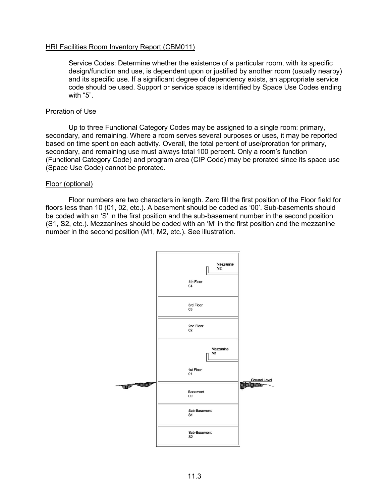Service Codes: Determine whether the existence of a particular room, with its specific design/function and use, is dependent upon or justified by another room (usually nearby) and its specific use. If a significant degree of dependency exists, an appropriate service code should be used. Support or service space is identified by Space Use Codes ending with "5".

#### Proration of Use

Up to three Functional Category Codes may be assigned to a single room: primary, secondary, and remaining. Where a room serves several purposes or uses, it may be reported based on time spent on each activity. Overall, the total percent of use/proration for primary, secondary, and remaining use must always total 100 percent. Only a room's function (Functional Category Code) and program area (CIP Code) may be prorated since its space use (Space Use Code) cannot be prorated.

#### Floor (optional)

Floor numbers are two characters in length. Zero fill the first position of the Floor field for floors less than 10 (01, 02, etc.). A basement should be coded as '00'. Sub-basements should be coded with an 'S' in the first position and the sub-basement number in the second position (S1, S2, etc.). Mezzanines should be coded with an 'M' in the first position and the mezzanine number in the second position (M1, M2, etc.). See illustration.

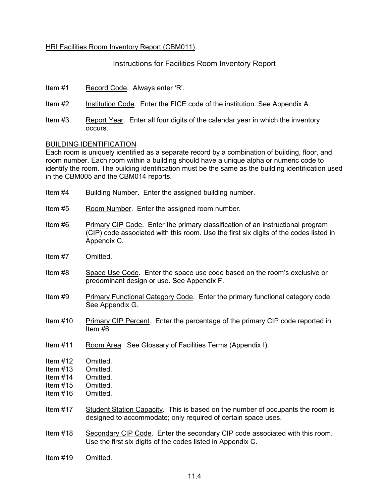Instructions for Facilities Room Inventory Report

Item #1 Record Code. Always enter 'R'.

- Item #2 Institution Code. Enter the FICE code of the institution. See Appendix A.
- Item #3 Report Year. Enter all four digits of the calendar year in which the inventory occurs.

#### BUILDING IDENTIFICATION

Each room is uniquely identified as a separate record by a combination of building, floor, and room number. Each room within a building should have a unique alpha or numeric code to identify the room. The building identification must be the same as the building identification used in the CBM005 and the CBM014 reports.

- Item #4 Building Number. Enter the assigned building number.
- Item #5 Room Number. Enter the assigned room number.
- Item #6 Primary CIP Code. Enter the primary classification of an instructional program (CIP) code associated with this room. Use the first six digits of the codes listed in Appendix C.
- Item #7 Omitted.
- Item #8 Space Use Code. Enter the space use code based on the room's exclusive or predominant design or use. See Appendix F.
- Item #9 Primary Functional Category Code. Enter the primary functional category code. See Appendix G.
- Item #10 Primary CIP Percent. Enter the percentage of the primary CIP code reported in Item #6.
- Item #11 Room Area. See Glossary of Facilities Terms (Appendix I).
- Item #12 Omitted.
- Item #13 Omitted.
- Item #14 Omitted.
- Item #15 Omitted.
- Item #16 Omitted.
- Item #17 Student Station Capacity. This is based on the number of occupants the room is designed to accommodate; only required of certain space uses.
- Item #18 Secondary CIP Code. Enter the secondary CIP code associated with this room. Use the first six digits of the codes listed in Appendix C.
- Item #19 Omitted.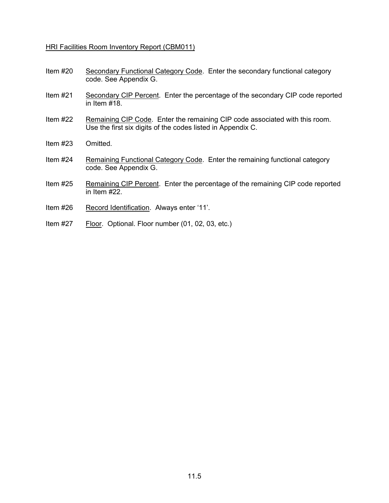- Item #20 Secondary Functional Category Code. Enter the secondary functional category code. See Appendix G.
- Item #21 Secondary CIP Percent. Enter the percentage of the secondary CIP code reported in Item #18.
- Item #22 Remaining CIP Code. Enter the remaining CIP code associated with this room. Use the first six digits of the codes listed in Appendix C.
- Item #23 Omitted.
- Item #24 Remaining Functional Category Code. Enter the remaining functional category code. See Appendix G.
- Item #25 Remaining CIP Percent. Enter the percentage of the remaining CIP code reported in Item #22.
- Item #26 Record Identification. Always enter '11'.
- Item #27 Floor. Optional. Floor number (01, 02, 03, etc.)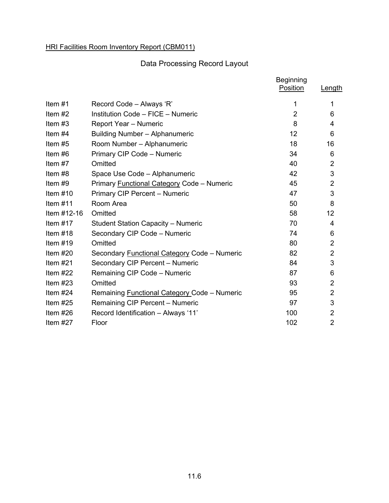# Data Processing Record Layout

|             |                                                     | <b>Beginning</b><br>Position | Length         |
|-------------|-----------------------------------------------------|------------------------------|----------------|
| Item $#1$   | Record Code - Always 'R'                            | 1                            | 1              |
| Item $#2$   | Institution Code - FICE - Numeric                   | $\overline{2}$               | 6              |
| Item $#3$   | Report Year - Numeric                               | 8                            | 4              |
| Item $#4$   | Building Number - Alphanumeric                      | 12                           | 6              |
| Item $#5$   | Room Number - Alphanumeric                          | 18                           | 16             |
| Item #6     | Primary CIP Code - Numeric                          | 34                           | 6              |
| Item #7     | Omitted                                             | 40                           | $\overline{2}$ |
| Item #8     | Space Use Code - Alphanumeric                       | 42                           | 3              |
| Item #9     | Primary Functional Category Code - Numeric          | 45                           | $\overline{2}$ |
| Item $#10$  | Primary CIP Percent - Numeric                       | 47                           | 3              |
| Item $#11$  | Room Area                                           | 50                           | 8              |
| Item #12-16 | Omitted                                             | 58                           | 12             |
| Item $#17$  | <b>Student Station Capacity - Numeric</b>           | 70                           | 4              |
| Item $#18$  | Secondary CIP Code - Numeric                        | 74                           | 6              |
| Item $#19$  | Omitted                                             | 80                           | $\overline{2}$ |
| Item $#20$  | Secondary Functional Category Code - Numeric        | 82                           | $\overline{2}$ |
| Item $#21$  | Secondary CIP Percent - Numeric                     | 84                           | 3              |
| Item $#22$  | Remaining CIP Code - Numeric                        | 87                           | 6              |
| Item $#23$  | Omitted                                             | 93                           | $\overline{2}$ |
| Item $#24$  | Remaining <b>Functional Category Code</b> - Numeric | 95                           | $\overline{2}$ |
| Item $#25$  | Remaining CIP Percent - Numeric                     | 97                           | 3              |
| Item $#26$  | Record Identification - Always '11'                 | 100                          | $\overline{2}$ |
| Item $#27$  | Floor                                               | 102                          | $\overline{2}$ |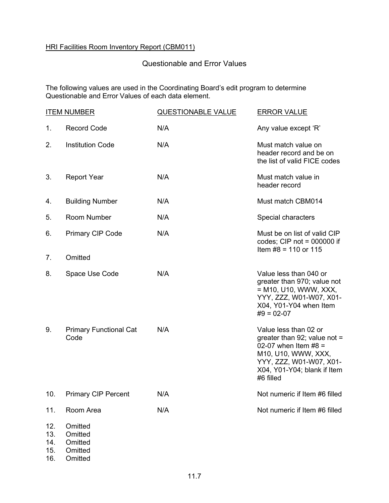### Questionable and Error Values

The following values are used in the Coordinating Board's edit program to determine Questionable and Error Values of each data element.

|                          | <b>ITEM NUMBER</b>                       | <b>QUESTIONABLE VALUE</b> | <b>ERROR VALUE</b>                                                                                                                                                              |
|--------------------------|------------------------------------------|---------------------------|---------------------------------------------------------------------------------------------------------------------------------------------------------------------------------|
| 1.                       | <b>Record Code</b>                       | N/A                       | Any value except 'R'                                                                                                                                                            |
| 2.                       | <b>Institution Code</b>                  | N/A                       | Must match value on<br>header record and be on<br>the list of valid FICE codes                                                                                                  |
| 3.                       | <b>Report Year</b>                       | N/A                       | Must match value in<br>header record                                                                                                                                            |
| 4.                       | <b>Building Number</b>                   | N/A                       | Must match CBM014                                                                                                                                                               |
| 5.                       | <b>Room Number</b>                       | N/A                       | Special characters                                                                                                                                                              |
| 6.                       | <b>Primary CIP Code</b>                  | N/A                       | Must be on list of valid CIP<br>codes; CIP not = $000000$ if<br>Item $#8 = 110$ or 115                                                                                          |
| 7.                       | Omitted                                  |                           |                                                                                                                                                                                 |
| 8.                       | Space Use Code                           | N/A                       | Value less than 040 or<br>greater than 970; value not<br>$= M10$ , U10, WWW, XXX,<br>YYY, ZZZ, W01-W07, X01-<br>X04, Y01-Y04 when Item<br>$#9 = 02-07$                          |
| 9.                       | <b>Primary Functional Cat</b><br>Code    | N/A                       | Value less than 02 or<br>greater than 92; value not $=$<br>02-07 when Item $#8 =$<br>M10, U10, WWW, XXX,<br>YYY, ZZZ, W01-W07, X01-<br>X04, Y01-Y04; blank if Item<br>#6 filled |
| 10.                      | <b>Primary CIP Percent</b>               | N/A                       | Not numeric if Item #6 filled                                                                                                                                                   |
| 11.                      | Room Area                                | N/A                       | Not numeric if Item #6 filled                                                                                                                                                   |
| 12.<br>13.<br>14.<br>15. | Omitted<br>Omitted<br>Omitted<br>Omitted |                           |                                                                                                                                                                                 |

16. Omitted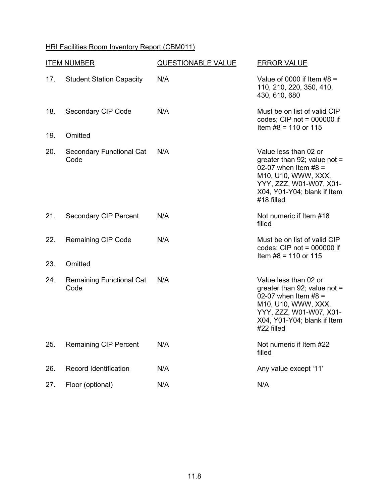| <b>ITEM NUMBER</b> |                                         | <b>QUESTIONABLE VALUE</b> | <b>ERROR VALUE</b>                                                                                                                                                               |  |  |  |
|--------------------|-----------------------------------------|---------------------------|----------------------------------------------------------------------------------------------------------------------------------------------------------------------------------|--|--|--|
| 17.                | <b>Student Station Capacity</b>         | N/A                       | Value of 0000 if Item $#8 =$<br>110, 210, 220, 350, 410,<br>430, 610, 680                                                                                                        |  |  |  |
| 18.                | Secondary CIP Code                      | N/A                       | Must be on list of valid CIP<br>codes; CIP not = $000000$ if<br>Item $#8 = 110$ or 115                                                                                           |  |  |  |
| 19.                | Omitted                                 |                           |                                                                                                                                                                                  |  |  |  |
| 20.                | <b>Secondary Functional Cat</b><br>Code | N/A                       | Value less than 02 or<br>greater than 92; value not $=$<br>02-07 when Item $#8 =$<br>M10, U10, WWW, XXX,<br>YYY, ZZZ, W01-W07, X01-<br>X04, Y01-Y04; blank if Item<br>#18 filled |  |  |  |
| 21.                | <b>Secondary CIP Percent</b>            | N/A                       | Not numeric if Item #18<br>filled                                                                                                                                                |  |  |  |
| 22.                | <b>Remaining CIP Code</b>               | N/A                       | Must be on list of valid CIP<br>codes; CIP not = $000000$ if<br>Item $#8 = 110$ or 115                                                                                           |  |  |  |
| 23.                | Omitted                                 |                           |                                                                                                                                                                                  |  |  |  |
| 24.                | <b>Remaining Functional Cat</b><br>Code | N/A                       | Value less than 02 or<br>greater than 92; value not $=$<br>02-07 when Item $#8 =$<br>M10, U10, WWW, XXX,<br>YYY, ZZZ, W01-W07, X01-<br>X04, Y01-Y04; blank if Item<br>#22 filled |  |  |  |
| 25.                | <b>Remaining CIP Percent</b>            | N/A                       | Not numeric if Item #22<br>filled                                                                                                                                                |  |  |  |
| 26.                | <b>Record Identification</b>            | N/A                       | Any value except '11'                                                                                                                                                            |  |  |  |
| 27.                | Floor (optional)                        | N/A                       | N/A                                                                                                                                                                              |  |  |  |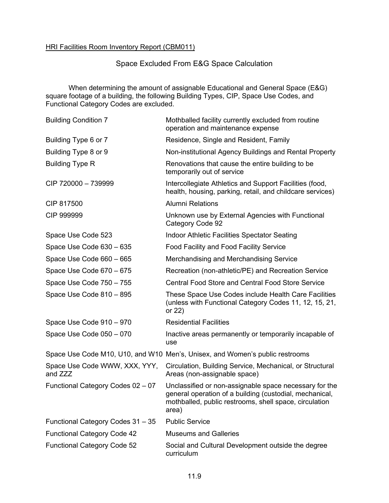## Space Excluded From E&G Space Calculation

When determining the amount of assignable Educational and General Space (E&G) square footage of a building, the following Building Types, CIP, Space Use Codes, and Functional Category Codes are excluded.

| <b>Building Condition 7</b>              | Mothballed facility currently excluded from routine<br>operation and maintenance expense                                                                                             |
|------------------------------------------|--------------------------------------------------------------------------------------------------------------------------------------------------------------------------------------|
| Building Type 6 or 7                     | Residence, Single and Resident, Family                                                                                                                                               |
| Building Type 8 or 9                     | Non-institutional Agency Buildings and Rental Property                                                                                                                               |
| <b>Building Type R</b>                   | Renovations that cause the entire building to be<br>temporarily out of service                                                                                                       |
| CIP 720000 - 739999                      | Intercollegiate Athletics and Support Facilities (food,<br>health, housing, parking, retail, and childcare services)                                                                 |
| CIP 817500                               | <b>Alumni Relations</b>                                                                                                                                                              |
| CIP 999999                               | Unknown use by External Agencies with Functional<br>Category Code 92                                                                                                                 |
| Space Use Code 523                       | <b>Indoor Athletic Facilities Spectator Seating</b>                                                                                                                                  |
| Space Use Code 630 - 635                 | <b>Food Facility and Food Facility Service</b>                                                                                                                                       |
| Space Use Code 660 - 665                 | Merchandising and Merchandising Service                                                                                                                                              |
| Space Use Code 670 - 675                 | Recreation (non-athletic/PE) and Recreation Service                                                                                                                                  |
| Space Use Code 750 - 755                 | <b>Central Food Store and Central Food Store Service</b>                                                                                                                             |
| Space Use Code 810 - 895                 | These Space Use Codes include Health Care Facilities<br>(unless with Functional Category Codes 11, 12, 15, 21,<br>or 22)                                                             |
| Space Use Code 910 - 970                 | <b>Residential Facilities</b>                                                                                                                                                        |
| Space Use Code 050 - 070                 | Inactive areas permanently or temporarily incapable of<br>use                                                                                                                        |
|                                          | Space Use Code M10, U10, and W10 Men's, Unisex, and Women's public restrooms                                                                                                         |
| Space Use Code WWW, XXX, YYY,<br>and ZZZ | Circulation, Building Service, Mechanical, or Structural<br>Areas (non-assignable space)                                                                                             |
| Functional Category Codes 02 - 07        | Unclassified or non-assignable space necessary for the<br>general operation of a building (custodial, mechanical,<br>mothballed, public restrooms, shell space, circulation<br>area) |
| Functional Category Codes 31 - 35        | <b>Public Service</b>                                                                                                                                                                |
| <b>Functional Category Code 42</b>       | <b>Museums and Galleries</b>                                                                                                                                                         |
| <b>Functional Category Code 52</b>       | Social and Cultural Development outside the degree<br>curriculum                                                                                                                     |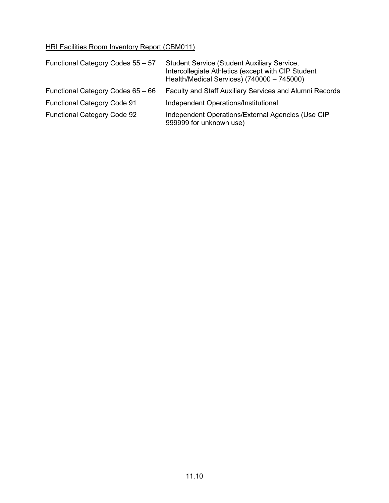| Functional Category Codes 55 - 57  | <b>Student Service (Student Auxiliary Service,</b><br>Intercollegiate Athletics (except with CIP Student<br>Health/Medical Services) (740000 - 745000) |
|------------------------------------|--------------------------------------------------------------------------------------------------------------------------------------------------------|
| Functional Category Codes 65 - 66  | Faculty and Staff Auxiliary Services and Alumni Records                                                                                                |
| <b>Functional Category Code 91</b> | Independent Operations/Institutional                                                                                                                   |
| <b>Functional Category Code 92</b> | Independent Operations/External Agencies (Use CIP<br>999999 for unknown use)                                                                           |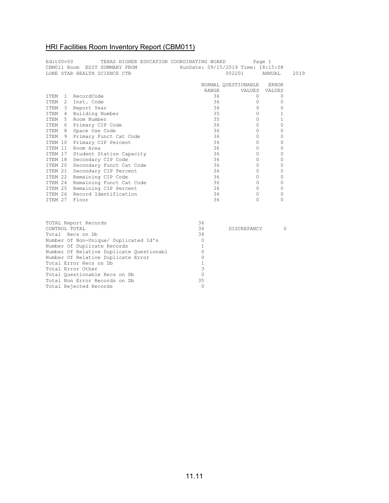| Edit00v00<br>TEXAS HIGHER EDUCATION COORDINATING BOARD<br>CBM011 Room EDIT SUMMARY FROM RunDate: 09/15/2019 Time: 18:15:08 |          |                              |              | Page 1              |          |      |
|----------------------------------------------------------------------------------------------------------------------------|----------|------------------------------|--------------|---------------------|----------|------|
|                                                                                                                            |          | LONE STAR HEALTH SCIENCE CTR |              | 002201              | ANNUAL   | 2019 |
|                                                                                                                            |          |                              |              | NORMAL QUESTIONABLE | ERROR    |      |
|                                                                                                                            |          |                              | <b>RANGE</b> | VALUES              | VALUES   |      |
| TTEM                                                                                                                       | $\sim$ 1 | RecordCode                   | 36           | 0                   | 0        |      |
| TTEM                                                                                                                       |          | 2 Inst. Code                 | 36           | 0                   | $\Omega$ |      |
| ITEM                                                                                                                       |          | 3 Report Year                | 36           | $\Omega$            | 0        |      |
| ITEM                                                                                                                       | 4        | Building Number              | 35           | $\Omega$            |          |      |
| TTEM                                                                                                                       |          | 5 Room Number                | 35           | $\Omega$            |          |      |
| TTEM                                                                                                                       |          | 6 Primary CIP Code           | 36           | $\Omega$            | 0        |      |
|                                                                                                                            |          | ITEM 8 Space Use Code        | 36           | 0                   | 0        |      |
| T T F.M                                                                                                                    |          | 9 Primary Funct Cat Code     | 36           | $\Omega$            | 0        |      |
| ITEM 10                                                                                                                    |          | Primary CIP Percent          | 36           | $\Omega$            | 0        |      |
| TTEM 11                                                                                                                    |          | Room Area                    | 36           | 0                   | 0        |      |
| ITEM 17                                                                                                                    |          | Student Station Capacity     | 36           | $\Omega$            | 0        |      |
| TTEM 18                                                                                                                    |          | Secondary CIP Code           | 36           | $\Omega$            | 0        |      |
| ITEM 20                                                                                                                    |          | Secondary Funct Cat Code     | 36           | $\Omega$            | 0        |      |
| ITEM 21                                                                                                                    |          | Secondary CIP Percent        | 36           | $\Omega$            | 0        |      |
| ITEM 22                                                                                                                    |          | Remaining CIP Code           | 36           | $\Omega$            | 0        |      |
| ITEM 24                                                                                                                    |          | Remaining Funct Cat Code     | 36           | $\Omega$            | $\Omega$ |      |
| ITEM 25                                                                                                                    |          | Remaining CIP Percent        | 36           | 0                   | 0        |      |
| <b>TTEM 26</b>                                                                                                             |          | Record Identification        | 36           | 0                   | 0        |      |
| TTEM 27                                                                                                                    |          | Floor                        | 36           | $\Omega$            | 0        |      |

| TOTAL Report Records                     | 36 |                    |  |
|------------------------------------------|----|--------------------|--|
| CONTROL TOTAL                            | 36 | <b>DISCREPANCY</b> |  |
| Total Recs on Db                         | 36 |                    |  |
| Number Of Non-Unique/ Duplicated Id's    |    |                    |  |
| Number Of Duplicate Records              |    |                    |  |
| Number Of Relative Duplicate Questionabl |    |                    |  |
| Number Of Relative Duplicate Error       |    |                    |  |
| Total Error Recs on Db                   |    |                    |  |
| Total Error Other                        |    |                    |  |
| Total Ouestionable Recs on Db            |    |                    |  |
| Total Non Error Records on Db            | 35 |                    |  |
| Total Rejected Records                   |    |                    |  |
|                                          |    |                    |  |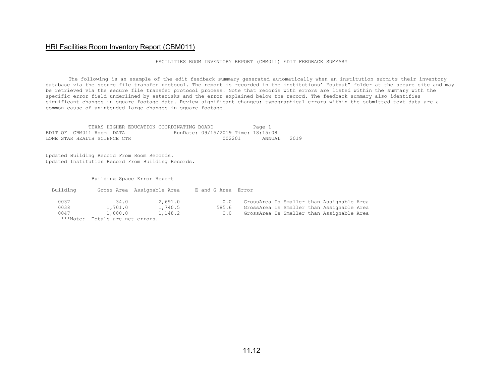FACILITIES ROOM INVENTORY REPORT (CBM011) EDIT FEEDBACK SUMMARY

The following is an example of the edit feedback summary generated automatically when an institution submits their inventory database via the secure file transfer protocol. The report is recorded in the institutions' "output" folder at the secure site and may be retrieved via the secure file transfer protocol process. Note that records with errors are listed within the summary with the specific error field underlined by asterisks and the error explained below the record. The feedback summary also identifies significant changes in square footage data. Review significant changes; typographical errors within the submitted text data are a common cause of unintended large changes in square footage.

|  |                              |  | TEXAS HIGHER EDUCATION COORDINATING BOARD |                                    | Page 1      |  |
|--|------------------------------|--|-------------------------------------------|------------------------------------|-------------|--|
|  | EDIT OF CBM011 Room DATA     |  |                                           | RunDate: 09/15/2019 Time: 18:15:08 |             |  |
|  | LONE STAR HEALTH SCIENCE CTR |  |                                           | 002201                             | annuat 2019 |  |

Updated Building Record From Room Records. Updated Institution Record From Building Records.

Building Space Error Report

| Building |                        | Gross Area Assignable Area | E and G Area Error |                                           |  |
|----------|------------------------|----------------------------|--------------------|-------------------------------------------|--|
| 0037     | 34.0                   | 2,691.0                    | 0.0                | GrossArea Is Smaller than Assignable Area |  |
| 0038     | 1,701.0                | 1,740.5                    | 585.6              | GrossArea Is Smaller than Assignable Area |  |
| 0047     | 1,080.0                | 1,148.2                    | 0.0                | GrossArea Is Smaller than Assignable Area |  |
| ***Note: | Totals are net errors. |                            |                    |                                           |  |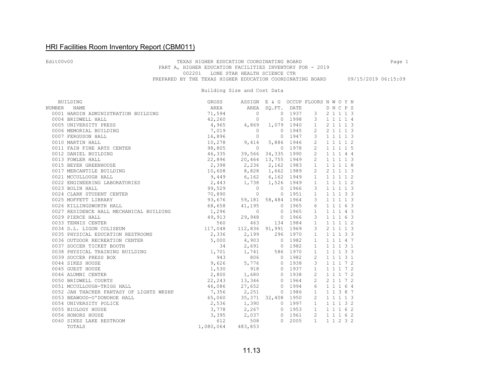#### Edit00v00 **TEXAS HIGHER EDUCATION COORDINATING BOARD** Page 1 PART A, HIGHER EDUCATION FACILITIES INVENTORY FOR - 2019 002201 LONE STAR HEALTH SCIENCE CTR PREPARED BY THE TEXAS HIGHER EDUCATION COORDINATING BOARD 09/15/2019 06:15:09

#### Building Size and Cost Data

|        | BUILDING                                 | GROSS                   | ASSIGN E & G OCCUP FLOORS N W O Y N                    |                |            |                 |  |           |  |
|--------|------------------------------------------|-------------------------|--------------------------------------------------------|----------------|------------|-----------------|--|-----------|--|
| NUMBER | <b>NAME</b>                              | AREA                    | AREA SQ.FT. DATE                                       |                |            |                 |  | DNCPS     |  |
|        | 0001 HARDIN ADMINISTRATION BUILDING      | 71,594                  | $\overline{0}$                                         |                |            | $0$ 1937 3      |  | 2 1 1 1 3 |  |
|        | 0004 BRIDWELL HALL                       | 42,260                  | $\circ$                                                |                | 0 1998     | $3^{\circ}$     |  | 1 1 1 1 4 |  |
|        | 0005 UNIVERSITY PRESS                    |                         | 4,965 4,869                                            |                | 1,079 1940 | 1               |  | 2 1 1 1 3 |  |
|        | 0006 MEMORIAL BUILDING                   | 7,019                   | $\overline{0}$                                         |                | 0 1945     | 2               |  | 2 1 1 1 3 |  |
|        | 0007 FERGUSON HALL                       | 16,896                  | $\Omega$                                               |                | 0 1947     | 3               |  | 1 1 1 1 3 |  |
|        | 0010 MARTIN HALL                         |                         | 16,890<br>10,278 9,414<br>$\frac{1}{2}$ 9,414<br>9,414 |                | 5,886 1946 | $\overline{2}$  |  | 1 1 1 1 2 |  |
|        | 0011 FAIN FINE ARTS CENTER               |                         |                                                        | 0 1978         |            | $\overline{2}$  |  | 1 1 1 1 5 |  |
|        | 0012 DANIEL BUILDING                     | 46,335                  | 39,566 34,335 1990                                     |                |            | 2               |  | 1 1 1 4 4 |  |
|        | 0013 FOWLER HALL                         |                         | 22,896 20,464 13,755 1949                              |                |            | 2               |  | 1 1 1 1 3 |  |
|        | 0015 BEYER GREENHOUSE                    |                         | 2,398 2,236 2,162 1983                                 |                |            | $\mathbf{1}$    |  | 1 1 1 1 8 |  |
|        | 0017 MERCANTILE BUILDING                 |                         | 10,608 8,828 1,662 1989                                |                |            | $\overline{2}$  |  | 2 1 1 1 3 |  |
|        | 0021 MCCULLOUGH HALL                     |                         | 9,449 6,162 6,162 1949                                 |                |            | $\mathbf{1}$    |  | 1 1 1 1 2 |  |
|        | 0022 ENGINEERING LABORATORIES            |                         | 2,443 1,738                                            |                | 1,526 1949 | $\mathbf{1}$    |  | 1 1 1 1 2 |  |
|        | 0023 BOLIN HALL                          | 99,529                  | $\overline{0}$                                         | 0 1966         |            | $\mathbf{3}$    |  | 1 1 1 1 3 |  |
|        | 0024 CLARK STUDENT CENTER                | 70,890                  | $\Omega$                                               |                | 0 1951     | $\mathbf{1}$    |  | 1 1 1 3 3 |  |
|        | 0025 MOFFETT LIBRARY                     | 93,676                  | 59,181 58,484 1964                                     |                |            | $\mathbf{3}$    |  | 1 1 1 1 3 |  |
|        | 0026 KILLINGSWORTH HALL                  | 68,658                  | 41,195                                                 | 0 1965         |            | 6               |  | 1 1 1 6 3 |  |
|        | 0027 RESIDENCE HALL MECHANICAL BUILDING  | 1,296                   | $\Omega$                                               | 0 1965         |            | $\mathbf{1}$    |  | 1 1 1 4 3 |  |
|        | 0029 PIERCE HALL                         | 49,913 29,948 0 1966    |                                                        |                |            | $\mathbf{3}$    |  | 1 1 1 6 3 |  |
|        | 0033 TENNIS CENTER                       |                         |                                                        |                |            | $\mathbf{1}$    |  | 1 1 1 1 2 |  |
|        | 0034 D.L. LIGON COLISEUM                 |                         | 560 463 134 1984<br>117,048 112,836 91,991 1969        |                |            | 3               |  | 2 1 1 1 3 |  |
|        | 0035 PHYSICAL EDUCATION RESTROOMS        | 2,336<br>2,336<br>5,000 | 2,199                                                  |                | 296 1970   | $\mathbf{1}$    |  | 1 1 1 3 3 |  |
|        | 0036 OUTDOOR RECREATION CENTER           |                         | 4,903                                                  |                | 0 1982     | 1               |  | 1 1 1 4 7 |  |
|        | 0037 SOCCER TICKET BOOTH                 | 34                      | 2,691                                                  |                | 0 1982     | $\overline{1}$  |  | 1 1 1 3 1 |  |
|        | 0038 PHYSICAL TRAINING BUILDING          | 1,701                   |                                                        | 1,741 586 1970 |            | $\overline{1}$  |  | 1 1 1 3 3 |  |
|        | 0039 SOCCER PRESS BOX                    |                         | 943 806 0 1982                                         |                |            | 2               |  | 1 1 1 3 1 |  |
|        | 0044 SIKES HOUSE                         | 9,626                   |                                                        | 5,776 0 1938   |            | $\mathbf{3}$    |  | 1 1 1 7 2 |  |
|        | 0045 GUEST HOUSE                         | 1,530                   | 918                                                    |                | 0 1937     | $\mathbf{1}$    |  | 1 1 1 7 2 |  |
|        | 0046 ALUMNI CENTER                       |                         | 2,800 1,680<br>22,243 13,346                           |                | 0 1938     | $\overline{2}$  |  | 1 1 1 7 2 |  |
|        | 0050 BRIDWELL COURTS                     |                         |                                                        |                | 0 1964     | $\overline{2}$  |  | 2 1 1 7 2 |  |
|        | 0051 MCCULLOUGH-TRIGG HALL               |                         | $46,086$ 27,652                                        |                | 0, 1994    | $6\overline{6}$ |  | 1 1 1 6 4 |  |
|        | 0052 JAN THACKER FANTASY OF LIGHTS WKSHP |                         | 7,356 2,251                                            |                | 0 1986     | $\mathbf{1}$    |  | 1 1 3 8 7 |  |
|        | 0053 BEAWOOD-O'DONOHOE HALL              | 65,060                  | 35, 371 32, 408 1950                                   |                |            | $\overline{2}$  |  | 1 1 1 1 3 |  |
|        | 0054 UNIVERSITY POLICE                   |                         | 2,536 1,390 0 1997                                     |                |            | $\mathbf{1}$    |  | 1 1 1 3 2 |  |
|        | 0055 BIOLOGY HOUSE                       |                         | $3,778$ 2,267                                          |                | 0 1953     | 1               |  | 1 1 1 6 2 |  |
|        | 0056 HONORS HOUSE                        | 3,395                   | 2,037                                                  |                | 0 1961     | 2               |  | 1 1 1 6 2 |  |
|        | 0060 SIKES LAKE RESTROOM                 | $612$<br>1,080,064 483  | 508                                                    | $\Omega$       | 2005       | $\mathbf{1}$    |  | 1 1 2 3 2 |  |
|        | TOTALS                                   |                         | 483,853                                                |                |            |                 |  |           |  |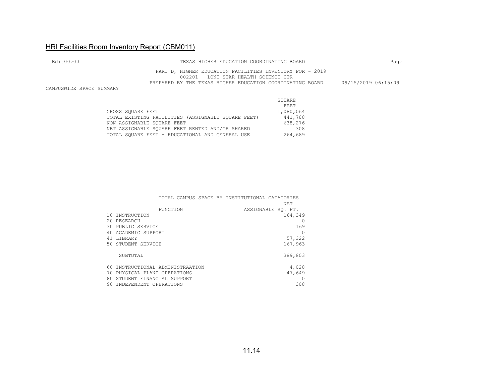| Edit00v00                | TEXAS HIGHER EDUCATION COORDINATING BOARD                                                       | Page 1              |
|--------------------------|-------------------------------------------------------------------------------------------------|---------------------|
|                          | PART D, HIGHER EDUCATION FACILITIES INVENTORY FOR - 2019<br>002201 LONE STAR HEALTH SCIENCE CTR |                     |
| CAMPUSWIDE SPACE SUMMARY | PREPARED BY THE TEXAS HIGHER EDUCATION COORDINATING BOARD                                       | 09/15/2019 06:15:09 |

|                                                    | SOUARE    |
|----------------------------------------------------|-----------|
|                                                    | FEET      |
| GROSS SOUARE FEET                                  | 1,080,064 |
| TOTAL EXISTING FACILITIES (ASSIGNABLE SOUARE FEET) | 441,788   |
| NON ASSIGNABLE SOUARE FEET                         | 638,276   |
| NET ASSIGNABLE SOUARE FEET RENTED AND/OR SHARED    | 308       |
| TOTAL SOUARE FEET - EDUCATIONAL AND GENERAL USE    | 264,689   |

|    |                                  | TOTAL CAMPUS SPACE BY INSTITUTIONAL CATAGORIES |                    |
|----|----------------------------------|------------------------------------------------|--------------------|
|    |                                  |                                                | NET.               |
|    | <b>FUNCTION</b>                  |                                                | ASSIGNABLE SO. FT. |
|    | 10 INSTRUCTION                   |                                                | 164,349            |
|    | 20 RESEARCH                      |                                                |                    |
|    | 30 PUBLIC SERVICE                |                                                | 169                |
|    | 40 ACADEMIC SUPPORT              |                                                | O                  |
|    | 41 LIBRARY                       |                                                | 57,322             |
|    | 50 STUDENT SERVICE               |                                                | 167,963            |
|    |                                  |                                                |                    |
|    | SUBTOTAL                         |                                                | 389,803            |
|    |                                  |                                                |                    |
|    | 60 INSTRUCTIONAL ADMINISTRAATION |                                                | 4,028              |
|    | 70 PHYSICAL PLANT OPERATIONS     |                                                | 47,649             |
| 80 | STUDENT FINANCIAL SUPPORT        |                                                | 0                  |
|    | 90 INDEPENDENT OPERATIONS        |                                                | 308                |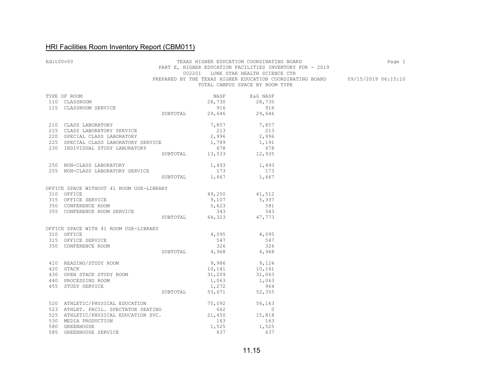| Edit00v00 |                                                                                      |                                          |                                                                     | TEXAS HIGHER EDUCATION COORDINATING BOARD<br>PART E, HIGHER EDUCATION FACILITIES INVENTORY FOR - 2019<br>002201 LONE STAR HEALTH SCIENCE CTR | Page 1                                                                        |
|-----------|--------------------------------------------------------------------------------------|------------------------------------------|---------------------------------------------------------------------|----------------------------------------------------------------------------------------------------------------------------------------------|-------------------------------------------------------------------------------|
|           |                                                                                      |                                          |                                                                     | TOTAL CAMPUS SPACE BY ROOM TYPE                                                                                                              | PREPARED BY THE TEXAS HIGHER EDUCATION COORDINATING BOARD 09/15/2019 06:15:10 |
|           | TYPE OF ROOM                                                                         |                                          |                                                                     | NASF E&G NASF                                                                                                                                |                                                                               |
|           | 110 CLASSROOM                                                                        |                                          |                                                                     |                                                                                                                                              |                                                                               |
|           | 115 CLASSROOM SERVICE                                                                |                                          |                                                                     | 28,730 28,730<br>916 916                                                                                                                     |                                                                               |
|           |                                                                                      | 916 916<br>SUBTOTAL 29,646 29,646        |                                                                     |                                                                                                                                              |                                                                               |
|           | 210 CLASS LABORATORY<br>215 CLASS LABORATORY SERVICE<br>220 SPECIAL CLASS LABORATORY |                                          | 7,857 7,857                                                         |                                                                                                                                              |                                                                               |
|           |                                                                                      |                                          | $2,996$<br>$1,789$<br>$678$<br>$2,996$<br>$1,191$<br>$678$<br>$678$ |                                                                                                                                              |                                                                               |
|           |                                                                                      |                                          |                                                                     |                                                                                                                                              |                                                                               |
|           | 225 SPECIAL CLASS LABORATORY SERVICE<br>230 INDIVIDUAL STUDY LABORATORY              |                                          |                                                                     |                                                                                                                                              |                                                                               |
|           |                                                                                      |                                          |                                                                     |                                                                                                                                              |                                                                               |
|           |                                                                                      | SUBTOTAL 13,533 12,935                   |                                                                     |                                                                                                                                              |                                                                               |
|           | 250 NON-CLASS LABORATORY<br>255 NON-CLASS LABORATORY SERVICE                         |                                          |                                                                     | $1,493$ $1,493$                                                                                                                              |                                                                               |
|           |                                                                                      |                                          | 173                                                                 | 173                                                                                                                                          |                                                                               |
|           |                                                                                      |                                          | SUBTOTAL 1,667 1,667                                                |                                                                                                                                              |                                                                               |
|           | OFFICE SPACE WITHOUT 41 ROOM USE-LIBRARY                                             |                                          |                                                                     |                                                                                                                                              |                                                                               |
|           | 310 OFFICE                                                                           |                                          | 49,250<br>9,107                                                     | $41,512$<br>5,337                                                                                                                            |                                                                               |
|           | 315 OFFICE SERVICE                                                                   |                                          |                                                                     |                                                                                                                                              |                                                                               |
|           | 350 CONFERENCE ROOM                                                                  |                                          | 5,623                                                               | 581                                                                                                                                          |                                                                               |
|           | 355 CONFERENCE ROOM SERVICE                                                          |                                          |                                                                     |                                                                                                                                              |                                                                               |
|           |                                                                                      | $3,623$<br>343<br>SUBTOTAL 64,323 47,773 |                                                                     |                                                                                                                                              |                                                                               |
|           | OFFICE SPACE WITH 41 ROOM USE-LIBRARY                                                |                                          |                                                                     |                                                                                                                                              |                                                                               |
|           | 310 OFFICE                                                                           |                                          | 4,095                                                               | 4,095                                                                                                                                        |                                                                               |
|           | 315 OFFICE SERVICE                                                                   |                                          |                                                                     | 547 547                                                                                                                                      |                                                                               |
|           | 350 CONFERENCE ROOM                                                                  |                                          | 326                                                                 | 326                                                                                                                                          |                                                                               |
|           |                                                                                      | SUBTOTAL 4,968 4,968                     |                                                                     |                                                                                                                                              |                                                                               |
|           | 410 READING/STUDY ROOM<br>420 STACK<br>430 OPEN STACK STUDY ROOM                     |                                          |                                                                     | 9,986 9,124                                                                                                                                  |                                                                               |
|           |                                                                                      |                                          | 10,141<br>31,209                                                    | 10,141<br>31,063                                                                                                                             |                                                                               |
|           |                                                                                      |                                          |                                                                     |                                                                                                                                              |                                                                               |
|           | 440 PROCESSING ROOM                                                                  |                                          |                                                                     | 1,063 1,063                                                                                                                                  |                                                                               |
|           | 455 STUDY SERVICE                                                                    |                                          |                                                                     |                                                                                                                                              |                                                                               |
|           |                                                                                      | 964 1,272 964<br>SUBTOTAL 53,671 52,355  |                                                                     |                                                                                                                                              |                                                                               |
|           | 520 ATHLETIC/PHYSICAL EDUCATION                                                      |                                          | $70,092$<br>$662$<br>$21,450$<br>$15,818$                           |                                                                                                                                              |                                                                               |
|           | 523 ATHLET. FACIL. SPECTATOR SEATING                                                 |                                          |                                                                     |                                                                                                                                              |                                                                               |
|           | 525 ATHLETIC/PHYSICAL EDUCATION SUC.                                                 |                                          |                                                                     |                                                                                                                                              |                                                                               |
|           | 530 MEDIA PRODUCTION                                                                 |                                          | 163                                                                 | 163                                                                                                                                          |                                                                               |
|           | 580 GREENHOUSE                                                                       |                                          | 1,525                                                               | 1,525                                                                                                                                        |                                                                               |
|           | 585 GREENHOUSE SERVICE                                                               |                                          | 637                                                                 | 637                                                                                                                                          |                                                                               |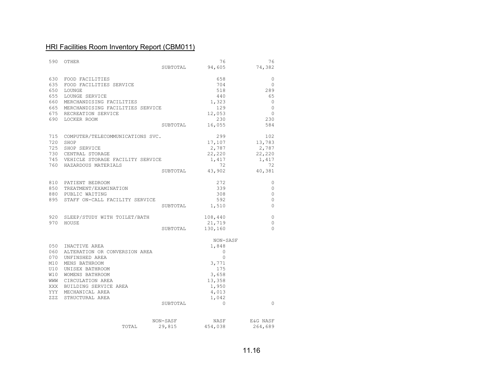| 590        | OTHER                                |          | 76       | 76           |
|------------|--------------------------------------|----------|----------|--------------|
|            |                                      | SUBTOTAL | 94,605   | 74,382       |
| 630        | FOOD FACILITIES                      |          | 658      | 0            |
| 635        | FOOD FACILITIES SERVICE              |          | 704      | $\Omega$     |
| 650        | LOUNGE                               |          | 518      | 289          |
| 655        | LOUNGE SERVICE                       |          | 440      | 65           |
| 660        | MERCHANDISING FACILITIES             |          | 1,323    | $\circ$      |
|            | 665 MERCHANDISING FACILITIES SERVICE |          | 129      | $\circ$      |
|            | 675 RECREATION SERVICE               |          | 12,053   | $\Omega$     |
|            | 690 LOCKER ROOM                      |          | 230      | 230          |
|            |                                      | SUBTOTAL | 16,055   | 584          |
|            |                                      |          |          |              |
| 715        | COMPUTER/TELECOMMUNICATIONS SVC.     |          | 299      | 102          |
| 720        | SHOP                                 |          | 17,107   | 13,783       |
|            | 725 SHOP SERVICE                     |          | 2,787    | 2,787        |
|            | 730 CENTRAL STORAGE                  |          | 22,220   | 22,220       |
|            | 745 VEHICLE STORAGE FACILITY SERVICE |          | 1,417    | 1,417        |
|            | 760 HAZARDOUS MATERIALS              |          | 72       | 72           |
|            |                                      | SUBTOTAL | 43,902   | 40,381       |
|            | 810 PATIENT BEDROOM                  |          | 272      | 0            |
|            | 850 TREATMENT/EXAMINATION            |          | 339      | $\mathbf{0}$ |
|            | 880 PUBLIC WAITING                   |          | 308      | $\Omega$     |
| 895        | STAFF ON-CALL FACILITY SERVICE       |          | 592      | $\Omega$     |
|            |                                      | SUBTOTAL | 1,510    | $\Omega$     |
| 920        | SLEEP/STUDY WITH TOILET/BATH         |          | 108,440  | 0            |
|            | 970 HOUSE                            |          | 21,719   | $\Omega$     |
|            |                                      | SUBTOTAL | 130,160  | $\Omega$     |
|            |                                      |          |          |              |
|            |                                      |          | NON-SASF |              |
| 050        | INACTIVE AREA                        |          | 1,848    |              |
| 060        | ALTERATION OR CONVERSION AREA        |          | $\circ$  |              |
| 070        | UNFINSHED AREA                       |          | $\Omega$ |              |
| M10        | MENS BATHROOM                        |          | 3,771    |              |
|            | U10 UNISEX BATHROOM                  |          | 175      |              |
| W10        | WOMENS BATHROOM                      |          | 3,658    |              |
| <b>MMM</b> | CIRCULATION AREA                     |          | 13,358   |              |
|            | XXX BUILDING SERVICE AREA            |          | 1,950    |              |
|            | YYY MECHANICAL AREA                  |          | 4,013    |              |
| <b>ZZZ</b> | STRUCTURAL AREA                      |          | 1,042    |              |
|            |                                      | SUBTOTAL | $\circ$  | $\Omega$     |
|            |                                      |          |          |              |
|            |                                      | NON-SASF | NASF     | E&G NASF     |
|            | TOTAL                                | 29,815   | 454,038  | 264,689      |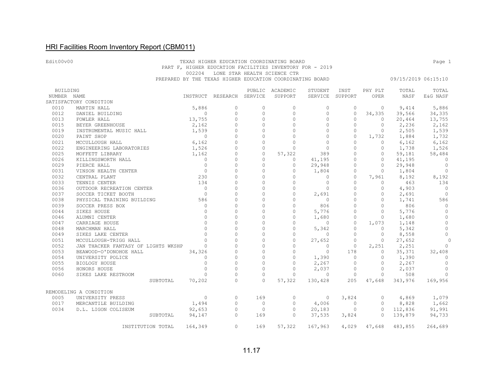#### Edit00v00 **TEXAS HIGHER EDUCATION COORDINATING BOARD Page 1**  PART F, HIGHER EDUCATION FACILITIES INVENTORY FOR - 2019 002204 LONE STAR HEALTH SCIENCE CTR PREPARED BY THE TEXAS HIGHER EDUCATION COORDINATING BOARD 09/15/2019 06:15:10

| BUILDING    |                                     |                |                           |          | PUBLIC ACADEMIC | STUDENT        | INST     | PHY PLT  | TOTAL   | TOTAL        |
|-------------|-------------------------------------|----------------|---------------------------|----------|-----------------|----------------|----------|----------|---------|--------------|
| NUMBER NAME |                                     |                | INSTRUCT RESEARCH SERVICE |          | SUPPORT         | SERVICE        | SUPPORT  | OPER     | NASF    | E&G NASF     |
|             | SATISFACTORY CONDITION              |                |                           |          |                 |                |          |          |         |              |
| 0010        | MARTIN HALL                         | 5,886          | 0                         | $\circ$  | $\circ$         | $\circ$        | $\circ$  | $\circ$  | 9,414   | 5,886        |
| 0012        | DANIEL BUILDING                     | $\circ$        | $\circ$                   | $\circ$  | $\Omega$        | $\circ$        | $\circ$  | 34,335   | 39,566  | 34,335       |
| 0013        | FOWLER HALL                         | 13,755         | $\Omega$                  | $\Omega$ | $\Omega$        | $\circ$        | $\Omega$ | $\circ$  | 20,464  | 13,755       |
| 0015        | BEYER GREENHOUSE                    | 2,162          | $\Omega$                  | $\Omega$ | $\Omega$        | $\Omega$       | $\Omega$ | $\circ$  | 2,236   | 2,162        |
| 0019        | INSTRUMENTAL MUSIC HALL             | 1,539          | $\circ$                   | $\circ$  | $\Omega$        | $\Omega$       | $\circ$  | $\circ$  | 2,505   | 1,539        |
| 0020        | PAINT SHOP                          | $\bigcirc$     | $\Omega$                  | $\Omega$ | $\Omega$        | $\Omega$       | $\Omega$ | 1,732    | 1,884   | 1,732        |
| 0021        | MCCULLOUGH HALL                     | 6,162          | $\Omega$                  | $\Omega$ | $\Omega$        | $\Omega$       | $\Omega$ | $\Omega$ | 6,162   | 6,162        |
| 0022        | ENGINEERING LABORATORIES            | 1,526          | $\Omega$                  | $\circ$  | $\Omega$        | $\circ$        | $\Omega$ | $\circ$  | 1,738   | 1,526        |
| 0025        | MOFFETT LIBRARY                     | 1,162          | $\circ$                   | $\circ$  | 57,322          | 389            | $\Omega$ | $\circ$  | 59,181  | 58,484       |
| 0026        | KILLINGSWORTH HALL                  | $\overline{0}$ | $\circ$                   | $\circ$  | $\Omega$        | 41,195         | $\circ$  | $\circ$  | 41,195  | $\bigcirc$   |
| 0029        | PIERCE HALL                         | $\Omega$       | $\Omega$                  | $\Omega$ | $\circ$         | 29,948         | $\Omega$ | $\circ$  | 29,948  | $\circ$      |
| 0031        | VINSON HEALTH CENTER                | $\bigcirc$     | $\bigcap$                 | $\Omega$ | $\Omega$        | 1,804          | $\circ$  | $\Omega$ | 1,804   | $\Omega$     |
| 0032        | CENTRAL PLANT                       | 230            | $\Omega$                  | $\circ$  | $\Omega$        | $\circ$        | $\circ$  | 7,961    | 8,192   | 8,192        |
| 0033        | TENNIS CENTER                       | 134            | $\bigcap$                 | $\Omega$ | $\Omega$        | $\circ$        | $\Omega$ | $\Omega$ | 463     | 134          |
| 0036        | OUTDOOR RECREATION CENTER           | $\bigcap$      | $\bigcap$                 | $\Omega$ | $\Omega$        | $\Omega$       | $\Omega$ | $\Omega$ | 4,903   | $\bigcirc$   |
| 0037        | SOCCER TICKET BOOTH                 | $\bigcirc$     | $\Omega$                  | $\Omega$ | $\Omega$        | 2,691          | $\Omega$ | $\Omega$ | 2,691   | $\bigcirc$   |
| 0038        | PHYSICAL TRAINING BUILDING          | 586            | $\circ$                   | $\circ$  | $\Omega$        | $\overline{0}$ | $\circ$  | $\circ$  | 1,741   | 586          |
| 0039        | SOCCER PRESS BOX                    | $\circ$        | $\Omega$                  | $\Omega$ | $\Omega$        | 806            | $\circ$  | $\circ$  | 806     | $\circ$      |
| 0044        | SIKES HOUSE                         | $\Omega$       | $\Omega$                  | $\Omega$ | $\Omega$        | 5,776          | $\circ$  | $\circ$  | 5,776   | $\circ$      |
| 0046        | ALUMNI CENTER                       | $\Omega$       | $\Omega$                  | $\Omega$ | $\Omega$        | 1,680          | $\circ$  | $\Omega$ | 1,680   | $\circ$      |
| 0047        | CARRIAGE HOUSE                      | $\Omega$       | $\Omega$                  | $\circ$  | $\Omega$        | $\circ$        | $\circ$  | 1,073    | 1,148   | $\circ$      |
| 0048        | MARCHMAN HALL                       | $\Omega$       | $\Omega$                  | $\Omega$ | $\Omega$        | 5,342          | $\circ$  | $\Omega$ | 5,342   | $\circ$      |
| 0049        | SIKES LAKE CENTER                   | $\bigcap$      | $\cap$                    | $\Omega$ | $\Omega$        | $\Omega$       | $\Omega$ | $\circ$  | 8,558   | $\circ$      |
| 0051        | MCCULLOUGH-TRIGG HALL               | $\cap$         | $\bigcap$                 | $\Omega$ | $\Omega$        | 27,652         | $\Omega$ | $\Omega$ | 27,652  | $\Omega$     |
| 0052        | JAN THACKER FANTASY OF LIGHTS WKSHP | $\Omega$       | $\circ$                   | $\circ$  | $\Omega$        | $\circ$        | $\circ$  | 2,251    | 2,251   | 0            |
| 0053        | BEAWOOD-O'DONOHOE HALL              | 34,326         | $\mathbf 0$               | $\circ$  | $\mathbf 0$     | $\circ$        | 178      | $\circ$  | 35,371  | 32,408       |
| 0054        | UNIVERSITY POLICE                   | $\mathbf{0}$   | $\Omega$                  | $\circ$  | $\circ$         | 1,390          | $\circ$  | $\circ$  | 1,390   | $\mathbf{0}$ |
| 0055        | BIOLOGY HOUSE                       | $\bigcap$      | $\Omega$                  | $\Omega$ | $\Omega$        | 2,267          | $\circ$  | $\circ$  | 2,267   | $\Omega$     |
| 0056        | HONORS HOUSE                        | $\Omega$       | $\circ$                   | $\circ$  | $\Omega$        | 2,037          | $\circ$  | 0        | 2,037   | $\circ$      |
| 0060        | SIKES LAKE RESTROOM                 | $\bigcap$      | $\Omega$                  | $\circ$  | $\Omega$        | $\Omega$       | $\circ$  | $\Omega$ | 508     | $\Omega$     |
|             | SUBTOTAL                            | 70,202         | $\cap$                    | $\Omega$ | 57,322          | 130,428        | 205      | 47,648   | 343,976 | 169,956      |
|             | REMODELING A CONDITION              |                |                           |          |                 |                |          |          |         |              |
| 0005        | UNIVERSITY PRESS                    | $\overline{0}$ | $\circ$                   | 169      | $\circ$         | $\circ$        | 3,824    | $\circ$  | 4,869   | 1,079        |
| 0017        | MERCANTILE BUILDING                 | 1,494          | $\Omega$                  | $\circ$  | $\circ$         | 4,006          | $\circ$  | $\circ$  | 8,828   | 1,662        |
| 0034        | D.L. LIGON COLISEUM                 | 92,653         | $\circ$                   | $\circ$  | $\Omega$        | 20,183         | $\circ$  | $\circ$  | 112,836 | 91,991       |
|             | SUBTOTAL                            | 94,147         | $\Omega$                  | 169      | $\Omega$        | 37,535         | 3,824    | $\circ$  | 139,879 | 94,733       |
|             | INSTITUTION TOTAL                   | 164,349        | $\Omega$                  | 169      | 57,322          | 167,963        | 4,029    | 47,648   | 483,855 | 264,689      |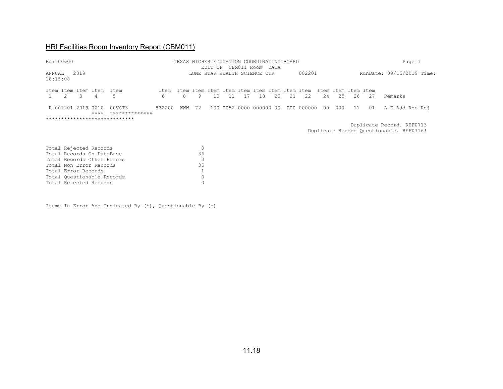|                    | Edit00v00                                                                                             |                     |                               |                          |           |     |         |                     |      |     | TEXAS HIGHER EDUCATION COORDINATING BOARD |      |     |            |                 |     |                           |    | Page 1                    |
|--------------------|-------------------------------------------------------------------------------------------------------|---------------------|-------------------------------|--------------------------|-----------|-----|---------|---------------------|------|-----|-------------------------------------------|------|-----|------------|-----------------|-----|---------------------------|----|---------------------------|
| ANNUAL<br>18:15:08 |                                                                                                       | 2019                |                               |                          |           |     |         | EDIT OF CBM011 Room |      |     | LONE STAR HEALTH SCIENCE CTR              | DATA |     | 002201     |                 |     |                           |    | RunDate: 09/15/2019 Time: |
|                    | 2                                                                                                     | -3                  | Item Item Item Item Item<br>4 | 5                        | Item<br>6 | 8   | 9       | 10                  | - 11 | -17 | 18                                        | 20   | -21 | 22         | 24              | 25  | Item Item Item Item<br>26 | 27 | Remarks                   |
|                    |                                                                                                       | R 002201 2019       | 0010<br>$***$ *               | 00VST3<br>************** | 832000    | WMM | 72      |                     |      |     | 100 0052 0000 000000 00                   |      |     | 000 000000 | 00 <sub>o</sub> | 000 | 11                        | 01 | A E Add Rec Rej           |
|                    | *****************************<br>Duplicate Record. REF0713<br>Duplicate Record Questionable. REF0716! |                     |                               |                          |           |     |         |                     |      |     |                                           |      |     |            |                 |     |                           |    |                           |
|                    |                                                                                                       |                     | Total Rejected Records        |                          |           |     | $\circ$ |                     |      |     |                                           |      |     |            |                 |     |                           |    |                           |
|                    |                                                                                                       |                     | Total Records On DataBase     |                          |           |     | 36      |                     |      |     |                                           |      |     |            |                 |     |                           |    |                           |
|                    |                                                                                                       |                     | Total Records Other Errors    |                          |           |     | 3       |                     |      |     |                                           |      |     |            |                 |     |                           |    |                           |
|                    |                                                                                                       |                     | Total Non Error Records       |                          |           |     | 35      |                     |      |     |                                           |      |     |            |                 |     |                           |    |                           |
|                    |                                                                                                       | Total Error Records |                               |                          |           |     |         |                     |      |     |                                           |      |     |            |                 |     |                           |    |                           |

Items In Error Are Indicated By (\*), Questionable By (-)

Total Questionable Records<br>
Total Rejected Records
0

Total Rejected Records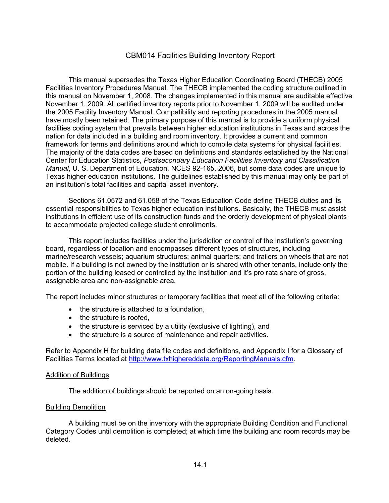### CBM014 Facilities Building Inventory Report

This manual supersedes the Texas Higher Education Coordinating Board (THECB) 2005 Facilities Inventory Procedures Manual. The THECB implemented the coding structure outlined in this manual on November 1, 2008. The changes implemented in this manual are auditable effective November 1, 2009. All certified inventory reports prior to November 1, 2009 will be audited under the 2005 Facility Inventory Manual. Compatibility and reporting procedures in the 2005 manual have mostly been retained. The primary purpose of this manual is to provide a uniform physical facilities coding system that prevails between higher education institutions in Texas and across the nation for data included in a building and room inventory. It provides a current and common framework for terms and definitions around which to compile data systems for physical facilities. The majority of the data codes are based on definitions and standards established by the National Center for Education Statistics, *Postsecondary Education Facilities Inventory and Classification Manual*, U. S. Department of Education, NCES 92-165, 2006, but some data codes are unique to Texas higher education institutions. The guidelines established by this manual may only be part of an institution's total facilities and capital asset inventory.

Sections 61.0572 and 61.058 of the Texas Education Code define THECB duties and its essential responsibilities to Texas higher education institutions. Basically, the THECB must assist institutions in efficient use of its construction funds and the orderly development of physical plants to accommodate projected college student enrollments.

This report includes facilities under the jurisdiction or control of the institution's governing board, regardless of location and encompasses different types of structures, including marine/research vessels; aquarium structures; animal quarters; and trailers on wheels that are not mobile. If a building is not owned by the institution or is shared with other tenants, include only the portion of the building leased or controlled by the institution and it's pro rata share of gross, assignable area and non-assignable area.

The report includes minor structures or temporary facilities that meet all of the following criteria:

- the structure is attached to a foundation,
- the structure is roofed,
- the structure is serviced by a utility (exclusive of lighting), and
- the structure is a source of maintenance and repair activities.

Refer to Appendix H for building data file codes and definitions, and Appendix I for a Glossary of Facilities Terms located at [http://www.txhighereddata.org/ReportingManuals.cfm.](http://www.txhighereddata.org/ReportingManuals.cfm)

#### Addition of Buildings

The addition of buildings should be reported on an on-going basis.

#### Building Demolition

A building must be on the inventory with the appropriate Building Condition and Functional Category Codes until demolition is completed; at which time the building and room records may be deleted.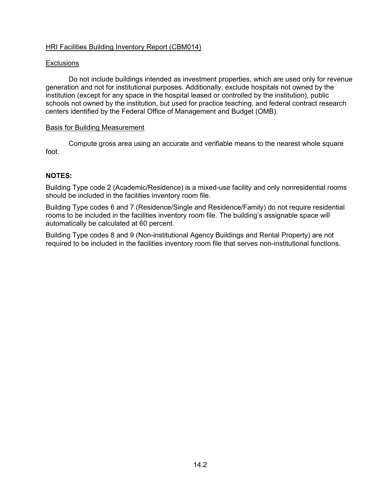#### **Exclusions**

Do not include buildings intended as investment properties, which are used only for revenue generation and not for institutional purposes. Additionally, exclude hospitals not owned by the institution (except for any space in the hospital leased or controlled by the institution), public schools not owned by the institution, but used for practice teaching, and federal contract research centers identified by the Federal Office of Management and Budget (OMB).

#### Basis for Building Measurement

Compute gross area using an accurate and verifiable means to the nearest whole square foot.

#### **NOTES:**

Building Type code 2 (Academic/Residence) is a mixed-use facility and only nonresidential rooms should be included in the facilities inventory room file.

Building Type codes 6 and 7 (Residence/Single and Residence/Family) do not require residential rooms to be included in the facilities inventory room file. The building's assignable space will automatically be calculated at 60 percent.

Building Type codes 8 and 9 (Non-institutional Agency Buildings and Rental Property) are not required to be included in the facilities inventory room file that serves non-institutional functions.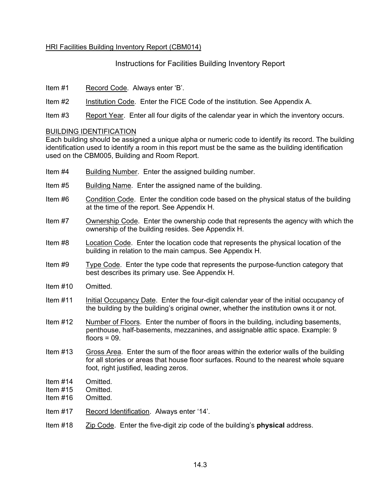Instructions for Facilities Building Inventory Report

- Item #1 Record Code. Always enter 'B'.
- Item #2 Institution Code. Enter the FICE Code of the institution. See Appendix A.
- Item #3 Report Year. Enter all four digits of the calendar year in which the inventory occurs.

#### BUILDING IDENTIFICATION

Each building should be assigned a unique alpha or numeric code to identify its record. The building identification used to identify a room in this report must be the same as the building identification used on the CBM005, Building and Room Report.

- Item #4 Building Number. Enter the assigned building number.
- Item #5 Building Name. Enter the assigned name of the building.
- Item #6 Condition Code. Enter the condition code based on the physical status of the building at the time of the report. See Appendix H.
- Item #7 Ownership Code. Enter the ownership code that represents the agency with which the ownership of the building resides. See Appendix H.
- Item #8 Location Code. Enter the location code that represents the physical location of the building in relation to the main campus. See Appendix H.
- Item #9 Type Code. Enter the type code that represents the purpose-function category that best describes its primary use. See Appendix H.
- Item #10 Omitted.
- Item #11 Initial Occupancy Date. Enter the four-digit calendar year of the initial occupancy of the building by the building's original owner, whether the institution owns it or not.
- Item #12 Number of Floors. Enter the number of floors in the building, including basements, penthouse, half-basements, mezzanines, and assignable attic space. Example: 9 floors  $= 09$ .
- Item #13 Gross Area. Enter the sum of the floor areas within the exterior walls of the building for all stories or areas that house floor surfaces. Round to the nearest whole square foot, right justified, leading zeros.
- Item #14 Omitted.
- Item #15 Omitted.
- Item #16 Omitted.
- Item #17 Record Identification. Always enter '14'.

#### Item #18 Zip Code. Enter the five-digit zip code of the building's **physical** address.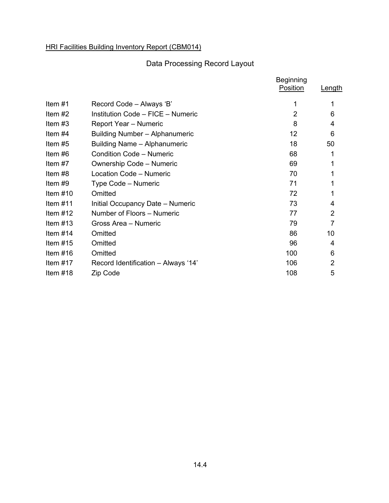# Data Processing Record Layout

|            |                                       | <b>Beginning</b><br>Position | Length         |
|------------|---------------------------------------|------------------------------|----------------|
| Item $#1$  | Record Code - Always 'B'              | 1                            |                |
| Item $#2$  | Institution Code - FICE - Numeric     | 2                            | 6              |
| Item $#3$  | Report Year - Numeric                 | 8                            | 4              |
| Item $#4$  | <b>Building Number - Alphanumeric</b> | 12                           | 6              |
| Item $#5$  | Building Name - Alphanumeric          | 18                           | 50             |
| Item $#6$  | <b>Condition Code - Numeric</b>       | 68                           | 1              |
| Item $#7$  | Ownership Code - Numeric              | 69                           | 1              |
| Item #8    | Location Code - Numeric               | 70                           | 1              |
| Item $#9$  | Type Code - Numeric                   | 71                           |                |
| Item $#10$ | Omitted                               | 72                           |                |
| Item $#11$ | Initial Occupancy Date - Numeric      | 73                           | 4              |
| Item $#12$ | Number of Floors - Numeric            | 77                           | $\overline{2}$ |
| Item $#13$ | Gross Area - Numeric                  | 79                           | $\overline{7}$ |
| Item $#14$ | Omitted                               | 86                           | 10             |
| Item $#15$ | Omitted                               | 96                           | 4              |
| Item $#16$ | Omitted                               | 100                          | 6              |
| Item $#17$ | Record Identification - Always '14'   | 106                          | 2              |
| Item $#18$ | Zip Code                              | 108                          | 5              |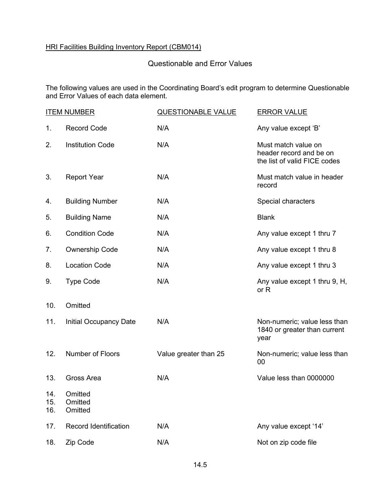# Questionable and Error Values

The following values are used in the Coordinating Board's edit program to determine Questionable and Error Values of each data element.

|                   | <b>ITEM NUMBER</b>            | QUESTIONABLE VALUE    | <b>ERROR VALUE</b>                                                             |
|-------------------|-------------------------------|-----------------------|--------------------------------------------------------------------------------|
| 1.                | <b>Record Code</b>            | N/A                   | Any value except 'B'                                                           |
| 2.                | <b>Institution Code</b>       | N/A                   | Must match value on<br>header record and be on<br>the list of valid FICE codes |
| 3.                | <b>Report Year</b>            | N/A                   | Must match value in header<br>record                                           |
| 4.                | <b>Building Number</b>        | N/A                   | Special characters                                                             |
| 5.                | <b>Building Name</b>          | N/A                   | <b>Blank</b>                                                                   |
| 6.                | <b>Condition Code</b>         | N/A                   | Any value except 1 thru 7                                                      |
| 7.                | <b>Ownership Code</b>         | N/A                   | Any value except 1 thru 8                                                      |
| 8.                | <b>Location Code</b>          | N/A                   | Any value except 1 thru 3                                                      |
| 9.                | <b>Type Code</b>              | N/A                   | Any value except 1 thru 9, H,<br>or R                                          |
| 10.               | Omitted                       |                       |                                                                                |
| 11.               | Initial Occupancy Date        | N/A                   | Non-numeric; value less than<br>1840 or greater than current<br>year           |
| 12.               | Number of Floors              | Value greater than 25 | Non-numeric; value less than<br>00                                             |
| 13.               | Gross Area                    | N/A                   | Value less than 0000000                                                        |
| 14.<br>15.<br>16. | Omitted<br>Omitted<br>Omitted |                       |                                                                                |
| 17.               | Record Identification         | N/A                   | Any value except '14'                                                          |
| 18.               | Zip Code                      | N/A                   | Not on zip code file                                                           |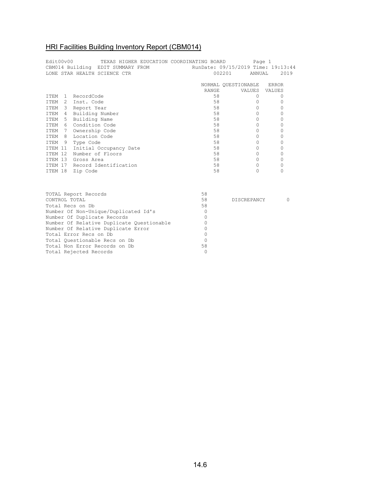| Edit00v00        | TEXAS HIGHER EDUCATION COORDINATING BOARD<br>CBM014 Building EDIT SUMMARY FROM<br>LONE STAR HEALTH SCIENCE CTR |              | Page 1<br>RunDate: 09/15/2019 Time: 19:13:44<br>002201<br>ANNUAL | 2019     |
|------------------|----------------------------------------------------------------------------------------------------------------|--------------|------------------------------------------------------------------|----------|
|                  |                                                                                                                |              | NORMAL QUESTIONABLE ERROR                                        |          |
|                  |                                                                                                                | <b>RANGE</b> | VALUES VALUES                                                    |          |
|                  | ITEM 1 RecordCode                                                                                              | 58           | $\Omega$                                                         | $\circ$  |
|                  | ITEM 2 Inst. Code                                                                                              | 58           | 0                                                                | 0        |
|                  | ITEM 3 Report Year                                                                                             | 58           | $\Omega$                                                         | 0        |
|                  | ITEM 4 Building Number                                                                                         | 58           | $\Omega$                                                         | 0        |
|                  | ITEM 5 Building Name                                                                                           | 58           | 0                                                                | 0        |
|                  | ITEM 6 Condition Code                                                                                          | 58           | $\circ$                                                          | 0        |
|                  | ITEM 7 Ownership Code                                                                                          | 58           | $\mathbf{0}$                                                     | 0        |
|                  | ITEM 8 Location Code                                                                                           | 58           | $\Omega$                                                         | 0        |
|                  | ITEM 9 Type Code                                                                                               | 58           | $\Omega$                                                         | 0        |
|                  | ITEM 11 Initial Occupancy Date                                                                                 | 58           | $\mathbf{0}$                                                     | 0        |
|                  | ITEM 12 Number of Floors                                                                                       | 58           | $\mathbf{0}$                                                     | 0        |
|                  | ITEM 13 Gross Area                                                                                             | 58           | $\Omega$                                                         | 0        |
|                  | ITEM 17 Record Identification                                                                                  | 58           | $\Omega$                                                         | 0        |
|                  | ITEM 18 Zip Code                                                                                               | 58           | $\Omega$                                                         | $\Omega$ |
|                  |                                                                                                                |              |                                                                  |          |
|                  | TOTAL Report Records                                                                                           | 58           |                                                                  |          |
| CONTROL TOTAL    |                                                                                                                | 58           | DISCREPANCY                                                      | 0        |
| Total Recs on Db |                                                                                                                | 58           |                                                                  |          |
|                  | Number Of Non-Unique/Duplicated Id's                                                                           | $\circ$      |                                                                  |          |
|                  | Number Of Duplicate Records                                                                                    | 0            |                                                                  |          |
|                  | Number Of Relative Duplicate Questionable                                                                      | $\Omega$     |                                                                  |          |
|                  | Number Of Relative Duplicate Error                                                                             | $\Omega$     |                                                                  |          |
|                  | Total Error Recs on Db                                                                                         | $\Omega$     |                                                                  |          |
|                  | Total Ouestionable Recs on Db                                                                                  | $\Omega$     |                                                                  |          |
|                  | Total Non Error Records on Db                                                                                  | 58           |                                                                  |          |
|                  | Total Rejected Records                                                                                         | $\Omega$     |                                                                  |          |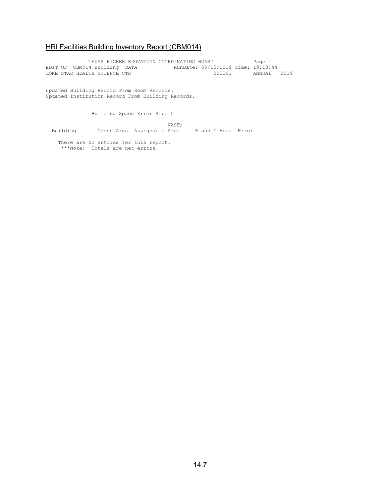TEXAS HIGHER EDUCATION COORDINATING BOARD Page 1 EDIT OF CBM014 Building DATA RunDate: 09/15/2019 Time: 19:13:44 LONE STAR HEALTH SCIENCE CTR 002201 ANNUAL 2019

Updated Building Record From Room Records. Updated Institution Record From Building Records.

Building Space Error Report

 NASF/ Building Gross Area Assignable Area E and G Area Error

 There are No entries for this report. \*\*\*Note: Totals are net errors.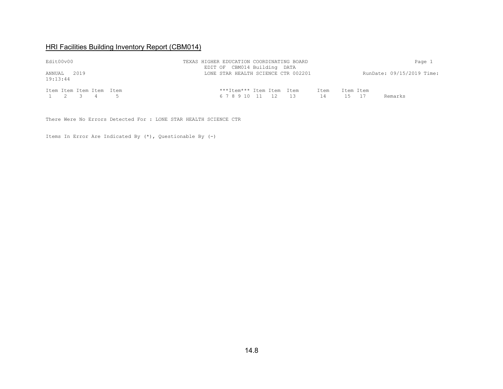| Edit00v00                             | TEXAS HIGHER EDUCATION COORDINATING BOARD<br>EDIT OF CBM014 Building DATA | Page 1                        |  |  |  |
|---------------------------------------|---------------------------------------------------------------------------|-------------------------------|--|--|--|
| ANNUAL<br>2.019<br>19:13:44           | LONE STAR HEALTH SCIENCE CTR 002201                                       | RunDate: 09/15/2019 Time:     |  |  |  |
| Item Item Item Item Item<br>1 2 3 4 5 | ***Item*** Item Item Item<br>Item<br>67891011 12 13<br>14                 | Item Item<br>Remarks<br>15 17 |  |  |  |

There Were No Errors Detected For : LONE STAR HEALTH SCIENCE CTR

Items In Error Are Indicated By (\*), Questionable By (-)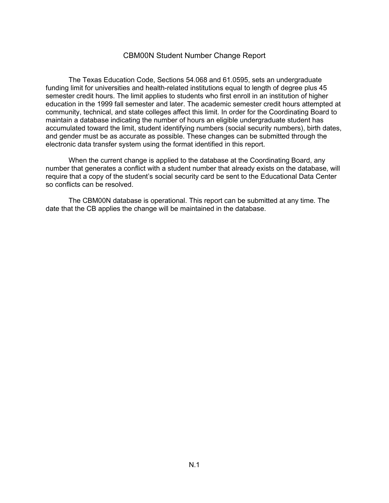#### CBM00N Student Number Change Report

The Texas Education Code, Sections 54.068 and 61.0595, sets an undergraduate funding limit for universities and health-related institutions equal to length of degree plus 45 semester credit hours. The limit applies to students who first enroll in an institution of higher education in the 1999 fall semester and later. The academic semester credit hours attempted at community, technical, and state colleges affect this limit. In order for the Coordinating Board to maintain a database indicating the number of hours an eligible undergraduate student has accumulated toward the limit, student identifying numbers (social security numbers), birth dates, and gender must be as accurate as possible. These changes can be submitted through the electronic data transfer system using the format identified in this report.

When the current change is applied to the database at the Coordinating Board, any number that generates a conflict with a student number that already exists on the database, will require that a copy of the student's social security card be sent to the Educational Data Center so conflicts can be resolved.

The CBM00N database is operational. This report can be submitted at any time. The date that the CB applies the change will be maintained in the database.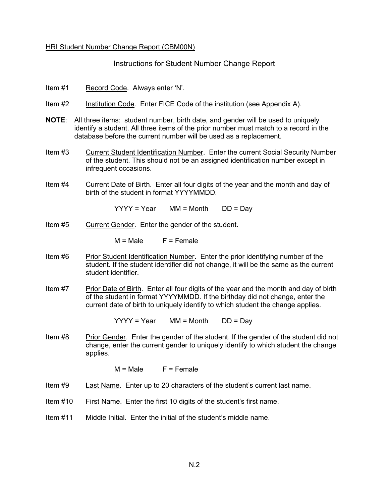#### HRI Student Number Change Report (CBM00N)

Instructions for Student Number Change Report

- Item #1 Record Code. Always enter 'N'.
- Item #2 Institution Code. Enter FICE Code of the institution (see Appendix A).
- **NOTE**: All three items: student number, birth date, and gender will be used to uniquely identify a student. All three items of the prior number must match to a record in the database before the current number will be used as a replacement.
- Item #3 Current Student Identification Number. Enter the current Social Security Number of the student. This should not be an assigned identification number except in infrequent occasions.
- Item #4 Current Date of Birth. Enter all four digits of the year and the month and day of birth of the student in format YYYYMMDD.

 $YYYY = Year$  MM = Month DD = Day

Item #5 Current Gender. Enter the gender of the student.

 $M = Male$   $F = Female$ 

- Item #6 Prior Student Identification Number. Enter the prior identifying number of the student. If the student identifier did not change, it will be the same as the current student identifier.
- Item #7 Prior Date of Birth. Enter all four digits of the year and the month and day of birth of the student in format YYYYMMDD. If the birthday did not change, enter the current date of birth to uniquely identify to which student the change applies.

 $YYYY = Year$  MM = Month DD = Day

Item #8 Prior Gender. Enter the gender of the student. If the gender of the student did not change, enter the current gender to uniquely identify to which student the change applies.

 $M = Male$   $F = Female$ 

- Item #9 Last Name. Enter up to 20 characters of the student's current last name.
- Item #10 First Name. Enter the first 10 digits of the student's first name.
- Item #11 Middle Initial. Enter the initial of the student's middle name.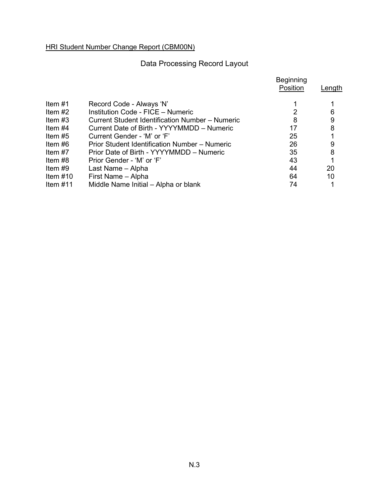HRI Student Number Change Report (CBM00N)

# Data Processing Record Layout

|            |                                                 | <b>Beginning</b><br>Position | Length |
|------------|-------------------------------------------------|------------------------------|--------|
| Item $#1$  | Record Code - Always 'N'                        |                              |        |
| Item $#2$  | Institution Code - FICE - Numeric               |                              | 6      |
| Item $#3$  | Current Student Identification Number – Numeric | 8                            | 9      |
| Item $#4$  | Current Date of Birth - YYYYMMDD - Numeric      | 17                           | 8      |
| Item $#5$  | Current Gender - 'M' or 'F'                     | 25                           |        |
| Item $#6$  | Prior Student Identification Number – Numeric   | 26                           | 9      |
| Item $#7$  | Prior Date of Birth - YYYYMMDD - Numeric        | 35                           | 8      |
| Item $#8$  | Prior Gender - 'M' or 'F'                       | 43                           |        |
| Item $#9$  | Last Name - Alpha                               | 44                           | 20     |
| Item $#10$ | First Name - Alpha                              | 64                           | 10     |
| Item $#11$ | Middle Name Initial - Alpha or blank            | 74                           |        |
|            |                                                 |                              |        |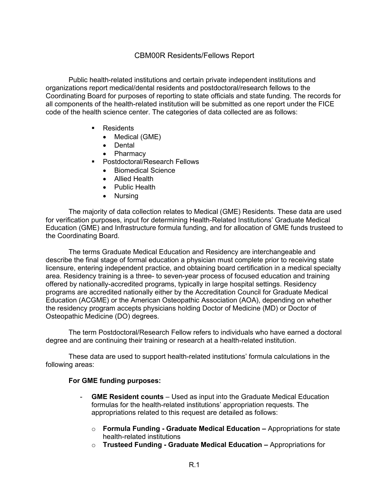### CBM00R Residents/Fellows Report

Public health-related institutions and certain private independent institutions and organizations report medical/dental residents and postdoctoral/research fellows to the Coordinating Board for purposes of reporting to state officials and state funding. The records for all components of the health-related institution will be submitted as one report under the FICE code of the health science center. The categories of data collected are as follows:

- Residents
	- Medical (GME)
	- Dental
	- Pharmacy
- Postdoctoral/Research Fellows
	- Biomedical Science
	- Allied Health
	- Public Health
	- Nursing

The majority of data collection relates to Medical (GME) Residents. These data are used for verification purposes, input for determining Health-Related Institutions' Graduate Medical Education (GME) and Infrastructure formula funding, and for allocation of GME funds trusteed to the Coordinating Board.

The terms Graduate Medical Education and Residency are interchangeable and describe the final stage of formal education a physician must complete prior to receiving state licensure, entering independent practice, and obtaining board certification in a medical specialty area. Residency training is a three- to seven-year process of focused education and training offered by nationally-accredited programs, typically in large hospital settings. Residency programs are accredited nationally either by the Accreditation Council for Graduate Medical Education (ACGME) or the American Osteopathic Association (AOA), depending on whether the residency program accepts physicians holding Doctor of Medicine (MD) or Doctor of Osteopathic Medicine (DO) degrees.

The term Postdoctoral/Research Fellow refers to individuals who have earned a doctoral degree and are continuing their training or research at a health-related institution.

These data are used to support health-related institutions' formula calculations in the following areas:

#### **For GME funding purposes:**

- **GME Resident counts**  Used as input into the Graduate Medical Education formulas for the health-related institutions' appropriation requests. The appropriations related to this request are detailed as follows:
	- o **Formula Funding - Graduate Medical Education –** Appropriations for state health-related institutions
	- o **Trusteed Funding - Graduate Medical Education –** Appropriations for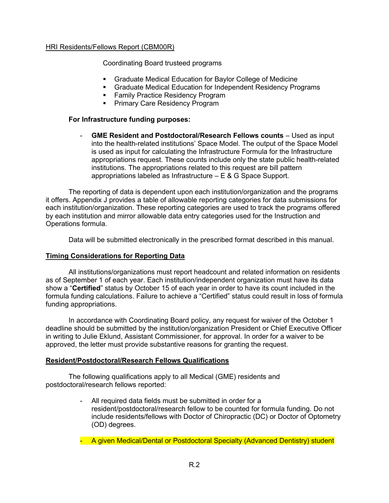Coordinating Board trusteed programs

- Graduate Medical Education for Baylor College of Medicine
- Graduate Medical Education for Independent Residency Programs
- Family Practice Residency Program
- Primary Care Residency Program

#### **For Infrastructure funding purposes:**

- **GME Resident and Postdoctoral/Research Fellows counts** – Used as input into the health-related institutions' Space Model. The output of the Space Model is used as input for calculating the Infrastructure Formula for the Infrastructure appropriations request. These counts include only the state public health-related institutions. The appropriations related to this request are bill pattern appropriations labeled as Infrastructure – E & G Space Support.

The reporting of data is dependent upon each institution/organization and the programs it offers. Appendix J provides a table of allowable reporting categories for data submissions for each institution/organization. These reporting categories are used to track the programs offered by each institution and mirror allowable data entry categories used for the Instruction and Operations formula.

Data will be submitted electronically in the prescribed format described in this manual.

#### **Timing Considerations for Reporting Data**

All institutions/organizations must report headcount and related information on residents as of September 1 of each year. Each institution/independent organization must have its data show a "**Certified**" status by October 15 of each year in order to have its count included in the formula funding calculations. Failure to achieve a "Certified" status could result in loss of formula funding appropriations.

In accordance with Coordinating Board policy, any request for waiver of the October 1 deadline should be submitted by the institution/organization President or Chief Executive Officer in writing to Julie Eklund, Assistant Commissioner, for approval. In order for a waiver to be approved, the letter must provide substantive reasons for granting the request.

#### **Resident/Postdoctoral/Research Fellows Qualifications**

The following qualifications apply to all Medical (GME) residents and postdoctoral/research fellows reported:

- All required data fields must be submitted in order for a resident/postdoctoral/research fellow to be counted for formula funding. Do not include residents/fellows with Doctor of Chiropractic (DC) or Doctor of Optometry (OD) degrees.
- A given Medical/Dental or Postdoctoral Specialty (Advanced Dentistry) student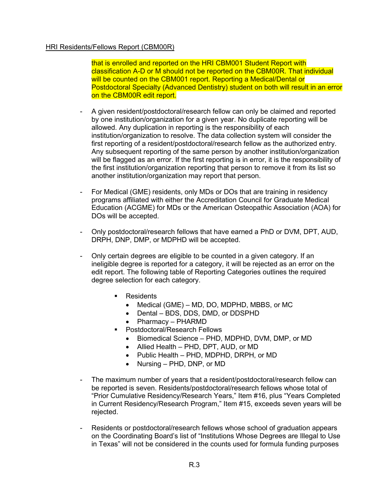that is enrolled and reported on the HRI CBM001 Student Report with classification A-D or M should not be reported on the CBM00R. That individual will be counted on the CBM001 report. Reporting a Medical/Dental or Postdoctoral Specialty (Advanced Dentistry) student on both will result in an error on the CBM00R edit report.

- A given resident/postdoctoral/research fellow can only be claimed and reported by one institution/organization for a given year. No duplicate reporting will be allowed. Any duplication in reporting is the responsibility of each institution/organization to resolve. The data collection system will consider the first reporting of a resident/postdoctoral/research fellow as the authorized entry. Any subsequent reporting of the same person by another institution/organization will be flagged as an error. If the first reporting is in error, it is the responsibility of the first institution/organization reporting that person to remove it from its list so another institution/organization may report that person.
- For Medical (GME) residents, only MDs or DOs that are training in residency programs affiliated with either the Accreditation Council for Graduate Medical Education (ACGME) for MDs or the American Osteopathic Association (AOA) for DOs will be accepted.
- Only postdoctoral/research fellows that have earned a PhD or DVM, DPT, AUD, DRPH, DNP, DMP, or MDPHD will be accepted.
- Only certain degrees are eligible to be counted in a given category. If an ineligible degree is reported for a category, it will be rejected as an error on the edit report. The following table of Reporting Categories outlines the required degree selection for each category.
	- Residents
		- Medical (GME) MD, DO, MDPHD, MBBS, or MC
		- Dental BDS, DDS, DMD, or DDSPHD
		- Pharmacy PHARMD
	- **Postdoctoral/Research Fellows** 
		- Biomedical Science PHD, MDPHD, DVM, DMP, or MD
		- Allied Health PHD, DPT, AUD, or MD
		- Public Health PHD, MDPHD, DRPH, or MD
		- Nursing PHD, DNP, or MD
- The maximum number of years that a resident/postdoctoral/research fellow can be reported is seven. Residents/postdoctoral/research fellows whose total of "Prior Cumulative Residency/Research Years," Item #16, plus "Years Completed in Current Residency/Research Program," Item #15, exceeds seven years will be rejected.
- Residents or postdoctoral/research fellows whose school of graduation appears on the Coordinating Board's list of "Institutions Whose Degrees are Illegal to Use in Texas" will not be considered in the counts used for formula funding purposes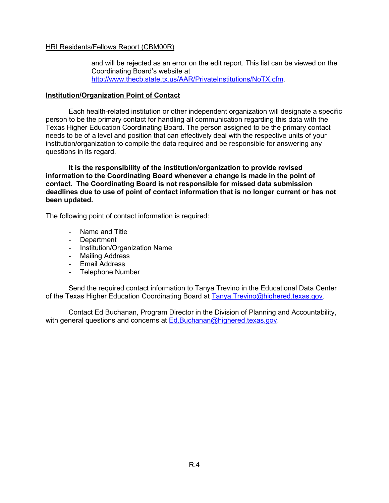and will be rejected as an error on the edit report. This list can be viewed on the Coordinating Board's website at [http://www.thecb.state.tx.us/AAR/PrivateInstitutions/NoTX.cfm.](http://www.thecb.state.tx.us/AAR/PrivateInstitutions/NoTX.cfm)

#### **Institution/Organization Point of Contact**

Each health-related institution or other independent organization will designate a specific person to be the primary contact for handling all communication regarding this data with the Texas Higher Education Coordinating Board. The person assigned to be the primary contact needs to be of a level and position that can effectively deal with the respective units of your institution/organization to compile the data required and be responsible for answering any questions in its regard.

**It is the responsibility of the institution/organization to provide revised information to the Coordinating Board whenever a change is made in the point of contact. The Coordinating Board is not responsible for missed data submission deadlines due to use of point of contact information that is no longer current or has not been updated.**

The following point of contact information is required:

- Name and Title
- Department
- Institution/Organization Name
- Mailing Address
- Email Address
- Telephone Number

Send the required contact information to Tanya Trevino in the Educational Data Center of the Texas Higher Education Coordinating Board at [Tanya.Trevino@highered.texas.gov.](mailto:Tanya.Trevino@thecb.state.tx.us)

Contact Ed Buchanan, Program Director in the Division of Planning and Accountability, with general questions and concerns at [Ed.Buchanan@highered.texas.gov.](mailto:Ed.Buchanan@thecb.state.tx.us)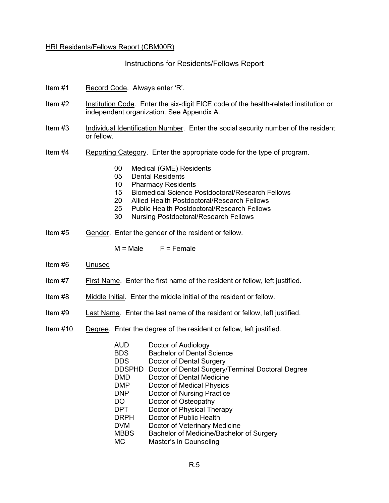Instructions for Residents/Fellows Report

- Item #1 Record Code. Always enter 'R'.
- Item #2 Institution Code. Enter the six-digit FICE code of the health-related institution or independent organization. See Appendix A.
- Item #3 Individual Identification Number. Enter the social security number of the resident or fellow.
- Item #4 Reporting Category. Enter the appropriate code for the type of program.
	- 00 Medical (GME) Residents
	- 05 Dental Residents
	- 10 Pharmacy Residents
	- 15 Biomedical Science Postdoctoral/Research Fellows
	- 20 Allied Health Postdoctoral/Research Fellows
	- 25 Public Health Postdoctoral/Research Fellows
	- 30 Nursing Postdoctoral/Research Fellows
- Item #5 Gender. Enter the gender of the resident or fellow.

 $M = Male$   $F = Female$ 

- Item #6 Unused
- Item #7 First Name. Enter the first name of the resident or fellow, left justified.
- Item #8 Middle Initial. Enter the middle initial of the resident or fellow.
- Item #9 Last Name. Enter the last name of the resident or fellow, left justified.
- Item #10 Degree. Enter the degree of the resident or fellow, left justified.

| AUD           | Doctor of Audiology                               |
|---------------|---------------------------------------------------|
| <b>BDS</b>    | <b>Bachelor of Dental Science</b>                 |
| <b>DDS</b>    | Doctor of Dental Surgery                          |
| <b>DDSPHD</b> | Doctor of Dental Surgery/Terminal Doctoral Degree |
| <b>DMD</b>    | Doctor of Dental Medicine                         |
| <b>DMP</b>    | Doctor of Medical Physics                         |
| <b>DNP</b>    | Doctor of Nursing Practice                        |
| DO            | Doctor of Osteopathy                              |
| <b>DPT</b>    | Doctor of Physical Therapy                        |
| <b>DRPH</b>   | Doctor of Public Health                           |
| <b>DVM</b>    | Doctor of Veterinary Medicine                     |
| <b>MBBS</b>   | Bachelor of Medicine/Bachelor of Surgery          |
| МC            | Master's in Counseling                            |
|               |                                                   |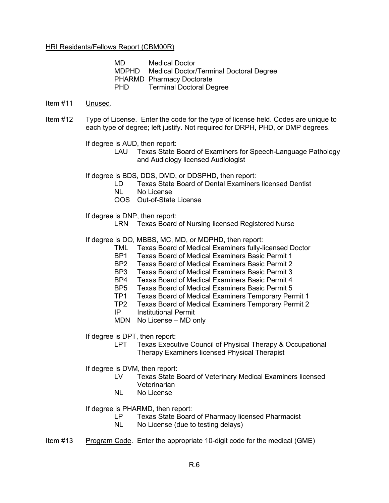MD Medical Doctor MDPHD Medical Doctor/Terminal Doctoral Degree PHARMD Pharmacy Doctorate PHD Terminal Doctoral Degree

#### Item #11 Unused.

Item #12 Type of License. Enter the code for the type of license held. Codes are unique to each type of degree; left justify. Not required for DRPH, PHD, or DMP degrees.

If degree is AUD, then report:

LAU Texas State Board of Examiners for Speech-Language Pathology and Audiology licensed Audiologist

If degree is BDS, DDS, DMD, or DDSPHD, then report:

- LD Texas State Board of Dental Examiners licensed Dentist
- NL No License
- OOS Out-of-State License

If degree is DNP, then report:

LRN Texas Board of Nursing licensed Registered Nurse

If degree is DO, MBBS, MC, MD, or MDPHD, then report:

- TML Texas Board of Medical Examiners fully-licensed Doctor
- BP1 Texas Board of Medical Examiners Basic Permit 1
- BP2 Texas Board of Medical Examiners Basic Permit 2
- BP3 Texas Board of Medical Examiners Basic Permit 3
- BP4 Texas Board of Medical Examiners Basic Permit 4
- BP5 Texas Board of Medical Examiners Basic Permit 5
- TP1 Texas Board of Medical Examiners Temporary Permit 1
- TP2 Texas Board of Medical Examiners Temporary Permit 2
- IP Institutional Permit
- MDN No License MD only

If degree is DPT, then report:

LPT Texas Executive Council of Physical Therapy & Occupational Therapy Examiners licensed Physical Therapist

If degree is DVM, then report:

- LV Texas State Board of Veterinary Medical Examiners licensed Veterinarian
- NL No License

If degree is PHARMD, then report:

- LP Texas State Board of Pharmacy licensed Pharmacist
- NL No License (due to testing delays)
- Item #13 Program Code. Enter the appropriate 10-digit code for the medical (GME)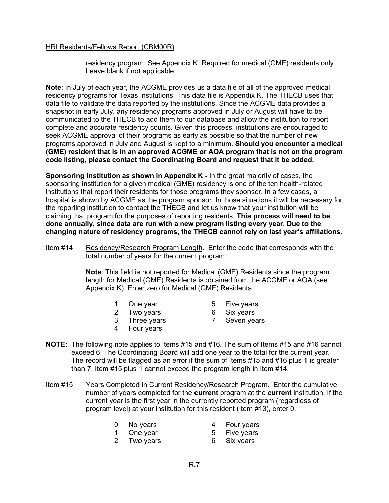residency program. See Appendix K. Required for medical (GME) residents only. Leave blank if not applicable.

**Note**: In July of each year, the ACGME provides us a data file of all of the approved medical residency programs for Texas institutions. This data file is Appendix K. The THECB uses that data file to validate the data reported by the institutions. Since the ACGME data provides a snapshot in early July, any residency programs approved in July or August will have to be communicated to the THECB to add them to our database and allow the institution to report complete and accurate residency counts. Given this process, institutions are encouraged to seek ACGME approval of their programs as early as possible so that the number of new programs approved in July and August is kept to a minimum. **Should you encounter a medical (GME) resident that is in an approved ACGME or AOA program that is not on the program code listing, please contact the Coordinating Board and request that it be added.**

**Sponsoring Institution as shown in Appendix K -** In the great majority of cases, the sponsoring institution for a given medical (GME) residency is one of the ten health-related institutions that report their residents for those programs they sponsor. In a few cases, a hospital is shown by ACGME as the program sponsor. In those situations it will be necessary for the reporting institution to contact the THECB and let us know that your institution will be claiming that program for the purposes of reporting residents. **This process will need to be done annually, since data are run with a new program listing every year. Due to the changing nature of residency programs, the THECB cannot rely on last year's affiliations.**

Item #14 Residency/Research Program Length. Enter the code that corresponds with the total number of years for the current program.

> **Note**: This field is not reported for Medical (GME) Residents since the program length for Medical (GME) Residents is obtained from the ACGME or AOA (see Appendix K). Enter zero for Medical (GME) Residents.

- 1 One year 5 Five years<br>2 Two years 6 Six years
	-
- 2 Two years 6 Six years
- 
- 
- 4 Four years
- 3 Three years 7 Seven years
- **NOTE:** The following note applies to Items #15 and #16. The sum of Items #15 and #16 cannot exceed 6. The Coordinating Board will add one year to the total for the current year. The record will be flagged as an error if the sum of Items #15 and #16 plus 1 is greater than 7. Item #15 plus 1 cannot exceed the program length in Item #14.
- Item #15 Years Completed in Current Residency/Research Program. Enter the cumulative number of years completed for the **current** program at the **current** institution. If the current year is the first year in the currently reported program (regardless of program level) at your institution for this resident (Item #13), enter 0.
	- 0 No years 4 Four years
		-
	- 1 One year 5 Five years
	- 2 Two years 6 Six years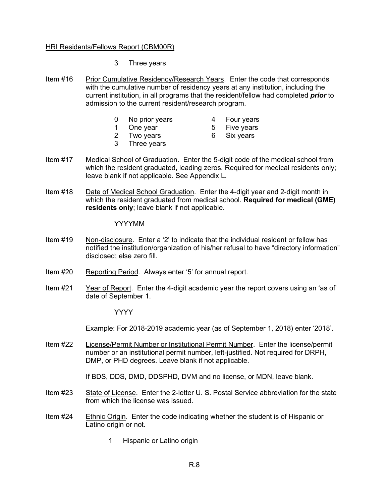- 3 Three years
- Item #16 Prior Cumulative Residency/Research Years. Enter the code that corresponds with the cumulative number of residency years at any institution, including the current institution, in all programs that the resident/fellow had completed *prior* to admission to the current resident/research program.
	- 0 No prior years 4 Four years
		-
	- 1 One year 5 Five years
		-
	-
- 
- 3 Three years
- 2 Two years 6 Six years
- Item #17 Medical School of Graduation. Enter the 5-digit code of the medical school from which the resident graduated, leading zeros. Required for medical residents only; leave blank if not applicable. See Appendix L.
- Item #18 Date of Medical School Graduation. Enter the 4-digit year and 2-digit month in which the resident graduated from medical school. **Required for medical (GME) residents only**; leave blank if not applicable.

#### YYYYMM

- Item #19 Non-disclosure. Enter a '2' to indicate that the individual resident or fellow has notified the institution/organization of his/her refusal to have "directory information" disclosed; else zero fill.
- Item #20 Reporting Period. Always enter '5' for annual report.
- Item #21 Year of Report. Enter the 4-digit academic year the report covers using an 'as of' date of September 1.

YYYY

Example: For 2018-2019 academic year (as of September 1, 2018) enter '2018'.

Item #22 License/Permit Number or Institutional Permit Number. Enter the license/permit number or an institutional permit number, left-justified. Not required for DRPH, DMP, or PHD degrees. Leave blank if not applicable.

If BDS, DDS, DMD, DDSPHD, DVM and no license, or MDN, leave blank.

- Item #23 State of License. Enter the 2-letter U. S. Postal Service abbreviation for the state from which the license was issued.
- Item #24 Ethnic Origin. Enter the code indicating whether the student is of Hispanic or Latino origin or not.
	- 1 Hispanic or Latino origin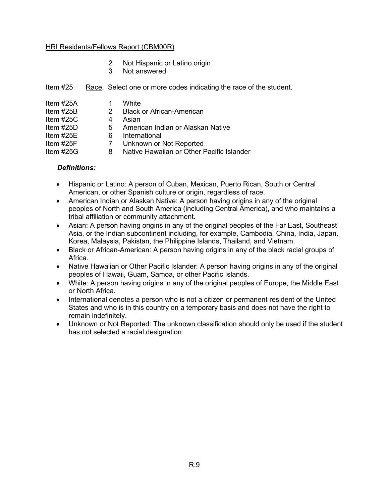- 2 Not Hispanic or Latino origin
- 3 Not answered

|  |  | Item #25 Race. Select one or more codes indicating the race of the student. |
|--|--|-----------------------------------------------------------------------------|
|  |  |                                                                             |

| Item $#25A$  |    | White                                     |
|--------------|----|-------------------------------------------|
| Item $#25B$  | 2  | <b>Black or African-American</b>          |
| Item $#25C$  | 4  | Asian                                     |
| Item $#25D$  | 5. | American Indian or Alaskan Native         |
| Item $\#25E$ | 6  | International                             |
| Item $#25F$  | 7  | Unknown or Not Reported                   |
| Item $#25G$  | 8  | Native Hawaiian or Other Pacific Islander |

#### *Definitions:*

- Hispanic or Latino: A person of Cuban, Mexican, Puerto Rican, South or Central American, or other Spanish culture or origin, regardless of race.
- American Indian or Alaskan Native: A person having origins in any of the original peoples of North and South America (including Central America), and who maintains a tribal affiliation or community attachment.
- Asian: A person having origins in any of the original peoples of the Far East, Southeast Asia, or the Indian subcontinent including, for example, Cambodia, China, India, Japan, Korea, Malaysia, Pakistan, the Philippine Islands, Thailand, and Vietnam.
- Black or African-American: A person having origins in any of the black racial groups of Africa.
- Native Hawaiian or Other Pacific Islander: A person having origins in any of the original peoples of Hawaii, Guam, Samoa, or other Pacific Islands.
- White: A person having origins in any of the original peoples of Europe, the Middle East or North Africa.
- International denotes a person who is not a citizen or permanent resident of the United States and who is in this country on a temporary basis and does not have the right to remain indefinitely.
- Unknown or Not Reported: The unknown classification should only be used if the student has not selected a racial designation.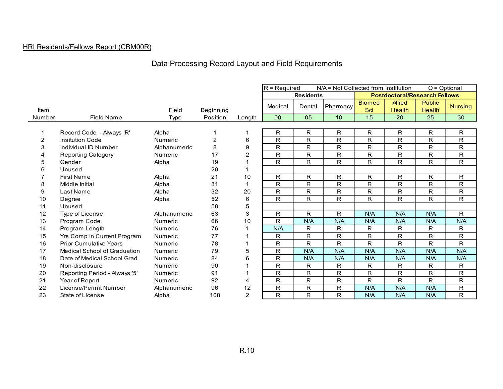# Data Processing Record Layout and Field Requirements

|        |                               |                |                |        | $R = Required$<br>$O = \text{Optional}$<br>N/A = Not Collected from Institution |                  |          |               |               |                                      |                |
|--------|-------------------------------|----------------|----------------|--------|---------------------------------------------------------------------------------|------------------|----------|---------------|---------------|--------------------------------------|----------------|
|        |                               |                |                |        |                                                                                 | <b>Residents</b> |          |               |               | <b>Postdoctoral/Research Fellows</b> |                |
|        |                               |                |                |        |                                                                                 |                  |          | <b>Biomed</b> | <b>Allied</b> | <b>Public</b>                        |                |
| Item   |                               | Field          | Beginning      |        | Medical                                                                         | Dental           | Pharmacy | Sci           | <b>Health</b> | <b>Health</b>                        | <b>Nursing</b> |
| Number | <b>Field Name</b>             | Type           | Position       | Length | 00                                                                              | 05               | 10       | 15            | 20            | 25                                   | 30             |
|        |                               |                |                |        |                                                                                 |                  |          |               |               |                                      |                |
| 1      | Record Code - Always 'R'      | Alpha          |                | -1     | R                                                                               | R.               | R.       | R.            | R             | R                                    | R.             |
| 2      | <b>Insitution Code</b>        | <b>Numeric</b> | $\overline{2}$ | 6      | $\mathsf{R}$                                                                    | R                | R        | $\mathsf{R}$  | $\mathsf{R}$  | R                                    | R              |
| 3      | Individual ID Number          | Alphanumeric   | 8              | 9      | R                                                                               | R                | R        | R.            | R             | R                                    | R              |
|        | <b>Reporting Category</b>     | Numeric        | 17             | 2      | $\mathsf{R}$                                                                    | R                | R        | R.            | R             | R                                    | R              |
| 5      | Gender                        | Alpha          | 19             |        | R                                                                               | R.               | R.       | R.            | R             | R                                    | R              |
| 6      | Unused                        |                | 20             |        |                                                                                 |                  |          |               |               |                                      |                |
|        | <b>First Name</b>             | Alpha          | 21             | 10     | R.                                                                              | R.               | R.       | R.            | R             | R.                                   | R.             |
| 8      | Middle Initial                | Alpha          | 31             |        | R                                                                               | R                | R        | R             | R             | R                                    | R              |
| 9      | Last Name                     | Alpha          | 32             | 20     | $\mathsf{R}$                                                                    | R                | R        | R.            | $\mathsf{R}$  | R.                                   | R              |
| 10     | Degree                        | Alpha          | 52             | 6      | R                                                                               | R.               | R        | R.            | R             | R                                    | R.             |
| 11     | Unused                        |                | 58             | 5      |                                                                                 |                  |          |               |               |                                      |                |
| 12     | Type of License               | Alphanumeric   | 63             | 3      | R                                                                               | R                | R.       | N/A           | N/A           | N/A                                  | R              |
| 13     | Program Code                  | <b>Numeric</b> | 66             | 10     | R                                                                               | N/A              | N/A      | N/A           | N/A           | N/A                                  | N/A            |
| 14     | Program Length                | <b>Numeric</b> | 76             |        | N/A                                                                             | R.               | R.       | R.            | R.            | R                                    | R.             |
| 15     | Yrs Comp In Current Program   | Numeric        | 77             |        | R                                                                               | R                | R        | R             | R             | R                                    | R              |
| 16     | <b>Prior Cumulative Years</b> | Numeric        | 78             |        | $\mathsf{R}$                                                                    | R                | R        | $\mathsf{R}$  | $\mathsf{R}$  | R                                    | R              |
| 17     | Medical School of Graduation  | <b>Numeric</b> | 79             | 5      | R                                                                               | N/A              | N/A      | N/A           | N/A           | N/A                                  | N/A            |
| 18     | Date of Medical School Grad   | Numeric        | 84             | 6      | R                                                                               | N/A              | N/A      | N/A           | N/A           | N/A                                  | N/A            |
| 19     | Non-disclosure                | <b>Numeric</b> | 90             |        | R                                                                               | R.               | R        | R             | R             | R                                    | R              |
| 20     | Reporting Period - Always '5' | <b>Numeric</b> | 91             |        | R                                                                               | R                | R        | R             | R             | R                                    | R              |
| 21     | Year of Report                | <b>Numeric</b> | 92             | 4      | R                                                                               | R.               | R        | R             | R             | R                                    | R              |
| 22     | License/Permit Number         | Alphanumeric   | 96             | 12     | $\mathsf{R}$                                                                    | $\mathsf{R}$     | R        | N/A           | N/A           | N/A                                  | R              |
| 23     | State of License              | Alpha          | 108            | 2      | $\mathsf{R}$                                                                    | R                | R        | N/A           | N/A           | N/A                                  | R              |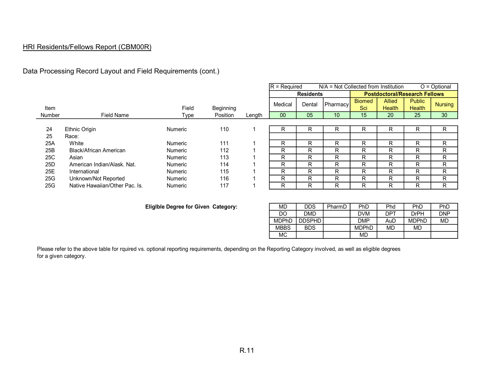### Data Processing Record Layout and Field Requirements (cont.)

|               |                                |                |           |        | $R = Required$ |                  | $N/A$ = Not Collected from Institution |               |                                      |               | $O = Optional$  |
|---------------|--------------------------------|----------------|-----------|--------|----------------|------------------|----------------------------------------|---------------|--------------------------------------|---------------|-----------------|
|               |                                |                |           |        |                | <b>Residents</b> |                                        |               | <b>Postdoctoral/Research Fellows</b> |               |                 |
|               |                                |                |           |        | Medical        | Dental           | <b>Pharmacy</b>                        | <b>Biomed</b> | <b>Allied</b>                        | <b>Public</b> | Nursing         |
| Item          |                                | Field          | Beginning |        |                |                  |                                        | Sci           | <b>Health</b>                        | <b>Health</b> |                 |
| <b>Number</b> | <b>Field Name</b>              | Type           | Position  | Length | $00\,$         | 05               | 10                                     | 15            | 20                                   | 25            | 30 <sup>°</sup> |
|               |                                |                |           |        |                |                  |                                        |               |                                      |               |                 |
| 24            | Ethnic Origin                  | <b>Numeric</b> | 110       |        | R              | R                | R                                      | R             | R                                    | R             | R               |
| 25            | Race:                          |                |           |        |                |                  |                                        |               |                                      |               |                 |
| 25A           | White                          | <b>Numeric</b> | 111       |        | R              | R                | R                                      | R             | R                                    | R             | R               |
| 25B           | <b>Black/African American</b>  | <b>Numeric</b> | 112       |        | R              | R                | R                                      | R             | R                                    | R             | R               |
| 25C           | Asian                          | <b>Numeric</b> | 113       |        | R              | R                | R                                      | R             | R                                    | R             | R               |
| 25D           | American Indian/Alask, Nat.    | <b>Numeric</b> | 114       |        | R              | -R               | R                                      | R             | R                                    | R             | R               |
| 25E           | International                  | <b>Numeric</b> | 115       |        | R              | R                | R                                      | R             | R                                    | R             | R               |
| 25G           | Unknown/Not Reported           | <b>Numeric</b> | 116       |        | R              | R.               | R                                      | R             | R                                    | R             | R               |
| 25G           | Native Hawaiian/Other Pac. Is. | <b>Numeric</b> | 117       |        | R              | R                | R                                      | R             | R                                    | R             | R               |

#### **Eliglble Degree for Given Category:**

| MD.          | <b>DDS</b> | PharmD | PhD          | Phd | PhD          | PhD        |
|--------------|------------|--------|--------------|-----|--------------|------------|
| DO.          | <b>DMD</b> |        | <b>DVM</b>   | DPT | <b>DrPH</b>  | <b>DNP</b> |
| <b>MDPhD</b> | DDSPHD     |        | <b>DMP</b>   | AuD | <b>MDPhD</b> | <b>MD</b>  |
| <b>MBBS</b>  | <b>BDS</b> |        | <b>MDPhD</b> | MD  | <b>MD</b>    |            |
| MC.          |            |        | MD           |     |              |            |

Please refer to the above table for rquired vs. optional reporting requirements, depending on the Reporting Category involved, as well as eligible degrees for a given category.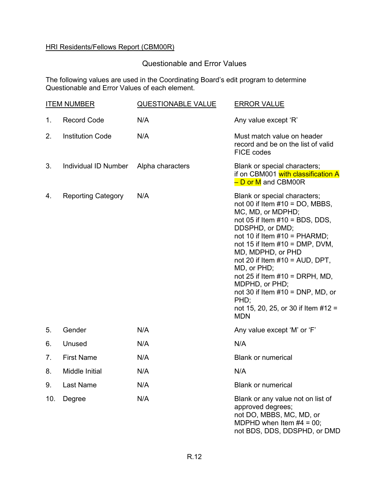## Questionable and Error Values

The following values are used in the Coordinating Board's edit program to determine Questionable and Error Values of each element.

|     | <b>ITEM NUMBER</b>        | <b>QUESTIONABLE VALUE</b> | <b>ERROR VALUE</b>                                                                                                                                                                                                                                                                                                                                                                                                                                           |
|-----|---------------------------|---------------------------|--------------------------------------------------------------------------------------------------------------------------------------------------------------------------------------------------------------------------------------------------------------------------------------------------------------------------------------------------------------------------------------------------------------------------------------------------------------|
| 1.  | <b>Record Code</b>        | N/A                       | Any value except 'R'                                                                                                                                                                                                                                                                                                                                                                                                                                         |
| 2.  | <b>Institution Code</b>   | N/A                       | Must match value on header<br>record and be on the list of valid<br><b>FICE codes</b>                                                                                                                                                                                                                                                                                                                                                                        |
| 3.  | Individual ID Number      | Alpha characters          | Blank or special characters;<br>if on CBM001 with classification A<br>- D or M and CBM00R                                                                                                                                                                                                                                                                                                                                                                    |
| 4.  | <b>Reporting Category</b> | N/A                       | Blank or special characters;<br>not 00 if Item $#10 = DO$ , MBBS,<br>MC, MD, or MDPHD;<br>not 05 if Item $#10 = BDS$ , DDS,<br>DDSPHD, or DMD;<br>not 10 if Item $#10 = PHARMD$ ;<br>not 15 if Item $#10 = DMP$ , DVM,<br>MD, MDPHD, or PHD<br>not 20 if Item $#10 = AUD$ , DPT,<br>MD, or PHD;<br>not 25 if Item $#10 = DRPH$ , MD,<br>MDPHD, or PHD;<br>not 30 if Item $#10 = DNP$ , MD, or<br>PHD;<br>not 15, 20, 25, or 30 if Item $#12 =$<br><b>MDN</b> |
| 5.  | Gender                    | N/A                       | Any value except 'M' or 'F'                                                                                                                                                                                                                                                                                                                                                                                                                                  |
| 6.  | Unused                    | N/A                       | N/A                                                                                                                                                                                                                                                                                                                                                                                                                                                          |
| 7.  | <b>First Name</b>         | N/A                       | <b>Blank or numerical</b>                                                                                                                                                                                                                                                                                                                                                                                                                                    |
| 8.  | Middle Initial            | N/A                       | N/A                                                                                                                                                                                                                                                                                                                                                                                                                                                          |
| 9.  | Last Name                 | N/A                       | <b>Blank or numerical</b>                                                                                                                                                                                                                                                                                                                                                                                                                                    |
| 10. | Degree                    | N/A                       | Blank or any value not on list of<br>approved degrees;<br>not DO, MBBS, MC, MD, or<br>MDPHD when Item $#4 = 00$ ;<br>not BDS, DDS, DDSPHD, or DMD                                                                                                                                                                                                                                                                                                            |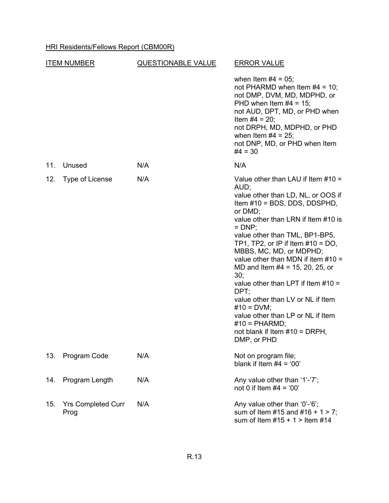| <u>ITEM NUMBER</u> |                                   | <b>QUESTIONABLE VALUE</b> | <b>ERROR VALUE</b>                                                                                                                                                                                                                                                                                                                                                                                                                                                                                                                                                                        |  |  |  |  |
|--------------------|-----------------------------------|---------------------------|-------------------------------------------------------------------------------------------------------------------------------------------------------------------------------------------------------------------------------------------------------------------------------------------------------------------------------------------------------------------------------------------------------------------------------------------------------------------------------------------------------------------------------------------------------------------------------------------|--|--|--|--|
|                    |                                   |                           | when Item $#4 = 05$ ;<br>not PHARMD when Item $#4 = 10$ ;<br>not DMP, DVM, MD, MDPHD, or<br>PHD when Item $#4 = 15$ ;<br>not AUD, DPT, MD, or PHD when<br>Item $#4 = 20$ ;<br>not DRPH, MD, MDPHD, or PHD<br>when Item $#4 = 25$ ;<br>not DNP, MD, or PHD when Item<br>$#4 = 30$                                                                                                                                                                                                                                                                                                          |  |  |  |  |
| 11.                | Unused                            | N/A                       | N/A                                                                                                                                                                                                                                                                                                                                                                                                                                                                                                                                                                                       |  |  |  |  |
| 12.                | Type of License                   | N/A                       | Value other than LAU if Item $#10 =$<br>AUD;<br>value other than LD, NL, or OOS if<br>Item #10 = BDS, DDS, DDSPHD,<br>or DMD;<br>value other than LRN if Item #10 is<br>$=$ DNP;<br>value other than TML, BP1-BP5,<br>TP1, TP2, or IP if Item $#10 = DO$ ,<br>MBBS, MC, MD, or MDPHD;<br>value other than MDN if item $#10 =$<br>MD and Item $#4 = 15, 20, 25,$ or<br>30;<br>value other than LPT if Item $#10 =$<br>DPT;<br>value other than LV or NL if Item<br>$#10 = DVM;$<br>value other than LP or NL if Item<br>$#10 = PHARMD;$<br>not blank if Item $#10 = DRPH$ ,<br>DMP, or PHD |  |  |  |  |
| 13.                | Program Code                      | N/A                       | Not on program file;<br>blank if Item $#4 = '00'$                                                                                                                                                                                                                                                                                                                                                                                                                                                                                                                                         |  |  |  |  |
| 14.                | Program Length                    | N/A                       | Any value other than '1'-'7';<br>not 0 if Item $#4 = '00'$                                                                                                                                                                                                                                                                                                                                                                                                                                                                                                                                |  |  |  |  |
| 15.                | <b>Yrs Completed Curr</b><br>Prog | N/A                       | Any value other than '0'-'6';<br>sum of Item #15 and #16 + 1 > 7;<br>sum of Item $#15 + 1 >$ Item $#14$                                                                                                                                                                                                                                                                                                                                                                                                                                                                                   |  |  |  |  |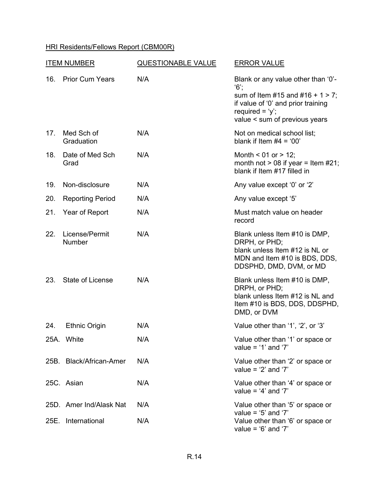| <b>ITEM NUMBER</b> |                                 | <b>QUESTIONABLE VALUE</b> | <b>ERROR VALUE</b>                                                                                                                                                                |  |  |  |  |
|--------------------|---------------------------------|---------------------------|-----------------------------------------------------------------------------------------------------------------------------------------------------------------------------------|--|--|--|--|
| 16.                | <b>Prior Cum Years</b>          | N/A                       | Blank or any value other than '0'-<br>$6^\circ$ ;<br>sum of Item #15 and #16 + 1 > 7;<br>if value of '0' and prior training<br>required = $'y$ ;<br>value < sum of previous years |  |  |  |  |
| 17.                | Med Sch of<br>Graduation        | N/A                       | Not on medical school list;<br>blank if Item $#4 = '00'$                                                                                                                          |  |  |  |  |
| 18.                | Date of Med Sch<br>Grad         | N/A                       | Month < $01$ or > 12;<br>month not $> 08$ if year = Item #21;<br>blank if Item #17 filled in                                                                                      |  |  |  |  |
| 19.                | Non-disclosure                  | N/A                       | Any value except '0' or '2'                                                                                                                                                       |  |  |  |  |
| 20.                | <b>Reporting Period</b>         | N/A                       | Any value except '5'                                                                                                                                                              |  |  |  |  |
| 21.                | Year of Report                  | N/A                       | Must match value on header<br>record                                                                                                                                              |  |  |  |  |
| 22.                | License/Permit<br><b>Number</b> | N/A                       | Blank unless Item #10 is DMP,<br>DRPH, or PHD;<br>blank unless Item #12 is NL or<br>MDN and Item #10 is BDS, DDS,<br>DDSPHD, DMD, DVM, or MD                                      |  |  |  |  |
| 23.                | <b>State of License</b>         | N/A                       | Blank unless Item #10 is DMP,<br>DRPH, or PHD;<br>blank unless Item #12 is NL and<br>Item #10 is BDS, DDS, DDSPHD,<br>DMD, or DVM                                                 |  |  |  |  |
| 24.                | <b>Ethnic Origin</b>            | N/A                       | Value other than '1', '2', or '3'                                                                                                                                                 |  |  |  |  |
|                    | 25A. White                      | N/A                       | Value other than '1' or space or<br>value = $'1'$ and '7'                                                                                                                         |  |  |  |  |
|                    | 25B. Black/African-Amer         | N/A                       | Value other than '2' or space or<br>value = $2'$ and $7'$                                                                                                                         |  |  |  |  |
|                    | 25C. Asian                      | N/A                       | Value other than '4' or space or<br>value = $4'$ and $7'$                                                                                                                         |  |  |  |  |
|                    | 25D. Amer Ind/Alask Nat         | N/A                       | Value other than '5' or space or                                                                                                                                                  |  |  |  |  |
| 25E.               | International                   | N/A                       | value = $5'$ and $7'$<br>Value other than '6' or space or<br>value = $6'$ and $7'$                                                                                                |  |  |  |  |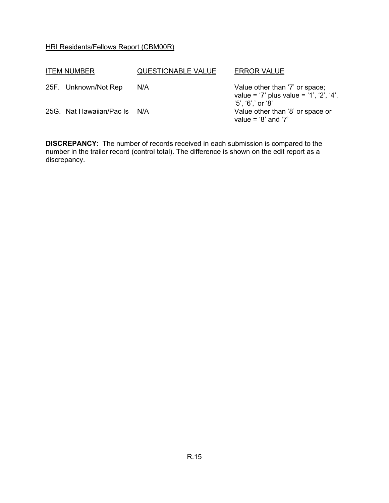| <b>ITEM NUMBER</b>           | <b>QUESTIONABLE VALUE</b> | <b>ERROR VALUE</b>                                                                                 |
|------------------------------|---------------------------|----------------------------------------------------------------------------------------------------|
| 25F. Unknown/Not Rep         | N/A                       | Value other than '7' or space;<br>value = '7' plus value = '1', '2', '4',<br>$'5', '6','$ or $'8'$ |
| 25G. Nat Hawaiian/Pac Is N/A |                           | Value other than '8' or space or<br>value = $8'$ and $7'$                                          |

**DISCREPANCY**: The number of records received in each submission is compared to the number in the trailer record (control total). The difference is shown on the edit report as a discrepancy.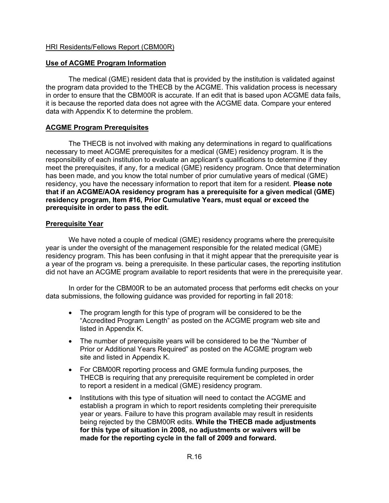#### **Use of ACGME Program Information**

The medical (GME) resident data that is provided by the institution is validated against the program data provided to the THECB by the ACGME. This validation process is necessary in order to ensure that the CBM00R is accurate. If an edit that is based upon ACGME data fails, it is because the reported data does not agree with the ACGME data. Compare your entered data with Appendix K to determine the problem.

#### **ACGME Program Prerequisites**

The THECB is not involved with making any determinations in regard to qualifications necessary to meet ACGME prerequisites for a medical (GME) residency program. It is the responsibility of each institution to evaluate an applicant's qualifications to determine if they meet the prerequisites, if any, for a medical (GME) residency program. Once that determination has been made, and you know the total number of prior cumulative years of medical (GME) residency, you have the necessary information to report that item for a resident. **Please note that if an ACGME/AOA residency program has a prerequisite for a given medical (GME) residency program, Item #16, Prior Cumulative Years, must equal or exceed the prerequisite in order to pass the edit.**

#### **Prerequisite Year**

We have noted a couple of medical (GME) residency programs where the prerequisite year is under the oversight of the management responsible for the related medical (GME) residency program. This has been confusing in that it might appear that the prerequisite year is a year of the program vs. being a prerequisite. In these particular cases, the reporting institution did not have an ACGME program available to report residents that were in the prerequisite year.

In order for the CBM00R to be an automated process that performs edit checks on your data submissions, the following guidance was provided for reporting in fall 2018:

- The program length for this type of program will be considered to be the "Accredited Program Length" as posted on the ACGME program web site and listed in Appendix K.
- The number of prerequisite years will be considered to be the "Number of Prior or Additional Years Required" as posted on the ACGME program web site and listed in Appendix K.
- For CBM00R reporting process and GME formula funding purposes, the THECB is requiring that any prerequisite requirement be completed in order to report a resident in a medical (GME) residency program.
- Institutions with this type of situation will need to contact the ACGME and establish a program in which to report residents completing their prerequisite year or years. Failure to have this program available may result in residents being rejected by the CBM00R edits. **While the THECB made adjustments for this type of situation in 2008, no adjustments or waivers will be made for the reporting cycle in the fall of 2009 and forward.**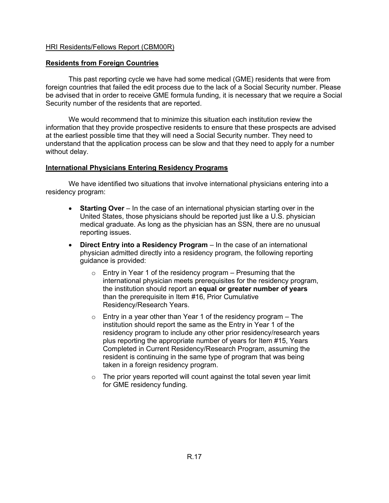#### **Residents from Foreign Countries**

This past reporting cycle we have had some medical (GME) residents that were from foreign countries that failed the edit process due to the lack of a Social Security number. Please be advised that in order to receive GME formula funding, it is necessary that we require a Social Security number of the residents that are reported.

We would recommend that to minimize this situation each institution review the information that they provide prospective residents to ensure that these prospects are advised at the earliest possible time that they will need a Social Security number. They need to understand that the application process can be slow and that they need to apply for a number without delay.

#### **International Physicians Entering Residency Programs**

We have identified two situations that involve international physicians entering into a residency program:

- **Starting Over** In the case of an international physician starting over in the United States, those physicians should be reported just like a U.S. physician medical graduate. As long as the physician has an SSN, there are no unusual reporting issues.
- **Direct Entry into a Residency Program** In the case of an international physician admitted directly into a residency program, the following reporting guidance is provided:
	- Entry in Year 1 of the residency program Presuming that the international physician meets prerequisites for the residency program, the institution should report an **equal or greater number of years** than the prerequisite in Item #16, Prior Cumulative Residency/Research Years.
	- $\circ$  Entry in a year other than Year 1 of the residency program The institution should report the same as the Entry in Year 1 of the residency program to include any other prior residency/research years plus reporting the appropriate number of years for Item #15, Years Completed in Current Residency/Research Program, assuming the resident is continuing in the same type of program that was being taken in a foreign residency program.
	- $\circ$  The prior years reported will count against the total seven year limit for GME residency funding.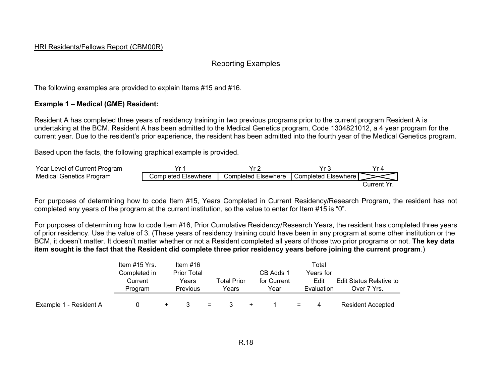### Reporting Examples

The following examples are provided to explain Items #15 and #16.

#### **Example 1 – Medical (GME) Resident:**

Resident A has completed three years of residency training in two previous programs prior to the current program Resident A is undertaking at the BCM. Resident A has been admitted to the Medical Genetics program, Code 1304821012, a 4 year program for the current year. Due to the resident's prior experience, the resident has been admitted into the fourth year of the Medical Genetics program.

Based upon the facts, the following graphical example is provided.



For purposes of determining how to code Item #15, Years Completed in Current Residency/Research Program, the resident has not completed any years of the program at the current institution, so the value to enter for Item #15 is "0".

For purposes of determining how to code Item #16, Prior Cumulative Residency/Research Years, the resident has completed three years of prior residency. Use the value of 3. (These years of residency training could have been in any program at some other institution or the BCM, it doesn't matter. It doesn't matter whether or not a Resident completed all years of those two prior programs or not. **The key data item sought is the fact that the Resident did complete three prior residency years before joining the current program**.)

|                        | Item #15 Yrs. | Item #16           |     |             |             |     | Total      |                                |
|------------------------|---------------|--------------------|-----|-------------|-------------|-----|------------|--------------------------------|
|                        | Completed in  | <b>Prior Total</b> |     |             | CB Adds 1   |     | Years for  |                                |
|                        | Current       | Years              |     | Total Prior | for Current |     | Edit       | <b>Edit Status Relative to</b> |
|                        | Program       | <b>Previous</b>    |     | Years       | Year        |     | Evaluation | Over 7 Yrs.                    |
|                        |               |                    |     |             |             |     |            |                                |
| Example 1 - Resident A |               |                    | $=$ |             |             | $=$ | 4          | <b>Resident Accepted</b>       |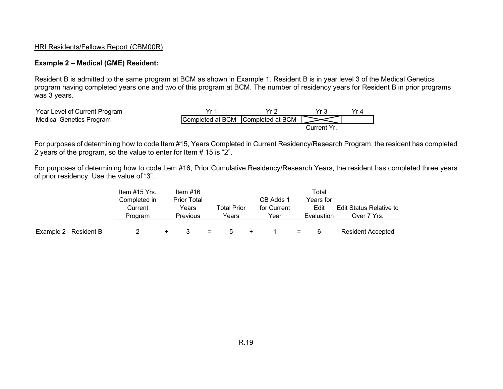#### **Example 2 – Medical (GME) Resident:**

Resident B is admitted to the same program at BCM as shown in Example 1. Resident B is in year level 3 of the Medical Genetics program having completed years one and two of this program at BCM. The number of residency years for Resident B in prior programs was 3 years.



For purposes of determining how to code Item #15, Years Completed in Current Residency/Research Program, the resident has completed 2 years of the program, so the value to enter for Item # 15 is "2".

For purposes of determining how to code Item #16, Prior Cumulative Residency/Research Years, the resident has completed three years of prior residency. Use the value of "3".

|                        | Item #15 Yrs. | Item $#16$         |     |             |           |             |     | Total      |                                |
|------------------------|---------------|--------------------|-----|-------------|-----------|-------------|-----|------------|--------------------------------|
|                        | Completed in  | <b>Prior Total</b> |     |             |           | CB Adds 1   |     | Years for  |                                |
|                        | Current       | Years              |     | Total Prior |           | for Current |     | Edit       | <b>Edit Status Relative to</b> |
|                        | Program       | Previous           |     | Years       |           | Year        |     | Evaluation | Over 7 Yrs.                    |
|                        |               |                    |     |             |           |             |     |            |                                |
| Example 2 - Resident B |               |                    | $=$ | 5           | $\ddot{}$ |             | $=$ | 6          | <b>Resident Accepted</b>       |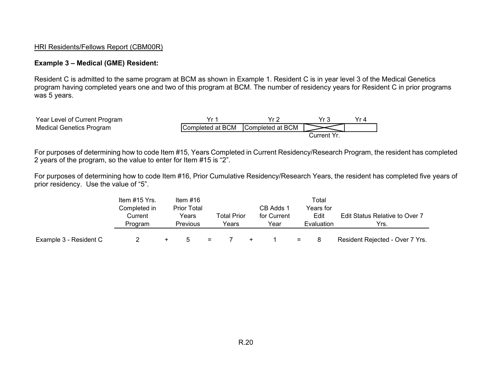#### **Example 3 – Medical (GME) Resident:**

Resident C is admitted to the same program at BCM as shown in Example 1. Resident C is in year level 3 of the Medical Genetics program having completed years one and two of this program at BCM. The number of residency years for Resident C in prior programs was 5 years.

| Year Level of Current Program   |                                   |             |  |
|---------------------------------|-----------------------------------|-------------|--|
| <b>Medical Genetics Program</b> | Completed at BCM Completed at BCM |             |  |
|                                 |                                   | Current Yr. |  |

For purposes of determining how to code Item #15, Years Completed in Current Residency/Research Program, the resident has completed 2 years of the program, so the value to enter for Item #15 is "2".

For purposes of determining how to code Item #16, Prior Cumulative Residency/Research Years, the resident has completed five years of prior residency. Use the value of "5".

|                        | Item #15 Yrs. | Item $#16$         |     |             |     |             |          | Total      |                                       |
|------------------------|---------------|--------------------|-----|-------------|-----|-------------|----------|------------|---------------------------------------|
|                        | Completed in  | <b>Prior Total</b> |     |             |     | CB Adds 1   |          | Years for  |                                       |
|                        | Current       | Years              |     | Total Prior |     | for Current |          | Edit       | <b>Edit Status Relative to Over 7</b> |
|                        | Program       | <b>Previous</b>    |     | Years       |     | Year        |          | Evaluation | Yrs.                                  |
|                        |               |                    |     |             |     |             |          |            |                                       |
| Example 3 - Resident C |               | $\mathbf{h}$       | $=$ |             | $+$ |             | $\equiv$ | -8         | Resident Rejected - Over 7 Yrs.       |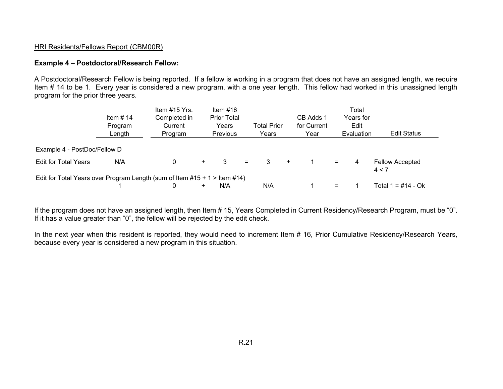#### **Example 4 – Postdoctoral/Research Fellow:**

A Postdoctoral/Research Fellow is being reported. If a fellow is working in a program that does not have an assigned length, we require Item # 14 to be 1. Every year is considered a new program, with a one year length. This fellow had worked in this unassigned length program for the prior three years.

|                              | Item $# 14$<br>Program<br>Length                                                 | Item #15 Yrs.<br>Completed in<br>Current<br>Program |     | Item $#16$<br><b>Prior Total</b><br>Years<br>Previous | <b>Total Prior</b><br>Years |     | CB Adds 1<br>for Current<br>Year |     | Total<br>Years for<br>Edit<br>Evaluation | <b>Edit Status</b>              |
|------------------------------|----------------------------------------------------------------------------------|-----------------------------------------------------|-----|-------------------------------------------------------|-----------------------------|-----|----------------------------------|-----|------------------------------------------|---------------------------------|
| Example 4 - PostDoc/Fellow D |                                                                                  |                                                     |     |                                                       |                             |     |                                  |     |                                          |                                 |
| <b>Edit for Total Years</b>  | N/A                                                                              | 0                                                   | $+$ | 3                                                     | 3<br>$=$                    | $+$ |                                  | $=$ | 4                                        | <b>Fellow Accepted</b><br>4 < 7 |
|                              | Edit for Total Years over Program Length (sum of Item $\#15 + 1$ > Item $\#14$ ) |                                                     |     |                                                       |                             |     |                                  |     |                                          |                                 |
|                              |                                                                                  |                                                     | +   | N/A                                                   | N/A                         |     |                                  | $=$ |                                          | Total $1 = #14 - Ok$            |

If the program does not have an assigned length, then Item # 15, Years Completed in Current Residency/Research Program, must be "0". If it has a value greater than "0", the fellow will be rejected by the edit check.

In the next year when this resident is reported, they would need to increment Item # 16, Prior Cumulative Residency/Research Years, because every year is considered a new program in this situation.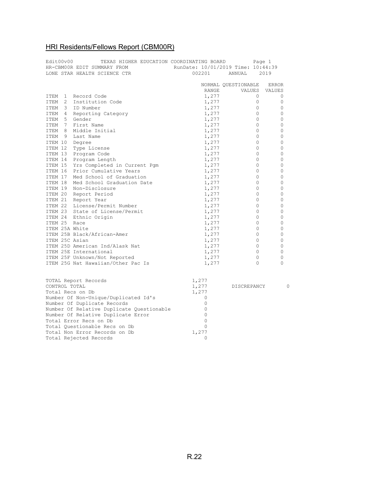| Edit00v00 |   | TEXAS HIGHER EDUCATION COORDINATING BOARD | Page 1                             |                     |               |  |  |
|-----------|---|-------------------------------------------|------------------------------------|---------------------|---------------|--|--|
|           |   | HR-CBM00R EDIT SUMMARY FROM               | RunDate: 10/01/2019 Time: 10:44:39 |                     |               |  |  |
|           |   | LONE STAR HEALTH SCIENCE CTR              | 002201                             | ANNUAL              | 2019          |  |  |
|           |   |                                           |                                    |                     |               |  |  |
|           |   |                                           |                                    | NORMAL OUESTIONABLE | <b>ERROR</b>  |  |  |
|           |   |                                           | RANGE                              | VALUES              | VALUES        |  |  |
| ITEM      |   | 1 Record Code                             | 1,277                              |                     | 0<br>0        |  |  |
| ITEM      |   | 2 Institution Code                        | 1,277                              |                     | 0<br>0        |  |  |
| ITEM      |   | 3 ID Number                               | 1,277                              |                     | 0<br>0        |  |  |
| ITEM      |   | 4 Reporting Category                      | 1,277                              |                     | 0<br>0        |  |  |
| ITEM      |   | 5 Gender                                  | 1,277                              |                     | 0<br>0        |  |  |
| ITEM      |   | 7 First Name                              | 1,277                              |                     | 0<br>0        |  |  |
| ITEM      |   | 8 Middle Initial                          | 1,277                              |                     | 0<br>0        |  |  |
| ITEM      | 9 | Last Name                                 | 1,277                              |                     | $\Omega$<br>0 |  |  |
| ITEM 10   |   | Degree                                    | 1,277                              |                     | 0<br>0        |  |  |
| ITEM 12   |   | Type License                              | 1,277                              |                     | 0<br>0        |  |  |
|           |   | ITEM 13 Program Code                      | 1,277                              |                     | $\Omega$<br>0 |  |  |
|           |   | ITEM 14 Program Length                    | 1,277                              |                     | 0<br>0        |  |  |
|           |   | ITEM 15 Yrs Completed in Current Pgm      | 1,277                              |                     | 0<br>0        |  |  |
|           |   | ITEM 16 Prior Cumulative Years            | 1,277                              |                     | 0<br>0        |  |  |
|           |   | ITEM 17 Med School of Graduation          | 1,277                              |                     | 0<br>0        |  |  |
| ITEM 18   |   | Med School Graduation Date                | 1,277                              |                     | 0<br>0        |  |  |
|           |   | ITEM 19 Non-Disclosure                    | 1,277                              |                     | 0<br>0        |  |  |
|           |   | ITEM 20 Report Period                     | 1,277                              |                     | 0<br>0        |  |  |
| ITEM 21   |   | Report Year                               | 1,277                              |                     | 0<br>0        |  |  |
| ITEM 22   |   | License/Permit Number                     | 1,277                              |                     | 0<br>0        |  |  |
| ITEM 23   |   | State of License/Permit                   | 1,277                              |                     | $\Omega$<br>0 |  |  |
| ITEM 24   |   | Ethnic Origin                             | 1,277                              |                     | $\Omega$<br>0 |  |  |
| ITEM 25   |   | Race                                      | 1,277                              |                     | 0<br>0        |  |  |
|           |   | ITEM 25A White                            | 1,277                              |                     | 0<br>0        |  |  |
|           |   | ITEM 25B Black/African-Amer               | 1,277                              |                     | 0<br>0        |  |  |
|           |   | ITEM 25C Asian                            | 1,277                              |                     | 0<br>0        |  |  |
|           |   | ITEM 25D American Ind/Alask Nat           | 1,277                              |                     | 0<br>0        |  |  |
|           |   | ITEM 25E International                    | 1,277                              |                     | 0<br>0        |  |  |
|           |   | ITEM 25F Unknown/Not Reported             | 1,277                              |                     | 0<br>0        |  |  |
|           |   | ITEM 25G Nat Hawaiian/Other Pac Is        | 1,277                              |                     | $\Omega$<br>0 |  |  |

| TOTAL Report Records                      | 1,277 |             |   |
|-------------------------------------------|-------|-------------|---|
| CONTROL TOTAL                             | 1,277 | DISCREPANCY | O |
| Total Recs on Db                          | 1,277 |             |   |
| Number Of Non-Unique/Duplicated Id's      |       |             |   |
| Number Of Duplicate Records               |       |             |   |
| Number Of Relative Duplicate Ouestionable |       |             |   |
| Number Of Relative Duplicate Error        |       |             |   |
| Total Error Recs on Db                    |       |             |   |
| Total Questionable Recs on Db             |       |             |   |
| Total Non Error Records on Db             | 1,277 |             |   |
| Total Rejected Records                    |       |             |   |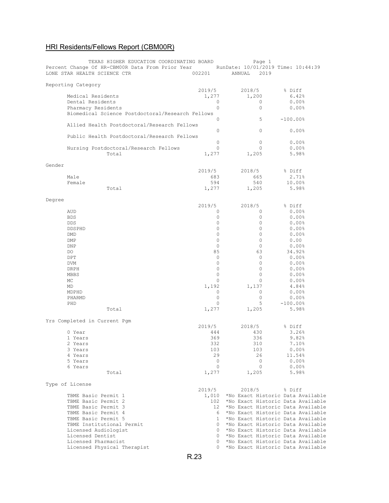| TEXAS HIGHER EDUCATION COORDINATING BOARD<br>Percent Change Of HR-CBM00R Data From Prior Year RunDate: 10/01/2019 Time: 10:44:39<br>LONE STAR HEALTH SCIENCE CTR | 002201          | Page 1<br>2019<br>ANNUAL                |                        |
|------------------------------------------------------------------------------------------------------------------------------------------------------------------|-----------------|-----------------------------------------|------------------------|
| Reporting Category                                                                                                                                               |                 |                                         |                        |
|                                                                                                                                                                  | 2019/5          | 2018/5                                  | % Diff                 |
| Medical Residents                                                                                                                                                | 1,277           | 1,200                                   | 6.42%                  |
| Dental Residents                                                                                                                                                 | 0               | 0                                       | 0.00%                  |
| Pharmacy Residents                                                                                                                                               | $\Omega$        | 0                                       | 0.00%                  |
|                                                                                                                                                                  |                 |                                         |                        |
| Biomedical Science Postdoctoral/Research Fellows                                                                                                                 |                 |                                         |                        |
|                                                                                                                                                                  | 0               | 5                                       | $-100.00$ %            |
| Allied Health Postdoctoral/Research Fellows                                                                                                                      |                 |                                         |                        |
|                                                                                                                                                                  | 0               | $\Omega$                                | 0.00%                  |
| Public Health Postdoctoral/Research Fellows                                                                                                                      |                 |                                         |                        |
|                                                                                                                                                                  | 0               | 0                                       | 0.00%                  |
| Nursing Postdoctoral/Research Fellows                                                                                                                            | 0               | 0                                       | 0.00%                  |
|                                                                                                                                                                  |                 |                                         |                        |
| Total                                                                                                                                                            | 1,277           | 1,205                                   | 5.98%                  |
|                                                                                                                                                                  |                 |                                         |                        |
| Gender                                                                                                                                                           |                 |                                         |                        |
|                                                                                                                                                                  | 2019/5          | 2018/5                                  | % Diff                 |
| Male                                                                                                                                                             | 683             | 665                                     | 2.71%                  |
| Female                                                                                                                                                           | 594             | 540                                     | 10.00%                 |
|                                                                                                                                                                  |                 |                                         |                        |
| Total                                                                                                                                                            | 1,277           | 1,205                                   | 5.98%                  |
|                                                                                                                                                                  |                 |                                         |                        |
| Degree                                                                                                                                                           |                 |                                         |                        |
|                                                                                                                                                                  | 2019/5          | 2018/5                                  | % Diff                 |
| AUD                                                                                                                                                              | 0               | 0                                       | 0.00%                  |
|                                                                                                                                                                  |                 |                                         |                        |
| <b>BDS</b>                                                                                                                                                       | 0               | 0                                       | 0.00%                  |
| <b>DDS</b>                                                                                                                                                       | 0               | 0                                       | 0.00%                  |
| <b>DDSPHD</b>                                                                                                                                                    | 0               | $\circ$                                 | 0.00%                  |
| DMD                                                                                                                                                              | $\mathbf 0$     | $\circ$                                 | 0.00%                  |
| DMP                                                                                                                                                              | 0               | $\circ$                                 | 0.00                   |
|                                                                                                                                                                  |                 |                                         |                        |
| DNP                                                                                                                                                              | $\circ$         | 0                                       | 0.00%                  |
| DO.                                                                                                                                                              | 85              | 63                                      | 34.92%                 |
| DPT                                                                                                                                                              | $\circ$         | $\circ$                                 | 0.00%                  |
| <b>DVM</b>                                                                                                                                                       | $\mathbf 0$     | 0                                       | 0.00%                  |
|                                                                                                                                                                  | $\mathbf 0$     | 0                                       |                        |
| DRPH                                                                                                                                                             |                 |                                         | 0.00%                  |
| MBBS                                                                                                                                                             | $\circ$         | 0                                       | 0.00%                  |
| МC                                                                                                                                                               | 0               | 0                                       | 0.00%                  |
| MD                                                                                                                                                               | 1,192           | 1,137                                   | 4.84%                  |
| MDPHD                                                                                                                                                            | 0               | 0                                       | 0.00%                  |
|                                                                                                                                                                  | 0               |                                         |                        |
| PHARMD                                                                                                                                                           |                 | 0                                       | 0.00%                  |
| PHD                                                                                                                                                              | 0               | 5                                       | $-100.00$ <sup>8</sup> |
| Total                                                                                                                                                            | 1,277           | 1,205                                   | 5.98%                  |
|                                                                                                                                                                  |                 |                                         |                        |
| Yrs Completed in Current Pqm                                                                                                                                     |                 |                                         |                        |
|                                                                                                                                                                  | 2019/5          | 2018/5                                  | % Diff                 |
|                                                                                                                                                                  |                 |                                         |                        |
| 0 Year                                                                                                                                                           | 444             | 430                                     | 3.26%                  |
| 1 Years                                                                                                                                                          | 369             | 336                                     | 9.82%                  |
| 2 Years                                                                                                                                                          | 332             | 310                                     | $7.10\%$               |
| 3 Years                                                                                                                                                          | 103             | 103                                     | 0.00%                  |
| 4 Years                                                                                                                                                          | 29              | 26                                      | 11.54%                 |
|                                                                                                                                                                  |                 |                                         |                        |
| 5 Years                                                                                                                                                          | 0               | $\mathbf{0}$                            | 0.00%                  |
| 6 Years                                                                                                                                                          | $\circ$         | $\circ$                                 | 0.00%                  |
| Total                                                                                                                                                            | 1,277           | 1,205                                   | 5.98%                  |
|                                                                                                                                                                  |                 |                                         |                        |
| Type of License                                                                                                                                                  |                 |                                         |                        |
|                                                                                                                                                                  | 2019/5          | 2018/5                                  | % Diff                 |
|                                                                                                                                                                  |                 |                                         |                        |
| TBME Basic Permit 1                                                                                                                                              |                 | 1,010 *No Exact Historic Data Available |                        |
| TBME Basic Permit 2                                                                                                                                              | 102             | *No Exact Historic Data Available       |                        |
| TBME Basic Permit 3                                                                                                                                              | 12 <sup>7</sup> | *No Exact Historic Data Available       |                        |
| TBME Basic Permit 4                                                                                                                                              | 6               | *No Exact Historic Data Available       |                        |
| TBME Basic Permit 5                                                                                                                                              | $\mathbf{1}$    | *No Exact Historic Data Available       |                        |
|                                                                                                                                                                  |                 |                                         |                        |
| TBME Institutional Permit                                                                                                                                        | 0               | *No Exact Historic Data Available       |                        |
| Licensed Audiologist                                                                                                                                             | 0               | *No Exact Historic Data Available       |                        |
| Licensed Dentist                                                                                                                                                 | 0               | *No Exact Historic Data Available       |                        |
| Licensed Pharmacist                                                                                                                                              | 0               | *No Exact Historic Data Available       |                        |
|                                                                                                                                                                  | $\Omega$        |                                         |                        |
| Licensed Physical Therapist                                                                                                                                      |                 | *No Exact Historic Data Available       |                        |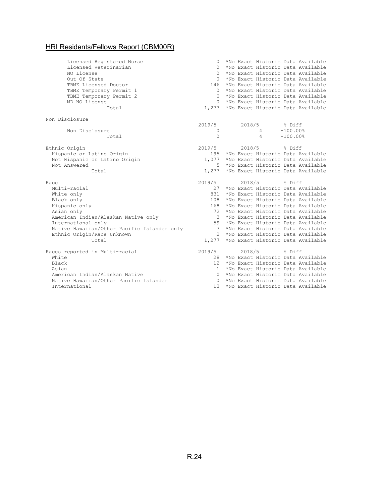| Licensed Registered Nurse                               | $\Omega$     |        |                |            | *No Exact Historic Data Available                                      |
|---------------------------------------------------------|--------------|--------|----------------|------------|------------------------------------------------------------------------|
| Licensed Veterinarian                                   | 0            |        |                |            | *No Exact Historic Data Available                                      |
| NO License                                              | $\Omega$     |        |                |            | *No Exact Historic Data Available                                      |
| Out Of State                                            | $\Omega$     |        |                |            | *No Exact Historic Data Available                                      |
| TBME Licensed Doctor                                    | 146          |        |                |            | *No Exact Historic Data Available                                      |
| TBME Temporary Permit 1                                 | $\Omega$     |        |                |            | *No Exact Historic Data Available                                      |
| TBME Temporary Permit 2                                 | $\Omega$     |        |                |            | *No Exact Historic Data Available                                      |
| MD NO License                                           | $\Omega$     |        |                |            | *No Exact Historic Data Available                                      |
| Total                                                   | 1,277        |        |                |            | *No Exact Historic Data Available                                      |
| Non Disclosure                                          |              |        |                |            |                                                                        |
|                                                         | 2019/5       | 2018/5 |                | % Diff     |                                                                        |
| Non Disclosure                                          | 0            |        | $\overline{4}$ | $-100.00%$ |                                                                        |
| Total                                                   | $\Omega$     |        | 4              | $-100.00%$ |                                                                        |
| Ethnic Origin                                           | 2019/5       | 2018/5 |                | % Diff     |                                                                        |
| Hispanic or Latino Origin                               | 195          |        |                |            | *No Exact Historic Data Available                                      |
| Not Hispanic or Latino Origin                           | 1,077        |        |                |            | *No Exact Historic Data Available                                      |
| Not Answered                                            | 5.           |        |                |            | *No Exact Historic Data Available                                      |
| Total                                                   | 1,277        |        |                |            | *No Exact Historic Data Available                                      |
| Race                                                    | 2019/5       | 2018/5 |                | % Diff     |                                                                        |
| Multi-racial                                            | 2.7          |        |                |            | *No Exact Historic Data Available                                      |
|                                                         |              |        |                |            | *No Exact Historic Data Available                                      |
| White only                                              | 831          |        |                |            |                                                                        |
| Black only                                              | 108          |        |                |            | *No Exact Historic Data Available                                      |
| Hispanic only                                           | 168          |        |                |            | *No Exact Historic Data Available                                      |
| Asian only                                              | 72           |        |                |            | *No Exact Historic Data Available                                      |
| American Indian/Alaskan Native only                     | 3            |        |                |            | *No Exact Historic Data Available                                      |
| International only                                      | 59           |        |                |            | *No Exact Historic Data Available                                      |
| Native Hawaiian/Other Pacific Islander only             | 7            |        |                |            | *No Exact Historic Data Available                                      |
| Ethnic Origin/Race Unknown                              | $2^{\circ}$  |        |                |            | *No Exact Historic Data Available                                      |
| Total                                                   | 1,277        |        |                |            | *No Exact Historic Data Available                                      |
| Races reported in Multi-racial                          | 2019/5       | 2018/5 |                | % Diff     |                                                                        |
| White                                                   | 28           |        |                |            | *No Exact Historic Data Available                                      |
| Black                                                   | 12.          |        |                |            | *No Exact Historic Data Available                                      |
| Asian                                                   | $\mathbf{1}$ |        |                |            | *No Exact Historic Data Available                                      |
| American Indian/Alaskan Native                          | $\Omega$     |        |                |            | *No Exact Historic Data Available                                      |
| Native Hawaiian/Other Pacific Islander<br>International | $\Omega$     |        |                |            | *No Exact Historic Data Available<br>*No Exact Historic Data Available |